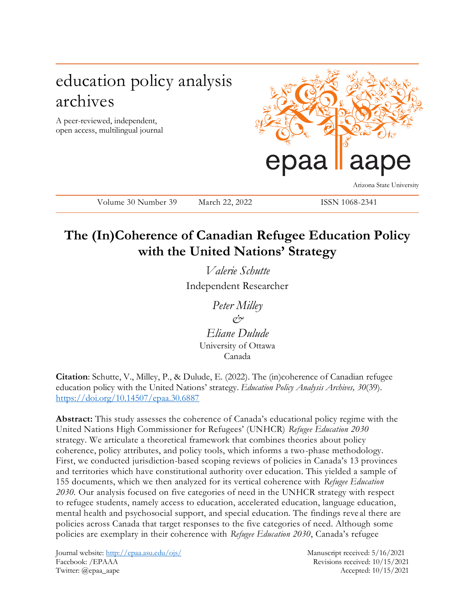# education policy analysis archives

A peer-reviewed, independent, open access, multilingual journal



Arizona State University

Volume 30 Number 39 March 22, 2022 ISSN 1068-2341

## **The (In)Coherence of Canadian Refugee Education Policy with the United Nations' Strategy**

*Valerie Schutte* Independent Researcher

> *Peter Milley & Eliane Dulude*

University of Ottawa Canada

**Citation**: Schutte, V., Milley, P., & Dulude, E. (2022). The (in)coherence of Canadian refugee education policy with the United Nations' strategy. *Education Policy Analysis Archives, 30*(39). <https://doi.org/10.14507/epaa.30.6887>

**Abstract:** This study assesses the coherence of Canada's educational policy regime with the United Nations High Commissioner for Refugees' (UNHCR) *Refugee Education 2030*  strategy. We articulate a theoretical framework that combines theories about policy coherence, policy attributes, and policy tools, which informs a two-phase methodology. First, we conducted jurisdiction-based scoping reviews of policies in Canada's 13 provinces and territories which have constitutional authority over education. This yielded a sample of 155 documents, which we then analyzed for its vertical coherence with *Refugee Education 2030.* Our analysis focused on five categories of need in the UNHCR strategy with respect to refugee students, namely access to education, accelerated education, language education, mental health and psychosocial support, and special education. The findings reve al there are policies across Canada that target responses to the five categories of need. Although some policies are exemplary in their coherence with *Refugee Education 2030*, Canada's refugee

Journal website:<http://epaa.asu.edu/ojs/> Manuscript received: 5/16/2021 Facebook: /EPAAA Revisions received: 10/15/2021 Twitter: @epaa\_aape Accepted: 10/15/2021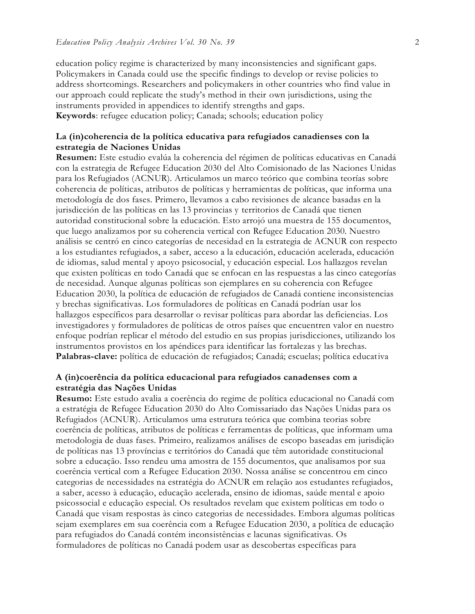education policy regime is characterized by many inconsistencies and significant gaps. Policymakers in Canada could use the specific findings to develop or revise policies to address shortcomings. Researchers and policymakers in other countries who find value in our approach could replicate the study's method in their own jurisdictions, using the instruments provided in appendices to identify strengths and gaps. **Keywords**: refugee education policy; Canada; schools; education policy

## **La (in)coherencia de la política educativa para refugiados canadienses con la estrategia de Naciones Unidas**

**Resumen:** Este estudio evalúa la coherencia del régimen de políticas educativas en Canadá con la estrategia de Refugee Education 2030 del Alto Comisionado de las Naciones Unidas para los Refugiados (ACNUR). Articulamos un marco teórico que combina teorías sobre coherencia de políticas, atributos de políticas y herramientas de políticas, que informa una metodología de dos fases. Primero, llevamos a cabo revisiones de alcance basadas en la jurisdicción de las políticas en las 13 provincias y territorios de Canadá que tienen autoridad constitucional sobre la educación. Esto arrojó una muestra de 155 documentos, que luego analizamos por su coherencia vertical con Refugee Education 2030. Nuestro análisis se centró en cinco categorías de necesidad en la estrategia de ACNUR con respecto a los estudiantes refugiados, a saber, acceso a la educación, educación acelerada, educación de idiomas, salud mental y apoyo psicosocial, y educación especial. Los hallazgos revelan que existen políticas en todo Canadá que se enfocan en las respuestas a las cinco categorías de necesidad. Aunque algunas políticas son ejemplares en su coherencia con Refugee Education 2030, la política de educación de refugiados de Canadá contiene inconsistencias y brechas significativas. Los formuladores de políticas en Canadá podrían usar los hallazgos específicos para desarrollar o revisar políticas para abordar las deficiencias. Los investigadores y formuladores de políticas de otros países que encuentren valor en nuestro enfoque podrían replicar el método del estudio en sus propias jurisdicciones, utilizando los instrumentos provistos en los apéndices para identificar las fortalezas y las brechas. **Palabras-clave:** política de educación de refugiados; Canadá; escuelas; política educativa

### **A (in)coerência da política educacional para refugiados canadenses com a estratégia das Nações Unidas**

**Resumo:** Este estudo avalia a coerência do regime de política educacional no Canadá com a estratégia de Refugee Education 2030 do Alto Comissariado das Nações Unidas para os Refugiados (ACNUR). Articulamos uma estrutura teórica que combina teorias sobre coerência de políticas, atributos de políticas e ferramentas de políticas, que informam uma metodologia de duas fases. Primeiro, realizamos análises de escopo baseadas em jurisdição de políticas nas 13 províncias e territórios do Canadá que têm autoridade constitucional sobre a educação. Isso rendeu uma amostra de 155 documentos, que analisamos por sua coerência vertical com a Refugee Education 2030. Nossa análise se concentrou em cinco categorias de necessidades na estratégia do ACNUR em relação aos estudantes refugiados, a saber, acesso à educação, educação acelerada, ensino de idiomas, saúde mental e apoio psicossocial e educação especial. Os resultados revelam que existem políticas em todo o Canadá que visam respostas às cinco categorias de necessidades. Embora algumas políticas sejam exemplares em sua coerência com a Refugee Education 2030, a política de educação para refugiados do Canadá contém inconsistências e lacunas significativas. Os formuladores de políticas no Canadá podem usar as descobertas específicas para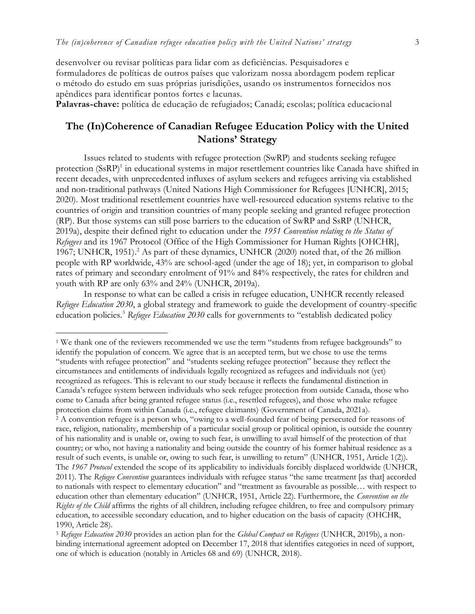desenvolver ou revisar políticas para lidar com as deficiências. Pesquisadores e formuladores de políticas de outros países que valorizam nossa abordagem podem replicar o método do estudo em suas próprias jurisdições, usando os instrumentos fornecidos nos apêndices para identificar pontos fortes e lacunas.

**Palavras-chave:** política de educação de refugiados; Canadá; escolas; política educacional

## **The (In)Coherence of Canadian Refugee Education Policy with the United Nations' Strategy**

Issues related to students with refugee protection (SwRP) and students seeking refugee protection (SsRP)<sup>1</sup> in educational systems in major resettlement countries like Canada have shifted in recent decades, with unprecedented influxes of asylum seekers and refugees arriving via established and non-traditional pathways (United Nations High Commissioner for Refugees [UNHCR], 2015; 2020). Most traditional resettlement countries have well-resourced education systems relative to the countries of origin and transition countries of many people seeking and granted refugee protection (RP). But those systems can still pose barriers to the education of SwRP and SsRP (UNHCR, 2019a), despite their defined right to education under the *1951 Convention relating to the Status of Refugees* and its 1967 Protocol (Office of the High Commissioner for Human Rights [OHCHR], 1967; UNHCR, 1951).<sup>2</sup> As part of these dynamics, UNHCR (2020) noted that, of the 26 million people with RP worldwide, 43% are school-aged (under the age of 18); yet, in comparison to global rates of primary and secondary enrolment of 91% and 84% respectively, the rates for children and youth with RP are only 63% and 24% (UNHCR, 2019a).

In response to what can be called a crisis in refugee education, UNHCR recently released *Refugee Education 2030*, a global strategy and framework to guide the development of country-specific education policies.<sup>3</sup> Refugee Education 2030 calls for governments to "establish dedicated policy

 $\overline{a}$ 

<sup>1</sup> We thank one of the reviewers recommended we use the term "students from refugee backgrounds" to identify the population of concern. We agree that is an accepted term, but we chose to use the terms "students with refugee protection" and "students seeking refugee protection" because they reflect the circumstances and entitlements of individuals legally recognized as refugees and individuals not (yet) recognized as refugees. This is relevant to our study because it reflects the fundamental distinction in Canada's refugee system between individuals who seek refugee protection from outside Canada, those who come to Canada after being granted refugee status (i.e., resettled refugees), and those who make refugee protection claims from within Canada (i.e., refugee claimants) (Government of Canada, 2021a).  $^2$  A convention refugee is a person who, "owing to a well-founded fear of being persecuted for reasons of race, religion, nationality, membership of a particular social group or political opinion, is outside the country of his nationality and is unable or, owing to such fear, is unwilling to avail himself of the protection of that country; or who, not having a nationality and being outside the country of his former habitual residence as a result of such events, is unable or, owing to such fear, is unwilling to return" (UNHCR, 1951, Article 1(2)). The *1967 Protocol* extended the scope of its applicability to individuals forcibly displaced worldwide (UNHCR, 2011). The *Refugee Convention* guarantees individuals with refugee status "the same treatment [as that] accorded to nationals with respect to elementary education" and "treatment as favourable as possible… with respect to education other than elementary education" (UNHCR, 1951, Article 22). Furthermore, the *Convention on the Rights of the Child* affirms the rights of all children, including refugee children, to free and compulsory primary education, to accessible secondary education, and to higher education on the basis of capacity (OHCHR, 1990, Article 28).

<sup>3</sup> *Refugee Education 2030* provides an action plan for the *Global Compact on Refugees* (UNHCR, 2019b), a nonbinding international agreement adopted on December 17, 2018 that identifies categories in need of support, one of which is education (notably in Articles 68 and 69) (UNHCR, 2018).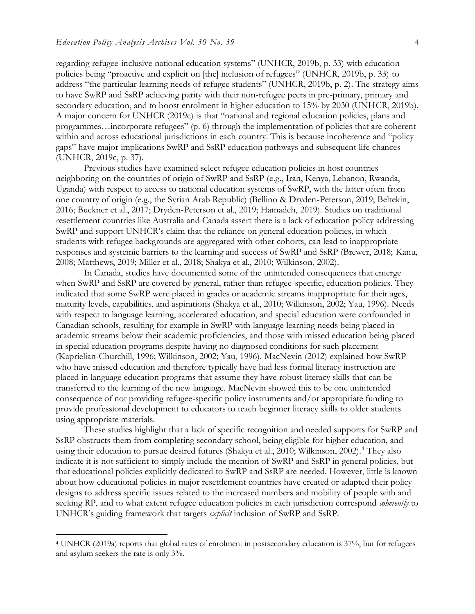regarding refugee-inclusive national education systems" (UNHCR, 2019b, p. 33) with education policies being "proactive and explicit on [the] inclusion of refugees" (UNHCR, 2019b, p. 33) to address "the particular learning needs of refugee students" (UNHCR, 2019b, p. 2). The strategy aims to have SwRP and SsRP achieving parity with their non-refugee peers in pre-primary, primary and secondary education, and to boost enrolment in higher education to 15% by 2030 (UNHCR, 2019b). A major concern for UNHCR (2019c) is that "national and regional education policies, plans and programmes…incorporate refugees" (p. 6) through the implementation of policies that are coherent within and across educational jurisdictions in each country. This is because incoherence and "policy gaps" have major implications SwRP and SsRP education pathways and subsequent life chances (UNHCR, 2019c, p. 37).

Previous studies have examined select refugee education policies in host countries neighboring on the countries of origin of SwRP and SsRP (e.g., Iran, Kenya, Lebanon, Rwanda, Uganda) with respect to access to national education systems of SwRP, with the latter often from one country of origin (e.g., the Syrian Arab Republic) (Bellino & Dryden-Peterson, 2019; Beltekin, 2016; Buckner et al., 2017; Dryden-Peterson et al., 2019; Hamadeh, 2019). Studies on traditional resettlement countries like Australia and Canada assert there is a lack of education policy addressing SwRP and support UNHCR's claim that the reliance on general education policies, in which students with refugee backgrounds are aggregated with other cohorts, can lead to inappropriate responses and systemic barriers to the learning and success of SwRP and SsRP (Brewer, 2018; Kanu, 2008; Matthews, 2019; Miller et al., 2018; Shakya et al., 2010; Wilkinson, 2002).

In Canada, studies have documented some of the unintended consequences that emerge when SwRP and SsRP are covered by general, rather than refugee-specific, education policies. They indicated that some SwRP were placed in grades or academic streams inappropriate for their ages, maturity levels, capabilities, and aspirations (Shakya et al., 2010; Wilkinson, 2002; Yau, 1996). Needs with respect to language learning, accelerated education, and special education were confounded in Canadian schools, resulting for example in SwRP with language learning needs being placed in academic streams below their academic proficiencies, and those with missed education being placed in special education programs despite having no diagnosed conditions for such placement (Kaprielian-Churchill, 1996; Wilkinson, 2002; Yau, 1996). MacNevin (2012) explained how SwRP who have missed education and therefore typically have had less formal literacy instruction are placed in language education programs that assume they have robust literacy skills that can be transferred to the learning of the new language. MacNevin showed this to be one unintended consequence of not providing refugee-specific policy instruments and/or appropriate funding to provide professional development to educators to teach beginner literacy skills to older students using appropriate materials.

These studies highlight that a lack of specific recognition and needed supports for SwRP and SsRP obstructs them from completing secondary school, being eligible for higher education, and using their education to pursue desired futures (Shakya et al., 2010; Wilkinson, 2002).<sup>4</sup> They also indicate it is not sufficient to simply include the mention of SwRP and SsRP in general policies, but that educational policies explicitly dedicated to SwRP and SsRP are needed. However, little is known about how educational policies in major resettlement countries have created or adapted their policy designs to address specific issues related to the increased numbers and mobility of people with and seeking RP, and to what extent refugee education policies in each jurisdiction correspond *coherently* to UNHCR's guiding framework that targets *explicit* inclusion of SwRP and SsRP.

 $\overline{a}$ 

<sup>4</sup> UNHCR (2019a) reports that global rates of enrolment in postsecondary education is 37%, but for refugees and asylum seekers the rate is only 3%.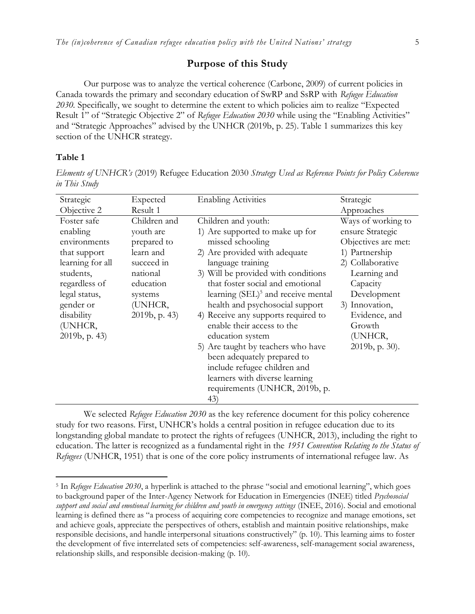## **Purpose of this Study**

Our purpose was to analyze the vertical coherence (Carbone, 2009) of current policies in Canada towards the primary and secondary education of SwRP and SsRP with *Refugee Education 2030.* Specifically, we sought to determine the extent to which policies aim to realize "Expected Result 1" of "Strategic Objective 2" of *Refugee Education 2030* while using the "Enabling Activities" and "Strategic Approaches" advised by the UNHCR (2019b, p. 25). Table 1 summarizes this key section of the UNHCR strategy.

#### **Table 1**

 $\overline{a}$ 

*Elements of UNHCR's* (2019) Refugee Education 2030 *Strategy Used as Reference Points for Policy Coherence in This Study*

| Strategic        | Expected         | <b>Enabling Activities</b>                     | Strategic           |
|------------------|------------------|------------------------------------------------|---------------------|
| Objective 2      | Result 1         |                                                | Approaches          |
| Foster safe      | Children and     | Children and youth:                            | Ways of working to  |
| enabling         | youth are        | 1) Are supported to make up for                | ensure Strategic    |
| environments     | prepared to      | missed schooling                               | Objectives are met: |
| that support     | learn and        | 2) Are provided with adequate                  | 1) Partnership      |
| learning for all | succeed in       | language training                              | 2) Collaborative    |
| students,        | national         | 3) Will be provided with conditions            | Learning and        |
| regardless of    | education        | that foster social and emotional               | Capacity            |
| legal status,    | systems          | learning (SEL) <sup>5</sup> and receive mental | Development         |
| gender or        | (UNHCR,          | health and psychosocial support                | 3) Innovation,      |
| disability       | $2019b$ , p. 43) | 4) Receive any supports required to            | Evidence, and       |
| (UNHCR,          |                  | enable their access to the                     | Growth              |
| 2019b, p. 43)    |                  | education system                               | (UNHCR,             |
|                  |                  | 5) Are taught by teachers who have             | 2019b, p. 30).      |
|                  |                  | been adequately prepared to                    |                     |
|                  |                  | include refugee children and                   |                     |
|                  |                  | learners with diverse learning                 |                     |
|                  |                  | requirements (UNHCR, 2019b, p.                 |                     |
|                  |                  | (43)                                           |                     |

We selected *Refugee Education 2030* as the key reference document for this policy coherence study for two reasons. First, UNHCR's holds a central position in refugee education due to its longstanding global mandate to protect the rights of refugees (UNHCR, 2013), including the right to education. The latter is recognized as a fundamental right in the *1951 Convention Relating to the Status of Refugees* (UNHCR, 1951) that is one of the core policy instruments of international refugee law. As

<sup>&</sup>lt;sup>5</sup> In *Refugee Education 2030*, a hyperlink is attached to the phrase "social and emotional learning", which goes to background paper of the Inter-Agency Network for Education in Emergencies (INEE) titled *Psychosocial support and social and emotional learning for children and youth in emergency settings* (INEE, 2016). Social and emotional learning is defined there as "a process of acquiring core competencies to recognize and manage emotions, set and achieve goals, appreciate the perspectives of others, establish and maintain positive relationships, make responsible decisions, and handle interpersonal situations constructively" (p. 10). This learning aims to foster the development of five interrelated sets of competencies: self-awareness, self-management social awareness, relationship skills, and responsible decision-making (p. 10).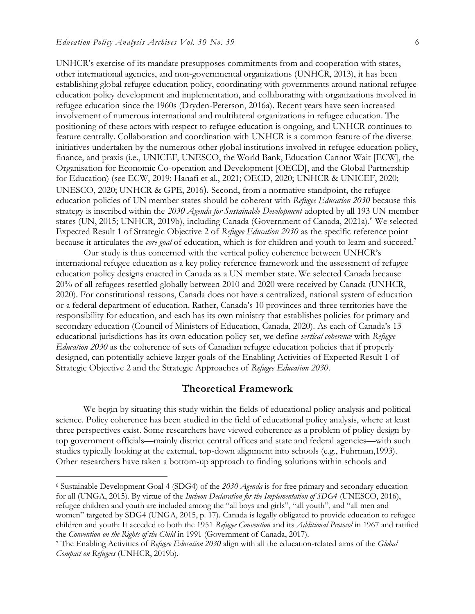$\overline{a}$ 

UNHCR's exercise of its mandate presupposes commitments from and cooperation with states, other international agencies, and non-governmental organizations (UNHCR, 2013), it has been establishing global refugee education policy, coordinating with governments around national refugee education policy development and implementation, and collaborating with organizations involved in refugee education since the 1960s (Dryden-Peterson, 2016a). Recent years have seen increased involvement of numerous international and multilateral organizations in refugee education. The positioning of these actors with respect to refugee education is ongoing, and UNHCR continues to feature centrally. Collaboration and coordination with UNHCR is a common feature of the diverse initiatives undertaken by the numerous other global institutions involved in refugee education policy, finance, and praxis (i.e., UNICEF, UNESCO, the World Bank, Education Cannot Wait [ECW], the Organisation for Economic Co-operation and Development [OECD], and the Global Partnership for Education) (see ECW, 2019; Hanafi et al., 2021; OECD, 2020; UNHCR & UNICEF, 2020; UNESCO, 2020; UNHCR & GPE, 2016). Second, from a normative standpoint, the refugee education policies of UN member states should be coherent with *Refugee Education 2030* because this strategy is inscribed within the *2030 Agenda for Sustainable Development* adopted by all 193 UN member states (UN, 2015; UNHCR, 2019b), including Canada (Government of Canada, 2021a).<sup>6</sup> We selected Expected Result 1 of Strategic Objective 2 of *Refugee Education 2030* as the specific reference point because it articulates the *core goal* of education, which is for children and youth to learn and succeed.<sup>7</sup>

Our study is thus concerned with the vertical policy coherence between UNHCR's international refugee education as a key policy reference framework and the assessment of refugee education policy designs enacted in Canada as a UN member state. We selected Canada because 20% of all refugees resettled globally between 2010 and 2020 were received by Canada (UNHCR, 2020). For constitutional reasons, Canada does not have a centralized, national system of education or a federal department of education. Rather, Canada's 10 provinces and three territories have the responsibility for education, and each has its own ministry that establishes policies for primary and secondary education (Council of Ministers of Education, Canada, 2020). As each of Canada's 13 educational jurisdictions has its own education policy set, we define *vertical coherence* with *Refugee Education 2030* as the coherence of sets of Canadian refugee education policies that if properly designed, can potentially achieve larger goals of the Enabling Activities of Expected Result 1 of Strategic Objective 2 and the Strategic Approaches of *Refugee Education 2030*.

## **Theoretical Framework**

We begin by situating this study within the fields of educational policy analysis and political science. Policy coherence has been studied in the field of educational policy analysis, where at least three perspectives exist. Some researchers have viewed coherence as a problem of policy design by top government officials—mainly district central offices and state and federal agencies—with such studies typically looking at the external, top-down alignment into schools (e.g., Fuhrman,1993). Other researchers have taken a bottom-up approach to finding solutions within schools and

<sup>6</sup> Sustainable Development Goal 4 (SDG4) of the *2030 Agenda* is for free primary and secondary education for all (UNGA, 2015). By virtue of the *Incheon Declaration for the Implementation of SDG4* (UNESCO, 2016), refugee children and youth are included among the "all boys and girls", "all youth", and "all men and women" targeted by SDG4 (UNGA, 2015, p. 17). Canada is legally obligated to provide education to refugee children and youth: It acceded to both the 1951 *Refugee Convention* and its *Additional Protocol* in 1967 and ratified the *Convention on the Rights of the Child* in 1991 (Government of Canada, 2017).

<sup>7</sup> The Enabling Activities of *Refugee Education 2030* align with all the education-related aims of the *Global Compact on Refugees* (UNHCR, 2019b).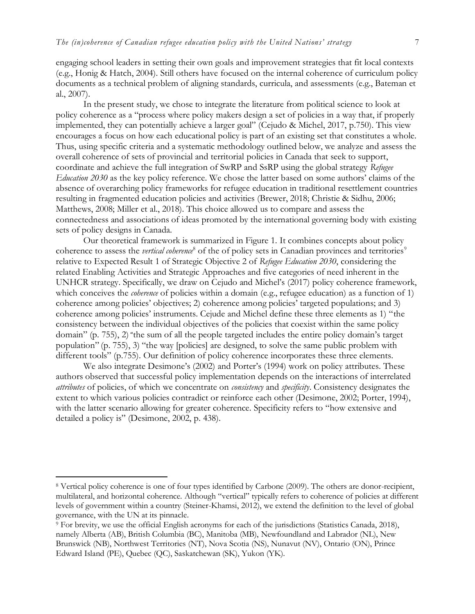engaging school leaders in setting their own goals and improvement strategies that fit local contexts (e.g., Honig & Hatch, 2004). Still others have focused on the internal coherence of curriculum policy documents as a technical problem of aligning standards, curricula, and assessments (e.g., Bateman et al., 2007).

In the present study, we chose to integrate the literature from political science to look at policy coherence as a "process where policy makers design a set of policies in a way that, if properly implemented, they can potentially achieve a larger goal" (Cejudo & Michel, 2017, p.750). This view encourages a focus on how each educational policy is part of an existing set that constitutes a whole. Thus, using specific criteria and a systematic methodology outlined below, we analyze and assess the overall coherence of sets of provincial and territorial policies in Canada that seek to support, coordinate and achieve the full integration of SwRP and SsRP using the global strategy *Refugee Education 2030* as the key policy reference. We chose the latter based on some authors' claims of the absence of overarching policy frameworks for refugee education in traditional resettlement countries resulting in fragmented education policies and activities (Brewer, 2018; Christie & Sidhu, 2006; Matthews, 2008; Miller et al., 2018). This choice allowed us to compare and assess the connectedness and associations of ideas promoted by the international governing body with existing sets of policy designs in Canada.

Our theoretical framework is summarized in Figure 1. It combines concepts about policy coherence to assess the *vertical coherence*<sup>8</sup> of the of policy sets in Canadian provinces and territories<sup>9</sup> relative to Expected Result 1 of Strategic Objective 2 of *Refugee Education 2030*, considering the related Enabling Activities and Strategic Approaches and five categories of need inherent in the UNHCR strategy. Specifically, we draw on Cejudo and Michel's (2017) policy coherence framework, which conceives the *coherence* of policies within a domain (e.g., refugee education) as a function of 1) coherence among policies' objectives; 2) coherence among policies' targeted populations; and 3) coherence among policies' instruments. Cejude and Michel define these three elements as 1) "the consistency between the individual objectives of the policies that coexist within the same policy domain" (p. 755), 2) "the sum of all the people targeted includes the entire policy domain's target population" (p. 755), 3) "the way [policies] are designed, to solve the same public problem with different tools" (p.755). Our definition of policy coherence incorporates these three elements.

We also integrate Desimone's (2002) and Porter's (1994) work on policy attributes. These authors observed that successful policy implementation depends on the interactions of interrelated *attributes* of policies, of which we concentrate on *consistency* and *specificity*. Consistency designates the extent to which various policies contradict or reinforce each other (Desimone, 2002; Porter, 1994), with the latter scenario allowing for greater coherence. Specificity refers to "how extensive and detailed a policy is" (Desimone, 2002, p. 438).

 $\overline{a}$ 

<sup>8</sup> Vertical policy coherence is one of four types identified by Carbone (2009). The others are donor-recipient, multilateral, and horizontal coherence. Although "vertical" typically refers to coherence of policies at different levels of government within a country (Steiner-Khamsi, 2012), we extend the definition to the level of global governance, with the UN at its pinnacle.

<sup>&</sup>lt;sup>9</sup> For brevity, we use the official English acronyms for each of the jurisdictions (Statistics Canada, 2018), namely Alberta (AB), British Columbia (BC), Manitoba (MB), Newfoundland and Labrador (NL), New Brunswick (NB), Northwest Territories (NT), Nova Scotia (NS), Nunavut (NV), Ontario (ON), Prince Edward Island (PE), Quebec (QC), Saskatchewan (SK), Yukon (YK).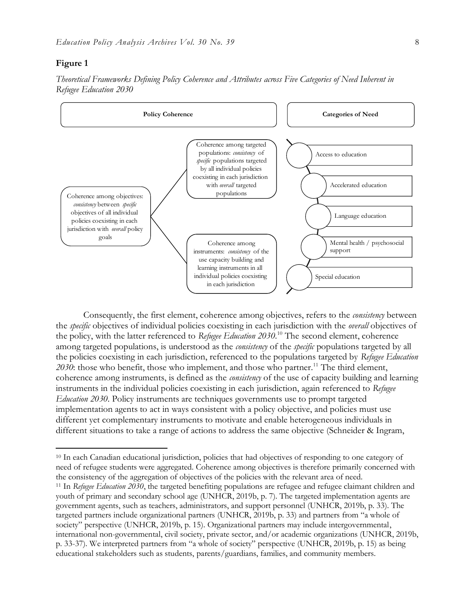### **Figure 1**

 $\overline{a}$ 





Consequently, the first element, coherence among objectives, refers to the *consistency* between the *specific* objectives of individual policies coexisting in each jurisdiction with the *overall* objectives of the policy, with the latter referenced to *Refugee Education 2030*. <sup>10</sup> The second element, coherence among targeted populations, is understood as the *consistency* of the *specific* populations targeted by all the policies coexisting in each jurisdiction, referenced to the populations targeted by *Refugee Education*  2030: those who benefit, those who implement, and those who partner.<sup>11</sup> The third element, coherence among instruments, is defined as the *consistency* of the use of capacity building and learning instruments in the individual policies coexisting in each jurisdiction, again referenced to *Refugee Education 2030*. Policy instruments are techniques governments use to prompt targeted implementation agents to act in ways consistent with a policy objective, and policies must use different yet complementary instruments to motivate and enable heterogeneous individuals in different situations to take a range of actions to address the same objective (Schneider & Ingram,

<sup>10</sup> In each Canadian educational jurisdiction, policies that had objectives of responding to one category of need of refugee students were aggregated. Coherence among objectives is therefore primarily concerned with the consistency of the aggregation of objectives of the policies with the relevant area of need. <sup>11</sup> In *Refugee Education 2030*, the targeted benefiting populations are refugee and refugee claimant children and youth of primary and secondary school age (UNHCR, 2019b, p. 7). The targeted implementation agents are government agents, such as teachers, administrators, and support personnel (UNHCR, 2019b, p. 33). The targeted partners include organizational partners (UNHCR, 2019b, p. 33) and partners from "a whole of society" perspective (UNHCR, 2019b, p. 15). Organizational partners may include intergovernmental, international non-governmental, civil society, private sector, and/or academic organizations (UNHCR, 2019b, p. 33-37). We interpreted partners from "a whole of society" perspective (UNHCR, 2019b, p. 15) as being educational stakeholders such as students, parents/guardians, families, and community members.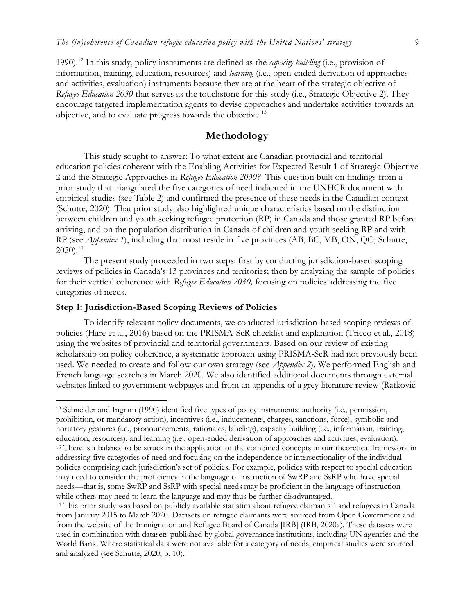1990).<sup>12</sup> In this study, policy instruments are defined as the *capacity building* (i.e., provision of information, training, education, resources) and *learning* (i.e., open-ended derivation of approaches and activities, evaluation) instruments because they are at the heart of the strategic objective of *Refugee Education 2030* that serves as the touchstone for this study (i.e., Strategic Objective 2). They encourage targeted implementation agents to devise approaches and undertake activities towards an objective, and to evaluate progress towards the objective.<sup>13</sup>

## **Methodology**

This study sought to answer: To what extent are Canadian provincial and territorial education policies coherent with the Enabling Activities for Expected Result 1 of Strategic Objective 2 and the Strategic Approaches in *Refugee Education 2030?* This question built on findings from a prior study that triangulated the five categories of need indicated in the UNHCR document with empirical studies (see Table 2) and confirmed the presence of these needs in the Canadian context (Schutte, 2020). That prior study also highlighted unique characteristics based on the distinction between children and youth seeking refugee protection (RP) in Canada and those granted RP before arriving, and on the population distribution in Canada of children and youth seeking RP and with RP (see *Appendix 1*), including that most reside in five provinces (AB, BC, MB, ON, QC; Schutte,  $2020$ ).<sup>14</sup>

The present study proceeded in two steps: first by conducting jurisdiction-based scoping reviews of policies in Canada's 13 provinces and territories; then by analyzing the sample of policies for their vertical coherence with *Refugee Education 2030,* focusing on policies addressing the five categories of needs.

#### **Step 1: Jurisdiction-Based Scoping Reviews of Policies**

 $\overline{a}$ 

To identify relevant policy documents, we conducted jurisdiction-based scoping reviews of policies (Hare et al., 2016) based on the PRISMA-ScR checklist and explanation (Tricco et al., 2018) using the websites of provincial and territorial governments. Based on our review of existing scholarship on policy coherence, a systematic approach using PRISMA-ScR had not previously been used. We needed to create and follow our own strategy (see *Appendix 2*). We performed English and French language searches in March 2020. We also identified additional documents through external websites linked to government webpages and from an appendix of a grey literature review (Ratković

<sup>12</sup> Schneider and Ingram (1990) identified five types of policy instruments: authority (i.e., permission, prohibition, or mandatory action), incentives (i.e., inducements, charges, sanctions, force), symbolic and hortatory gestures (i.e., pronouncements, rationales, labeling), capacity building (i.e., information, training, education, resources), and learning (i.e., open-ended derivation of approaches and activities, evaluation). <sup>13</sup> There is a balance to be struck in the application of the combined concepts in our theoretical framework in addressing five categories of need and focusing on the independence or intersectionality of the individual policies comprising each jurisdiction's set of policies. For example, policies with respect to special education may need to consider the proficiency in the language of instruction of SwRP and SsRP who have special needs—that is, some SwRP and SsRP with special needs may be proficient in the language of instruction while others may need to learn the language and may thus be further disadvantaged.

<sup>&</sup>lt;sup>14</sup> This prior study was based on publicly available statistics about refugee claimants<sup>14</sup> and refugees in Canada from January 2015 to March 2020. Datasets on refugee claimants were sourced from Open Government and from the website of the Immigration and Refugee Board of Canada [IRB] (IRB, 2020a). These datasets were used in combination with datasets published by global governance institutions, including UN agencies and the World Bank. Where statistical data were not available for a category of needs, empirical studies were sourced and analyzed (see Schutte, 2020, p. 10).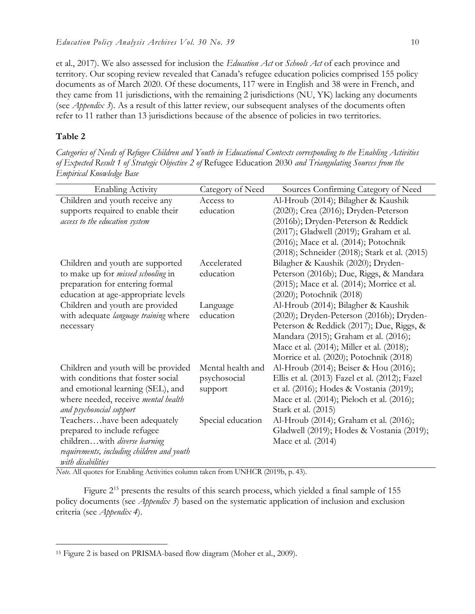et al., 2017). We also assessed for inclusion the *Education Act* or *Schools Act* of each province and territory. Our scoping review revealed that Canada's refugee education policies comprised 155 policy documents as of March 2020. Of these documents, 117 were in English and 38 were in French, and they came from 11 jurisdictions, with the remaining 2 jurisdictions (NU, YK) lacking any documents (see *Appendix 3*). As a result of this latter review, our subsequent analyses of the documents often refer to 11 rather than 13 jurisdictions because of the absence of policies in two territories.

#### **Table 2**

 $\overline{a}$ 

*Categories of Needs of Refugee Children and Youth in Educational Contexts corresponding to the Enabling Activities of Expected Result 1 of Strategic Objective 2 of* Refugee Education 2030 *and Triangulating Sources from the Empirical Knowledge Base*

| <b>Enabling Activity</b>                   | Category of Need  | Sources Confirming Category of Need            |
|--------------------------------------------|-------------------|------------------------------------------------|
| Children and youth receive any             | Access to         | Al-Hroub (2014); Bilagher & Kaushik            |
| supports required to enable their          | education         | (2020); Crea (2016); Dryden-Peterson           |
| access to the education system             |                   | (2016b); Dryden-Peterson & Reddick             |
|                                            |                   | (2017); Gladwell (2019); Graham et al.         |
|                                            |                   | (2016); Mace et al. (2014); Potochnik          |
|                                            |                   | (2018); Schneider (2018); Stark et al. (2015)  |
| Children and youth are supported           | Accelerated       | Bilagher & Kaushik (2020); Dryden-             |
| to make up for <i>missed schooling</i> in  | education         | Peterson (2016b); Due, Riggs, & Mandara        |
| preparation for entering formal            |                   | (2015); Mace et al. (2014); Morrice et al.     |
| education at age-appropriate levels        |                   | (2020); Potochnik (2018)                       |
| Children and youth are provided            | Language          | Al-Hroub (2014); Bilagher & Kaushik            |
| with adequate language training where      | education         | (2020); Dryden-Peterson (2016b); Dryden-       |
| necessary                                  |                   | Peterson & Reddick (2017); Due, Riggs, &       |
|                                            |                   | Mandara (2015); Graham et al. (2016);          |
|                                            |                   | Mace et al. (2014); Miller et al. (2018);      |
|                                            |                   | Morrice et al. (2020); Potochnik (2018)        |
| Children and youth will be provided        | Mental health and | Al-Hroub (2014); Beiser & Hou (2016);          |
| with conditions that foster social         | psychosocial      | Ellis et al. (2013) Fazel et al. (2012); Fazel |
| and emotional learning (SEL), and          | support           | et al. (2016); Hodes & Vostania (2019);        |
| where needed, receive mental health        |                   | Mace et al. (2014); Pieloch et al. (2016);     |
| and psychosocial support                   |                   | Stark et al. (2015)                            |
| Teachershave been adequately               | Special education | Al-Hroub (2014); Graham et al. (2016);         |
| prepared to include refugee                |                   | Gladwell (2019); Hodes & Vostania (2019);      |
| childrenwith diverse learning              |                   | Mace et al. (2014)                             |
| requirements, including children and youth |                   |                                                |
| with disabilities                          |                   |                                                |

*Note.* All quotes for Enabling Activities column taken from UNHCR (2019b, p. 43).

Figure  $2^{15}$  presents the results of this search process, which yielded a final sample of 155 policy documents (see *Appendix 3*) based on the systematic application of inclusion and exclusion criteria (see *Appendix 4*).

<sup>15</sup> Figure 2 is based on PRISMA-based flow diagram (Moher et al., 2009).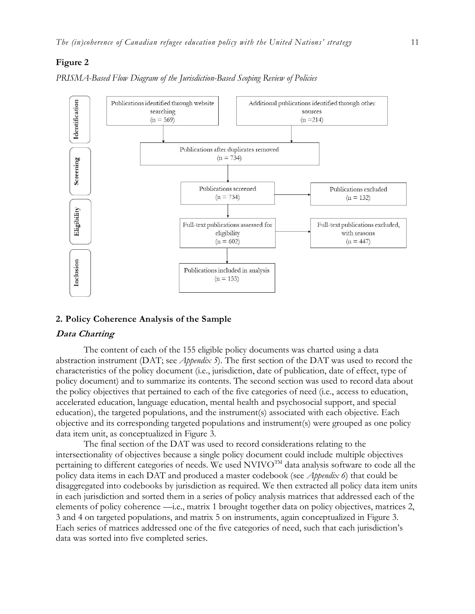#### **Figure 2**

*PRISMA-Based Flow Diagram of the Jurisdiction-Based Scoping Review of Policies* 



#### **2. Policy Coherence Analysis of the Sample**

#### **Data Charting**

The content of each of the 155 eligible policy documents was charted using a data abstraction instrument (DAT; see *Appendix 5*). The first section of the DAT was used to record the characteristics of the policy document (i.e., jurisdiction, date of publication, date of effect, type of policy document) and to summarize its contents. The second section was used to record data about the policy objectives that pertained to each of the five categories of need (i.e., access to education, accelerated education, language education, mental health and psychosocial support, and special education), the targeted populations, and the instrument(s) associated with each objective. Each objective and its corresponding targeted populations and instrument(s) were grouped as one policy data item unit, as conceptualized in Figure 3.

The final section of the DAT was used to record considerations relating to the intersectionality of objectives because a single policy document could include multiple objectives pertaining to different categories of needs. We used NVIVO<sup>TM</sup> data analysis software to code all the policy data items in each DAT and produced a master codebook (see *Appendix 6*) that could be disaggregated into codebooks by jurisdiction as required. We then extracted all policy data item units in each jurisdiction and sorted them in a series of policy analysis matrices that addressed each of the elements of policy coherence —i.e., matrix 1 brought together data on policy objectives, matrices 2, 3 and 4 on targeted populations, and matrix 5 on instruments, again conceptualized in Figure 3. Each series of matrices addressed one of the five categories of need, such that each jurisdiction's data was sorted into five completed series.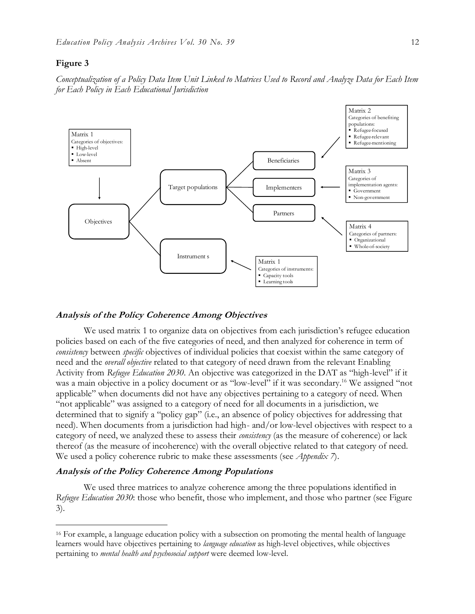#### **Figure 3**

 $\overline{a}$ 

*Conceptualization of a Policy Data Item Unit Linked to Matrices Used to Record and Analyze Data for Each Item for Each Policy in Each Educational Jurisdiction*



#### **Analysis of the Policy Coherence Among Objectives**

We used matrix 1 to organize data on objectives from each jurisdiction's refugee education policies based on each of the five categories of need, and then analyzed for coherence in term of *consistency* between *specific* objectives of individual policies that coexist within the same category of need and the *overall objective* related to that category of need drawn from the relevant Enabling Activity from *Refugee Education 2030*. An objective was categorized in the DAT as "high-level" if it was a main objective in a policy document or as "low-level" if it was secondary.<sup>16</sup> We assigned "not applicable" when documents did not have any objectives pertaining to a category of need. When "not applicable" was assigned to a category of need for all documents in a jurisdiction, we determined that to signify a "policy gap" (i.e., an absence of policy objectives for addressing that need). When documents from a jurisdiction had high- and/or low-level objectives with respect to a category of need, we analyzed these to assess their *consistency* (as the measure of coherence) or lack thereof (as the measure of incoherence) with the overall objective related to that category of need. We used a policy coherence rubric to make these assessments (see *Appendix 7*).

#### **Analysis of the Policy Coherence Among Populations**

We used three matrices to analyze coherence among the three populations identified in *Refugee Education 2030*: those who benefit, those who implement, and those who partner (see Figure 3).

<sup>16</sup> For example, a language education policy with a subsection on promoting the mental health of language learners would have objectives pertaining to *language education* as high-level objectives, while objectives pertaining to *mental health and psychosocial support* were deemed low-level.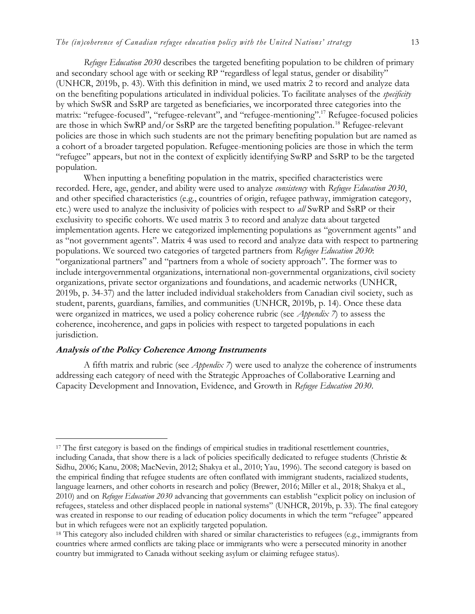*Refugee Education 2030* describes the targeted benefiting population to be children of primary and secondary school age with or seeking RP "regardless of legal status, gender or disability" (UNHCR, 2019b, p. 43). With this definition in mind, we used matrix 2 to record and analyze data on the benefiting populations articulated in individual policies. To facilitate analyses of the *specificity* by which SwSR and SsRP are targeted as beneficiaries, we incorporated three categories into the matrix "refugee-focused", "refugee-relevant", and "refugee-mentioning".<sup>17</sup> Refugee-focused policies are those in which SwRP and/or SsRP are the targeted benefiting population.<sup>18</sup> Refugee-relevant policies are those in which such students are not the primary benefiting population but are named as a cohort of a broader targeted population. Refugee-mentioning policies are those in which the term "refugee" appears, but not in the context of explicitly identifying SwRP and SsRP to be the targeted population.

When inputting a benefiting population in the matrix, specified characteristics were recorded. Here, age, gender, and ability were used to analyze *consistency* with *Refugee Education 2030*, and other specified characteristics (e.g., countries of origin, refugee pathway, immigration category, etc.) were used to analyze the inclusivity of policies with respect to *all* SwRP and SsRP or their exclusivity to specific cohorts. We used matrix 3 to record and analyze data about targeted implementation agents. Here we categorized implementing populations as "government agents" and as "not government agents". Matrix 4 was used to record and analyze data with respect to partnering populations. We sourced two categories of targeted partners from *Refugee Education 2030*: "organizational partners" and "partners from a whole of society approach". The former was to include intergovernmental organizations, international non-governmental organizations, civil society organizations, private sector organizations and foundations, and academic networks (UNHCR, 2019b, p. 34-37) and the latter included individual stakeholders from Canadian civil society, such as student, parents, guardians, families, and communities (UNHCR, 2019b, p. 14). Once these data were organized in matrices, we used a policy coherence rubric (see *Appendix 7*) to assess the coherence, incoherence, and gaps in policies with respect to targeted populations in each jurisdiction.

#### **Analysis of the Policy Coherence Among Instruments**

 $\overline{a}$ 

A fifth matrix and rubric (see *Appendix 7*) were used to analyze the coherence of instruments addressing each category of need with the Strategic Approaches of Collaborative Learning and Capacity Development and Innovation, Evidence, and Growth in *Refugee Education 2030*.

<sup>&</sup>lt;sup>17</sup> The first category is based on the findings of empirical studies in traditional resettlement countries, including Canada, that show there is a lack of policies specifically dedicated to refugee students (Christie & Sidhu, 2006; Kanu, 2008; MacNevin, 2012; Shakya et al., 2010; Yau, 1996). The second category is based on the empirical finding that refugee students are often conflated with immigrant students, racialized students, language learners, and other cohorts in research and policy (Brewer, 2016; Miller et al., 2018; Shakya et al., 2010) and on *Refugee Education 2030* advancing that governments can establish "explicit policy on inclusion of refugees, stateless and other displaced people in national systems" (UNHCR, 2019b, p. 33). The final category was created in response to our reading of education policy documents in which the term "refugee" appeared but in which refugees were not an explicitly targeted population.

<sup>18</sup> This category also included children with shared or similar characteristics to refugees (e.g., immigrants from countries where armed conflicts are taking place or immigrants who were a persecuted minority in another country but immigrated to Canada without seeking asylum or claiming refugee status).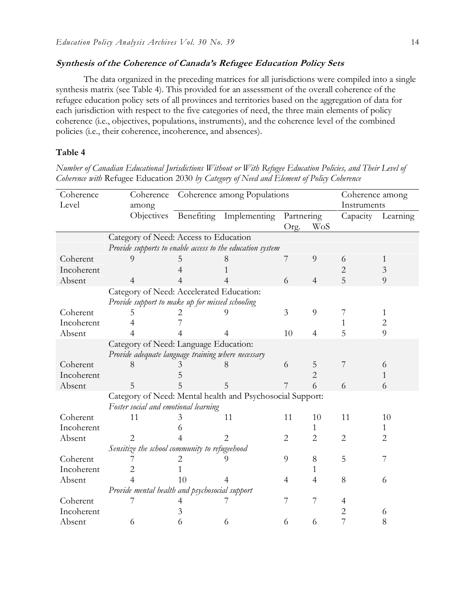### **Synthesis of the Coherence of Canada's Refugee Education Policy Sets**

The data organized in the preceding matrices for all jurisdictions were compiled into a single synthesis matrix (see Table 4). This provided for an assessment of the overall coherence of the refugee education policy sets of all provinces and territories based on the aggregation of data for each jurisdiction with respect to the five categories of need, the three main elements of policy coherence (i.e., objectives, populations, instruments), and the coherence level of the combined policies (i.e., their coherence, incoherence, and absences).

#### **Table 4**

*Number of Canadian Educational Jurisdictions Without or With Refugee Education Policies, and Their Level of Coherence with* Refugee Education 2030 *by Category of Need and Element of Policy Coherence*

| Coherence  | Coherence                                                 | Coherence among Populations |                         | Coherence among |                |                |          |
|------------|-----------------------------------------------------------|-----------------------------|-------------------------|-----------------|----------------|----------------|----------|
| Level      | among                                                     |                             |                         | Instruments     |                |                |          |
|            | Objectives                                                |                             | Benefiting Implementing | Partnering      |                | Capacity       | Learning |
|            |                                                           |                             |                         | Org.            | WoS            |                |          |
|            | Category of Need: Access to Education                     |                             |                         |                 |                |                |          |
|            | Provide supports to enable access to the education system |                             |                         |                 |                |                |          |
| Coherent   |                                                           |                             |                         | 7               | 9              | 6              |          |
| Incoherent |                                                           |                             |                         |                 |                | 2              | 3        |
| Absent     |                                                           |                             |                         | 6               | $\overline{4}$ | 5              | 9        |
|            | Category of Need: Accelerated Education:                  |                             |                         |                 |                |                |          |
|            | Provide support to make up for missed schooling           |                             |                         |                 |                |                |          |
| Coherent   |                                                           |                             |                         | 3               | 9              | 7              | 1        |
| Incoherent |                                                           |                             |                         |                 |                | 1              | 2        |
| Absent     |                                                           |                             |                         | 10              | $\overline{4}$ | 5              | 9        |
|            | Category of Need: Language Education:                     |                             |                         |                 |                |                |          |
|            | Provide adequate language training where necessary        |                             |                         |                 |                |                |          |
| Coherent   |                                                           |                             |                         | 6               | 5              | 7              | 6        |
| Incoherent |                                                           |                             |                         |                 | 2              |                |          |
| Absent     | 5                                                         |                             | 5                       |                 | 6              | 6              | 6        |
|            | Category of Need: Mental health and Psychosocial Support: |                             |                         |                 |                |                |          |
|            | Foster social and emotional learning                      |                             |                         |                 |                |                |          |
| Coherent   | 11                                                        |                             | 11                      | 11              | 10             | 11             | 10       |
| Incoherent |                                                           |                             |                         |                 |                |                |          |
| Absent     |                                                           |                             |                         | $\overline{2}$  | 2              | $\overline{2}$ | 2        |
|            | Sensitize the school community to refugeehood             |                             |                         |                 |                |                |          |
| Coherent   |                                                           |                             |                         | 9               | 8              | 5              |          |
| Incoherent |                                                           |                             |                         |                 | 1              |                |          |
| Absent     |                                                           | 10                          |                         | 4               | $\overline{4}$ | 8              | 6        |
|            | Provide mental health and psychosocial support            |                             |                         |                 |                |                |          |
| Coherent   |                                                           |                             |                         | 7               | 7              | 4              |          |
| Incoherent |                                                           | 3                           |                         |                 |                | 2              | 6        |
| Absent     | 6                                                         | 6                           | 6                       | 6               | 6              | 7              | 8        |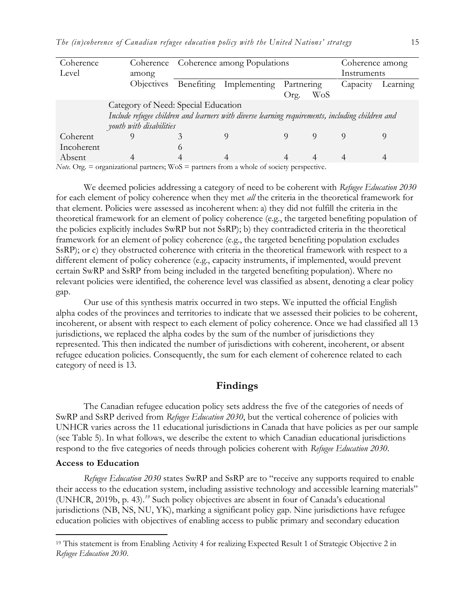| Coherence  | Coherence                                                                                        |              | Coherence among Populations |            |     | Coherence among |          |
|------------|--------------------------------------------------------------------------------------------------|--------------|-----------------------------|------------|-----|-----------------|----------|
| Level      | among                                                                                            |              |                             |            |     | Instruments     |          |
|            | <i><b>Objectives</b></i>                                                                         |              | Benefiting Implementing     | Partnering |     | Capacity        | Learning |
|            |                                                                                                  |              |                             | Org.       | WoS |                 |          |
|            | Category of Need: Special Education                                                              |              |                             |            |     |                 |          |
|            | Include refugee children and learners with diverse learning requirements, including children and |              |                             |            |     |                 |          |
|            | youth with disabilities                                                                          |              |                             |            |     |                 |          |
| Coherent   |                                                                                                  |              |                             |            |     |                 |          |
| Incoherent |                                                                                                  | $\Omega$     |                             |            |     |                 |          |
| Absent     |                                                                                                  |              |                             |            | 4   |                 |          |
| $\cdots$   |                                                                                                  | $\mathbf{X}$ | $\sim$ $\sim$               |            |     |                 |          |

*Note.* Org.  $=$  organizational partners;  $WoS =$  partners from a whole of society perspective.

We deemed policies addressing a category of need to be coherent with *Refugee Education 2030* for each element of policy coherence when they met *all* the criteria in the theoretical framework for that element. Policies were assessed as incoherent when: a) they did not fulfill the criteria in the theoretical framework for an element of policy coherence (e.g., the targeted benefiting population of the policies explicitly includes SwRP but not SsRP); b) they contradicted criteria in the theoretical framework for an element of policy coherence (e.g., the targeted benefiting population excludes SsRP); or c) they obstructed coherence with criteria in the theoretical framework with respect to a different element of policy coherence (e.g., capacity instruments, if implemented, would prevent certain SwRP and SsRP from being included in the targeted benefiting population). Where no relevant policies were identified, the coherence level was classified as absent, denoting a clear policy gap.

Our use of this synthesis matrix occurred in two steps. We inputted the official English alpha codes of the provinces and territories to indicate that we assessed their policies to be coherent, incoherent, or absent with respect to each element of policy coherence. Once we had classified all 13 jurisdictions, we replaced the alpha codes by the sum of the number of jurisdictions they represented. This then indicated the number of jurisdictions with coherent, incoherent, or absent refugee education policies. Consequently, the sum for each element of coherence related to each category of need is 13.

## **Findings**

The Canadian refugee education policy sets address the five of the categories of needs of SwRP and SsRP derived from *Refugee Education 2030*, but the vertical coherence of policies with UNHCR varies across the 11 educational jurisdictions in Canada that have policies as per our sample (see Table 5). In what follows, we describe the extent to which Canadian educational jurisdictions respond to the five categories of needs through policies coherent with *Refugee Education 2030*.

#### **Access to Education**

 $\overline{a}$ 

*Refugee Education 2030* states SwRP and SsRP are to "receive any supports required to enable their access to the education system, including assistive technology and accessible learning materials" (UNHCR, 2019b, p. 43).*<sup>19</sup>* Such policy objectives are absent in four of Canada's educational jurisdictions (NB, NS, NU, YK), marking a significant policy gap. Nine jurisdictions have refugee education policies with objectives of enabling access to public primary and secondary education

<sup>19</sup> This statement is from Enabling Activity 4 for realizing Expected Result 1 of Strategic Objective 2 in *Refugee Education 2030*.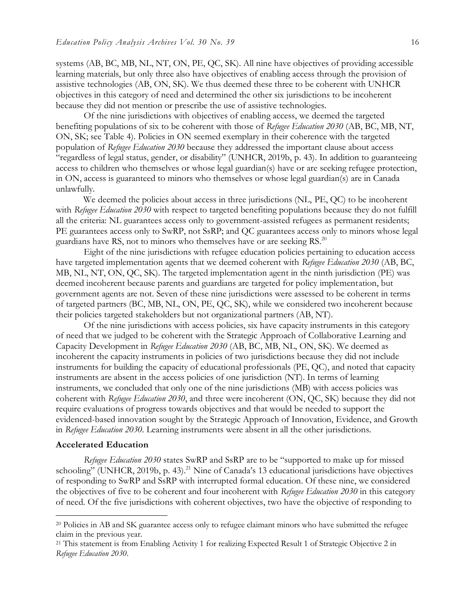systems (AB, BC, MB, NL, NT, ON, PE, QC, SK). All nine have objectives of providing accessible learning materials, but only three also have objectives of enabling access through the provision of assistive technologies (AB, ON, SK). We thus deemed these three to be coherent with UNHCR objectives in this category of need and determined the other six jurisdictions to be incoherent because they did not mention or prescribe the use of assistive technologies.

Of the nine jurisdictions with objectives of enabling access, we deemed the targeted benefiting populations of six to be coherent with those of *Refugee Education 2030* (AB, BC, MB, NT, ON, SK; see Table 4). Policies in ON seemed exemplary in their coherence with the targeted population of *Refugee Education 2030* because they addressed the important clause about access "regardless of legal status, gender, or disability" (UNHCR, 2019b, p. 43). In addition to guaranteeing access to children who themselves or whose legal guardian(s) have or are seeking refugee protection, in ON, access is guaranteed to minors who themselves or whose legal guardian(s) are in Canada unlawfully.

We deemed the policies about access in three jurisdictions (NL, PE, QC) to be incoherent with *Refugee Education 2030* with respect to targeted benefiting populations because they do not fulfill all the criteria: NL guarantees access only to government-assisted refugees as permanent residents; PE guarantees access only to SwRP, not SsRP; and OC guarantees access only to minors whose legal guardians have RS, not to minors who themselves have or are seeking RS.<sup>20</sup>

Eight of the nine jurisdictions with refugee education policies pertaining to education access have targeted implementation agents that we deemed coherent with *Refugee Education 2030* (AB, BC, MB, NL, NT, ON, QC, SK). The targeted implementation agent in the ninth jurisdiction (PE) was deemed incoherent because parents and guardians are targeted for policy implementation, but government agents are not. Seven of these nine jurisdictions were assessed to be coherent in terms of targeted partners (BC, MB, NL, ON, PE, QC, SK), while we considered two incoherent because their policies targeted stakeholders but not organizational partners (AB, NT).

Of the nine jurisdictions with access policies, six have capacity instruments in this category of need that we judged to be coherent with the Strategic Approach of Collaborative Learning and Capacity Development in *Refugee Education 2030* (AB, BC, MB, NL, ON, SK). We deemed as incoherent the capacity instruments in policies of two jurisdictions because they did not include instruments for building the capacity of educational professionals (PE, QC), and noted that capacity instruments are absent in the access policies of one jurisdiction (NT). In terms of learning instruments, we concluded that only one of the nine jurisdictions (MB) with access policies was coherent with *Refugee Education 2030*, and three were incoherent (ON, QC, SK) because they did not require evaluations of progress towards objectives and that would be needed to support the evidenced-based innovation sought by the Strategic Approach of Innovation, Evidence, and Growth in *Refugee Education 2030*. Learning instruments were absent in all the other jurisdictions.

#### **Accelerated Education**

 $\overline{a}$ 

*Refugee Education 2030* states SwRP and SsRP are to be "supported to make up for missed schooling" (UNHCR, 2019b, p. 43).<sup>21</sup> Nine of Canada's 13 educational jurisdictions have objectives of responding to SwRP and SsRP with interrupted formal education. Of these nine, we considered the objectives of five to be coherent and four incoherent with *Refugee Education 2030* in this category of need. Of the five jurisdictions with coherent objectives, two have the objective of responding to

<sup>&</sup>lt;sup>20</sup> Policies in AB and SK guarantee access only to refugee claimant minors who have submitted the refugee claim in the previous year.

<sup>21</sup> This statement is from Enabling Activity 1 for realizing Expected Result 1 of Strategic Objective 2 in *Refugee Education 2030*.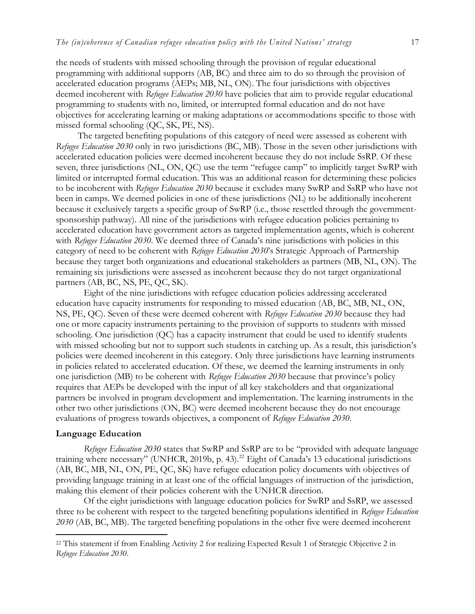the needs of students with missed schooling through the provision of regular educational programming with additional supports (AB, BC) and three aim to do so through the provision of accelerated education programs (AEPs; MB, NL, ON). The four jurisdictions with objectives deemed incoherent with *Refugee Education 2030* have policies that aim to provide regular educational programming to students with no, limited, or interrupted formal education and do not have objectives for accelerating learning or making adaptations or accommodations specific to those with missed formal schooling (QC, SK, PE, NS).

The targeted benefiting populations of this category of need were assessed as coherent with *Refugee Education 2030* only in two jurisdictions (BC, MB). Those in the seven other jurisdictions with accelerated education policies were deemed incoherent because they do not include SsRP. Of these seven, three jurisdictions (NL, ON, QC) use the term "refugee camp" to implicitly target SwRP with limited or interrupted formal education. This was an additional reason for determining these policies to be incoherent with *Refugee Education 2030* because it excludes many SwRP and SsRP who have not been in camps. We deemed policies in one of these jurisdictions (NL) to be additionally incoherent because it exclusively targets a specific group of SwRP (i.e., those resettled through the governmentsponsorship pathway). All nine of the jurisdictions with refugee education policies pertaining to accelerated education have government actors as targeted implementation agents, which is coherent with *Refugee Education 2030*. We deemed three of Canada's nine jurisdictions with policies in this category of need to be coherent with *Refugee Education 2030*'s Strategic Approach of Partnership because they target both organizations and educational stakeholders as partners (MB, NL, ON). The remaining six jurisdictions were assessed as incoherent because they do not target organizational partners (AB, BC, NS, PE, QC, SK).

Eight of the nine jurisdictions with refugee education policies addressing accelerated education have capacity instruments for responding to missed education (AB, BC, MB, NL, ON, NS, PE, QC). Seven of these were deemed coherent with *Refugee Education 2030* because they had one or more capacity instruments pertaining to the provision of supports to students with missed schooling. One jurisdiction (QC) has a capacity instrument that could be used to identify students with missed schooling but not to support such students in catching up. As a result, this jurisdiction's policies were deemed incoherent in this category. Only three jurisdictions have learning instruments in policies related to accelerated education. Of these, we deemed the learning instruments in only one jurisdiction (MB) to be coherent with *Refugee Education 2030* because that province's policy requires that AEPs be developed with the input of all key stakeholders and that organizational partners be involved in program development and implementation. The learning instruments in the other two other jurisdictions (ON, BC) were deemed incoherent because they do not encourage evaluations of progress towards objectives, a component of *Refugee Education 2030*.

#### **Language Education**

 $\overline{a}$ 

*Refugee Education 2030* states that SwRP and SsRP are to be "provided with adequate language training where necessary" (UNHCR, 2019b, p. 43).<sup>22</sup> Eight of Canada's 13 educational jurisdictions (AB, BC, MB, NL, ON, PE, QC, SK) have refugee education policy documents with objectives of providing language training in at least one of the official languages of instruction of the jurisdiction, making this element of their policies coherent with the UNHCR direction.

Of the eight jurisdictions with language education policies for SwRP and SsRP, we assessed three to be coherent with respect to the targeted benefiting populations identified in *Refugee Education 2030* (AB, BC, MB). The targeted benefiting populations in the other five were deemed incoherent

<sup>22</sup> This statement if from Enabling Activity 2 for realizing Expected Result 1 of Strategic Objective 2 in *Refugee Education 2030*.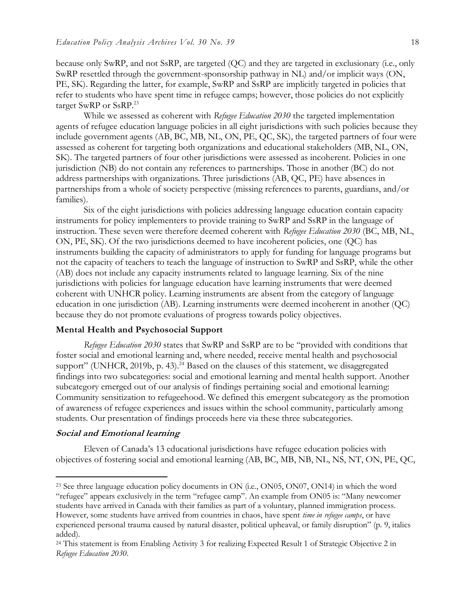because only SwRP, and not SsRP, are targeted (QC) and they are targeted in exclusionary (i.e., only SwRP resettled through the government-sponsorship pathway in NL) and/or implicit ways (ON, PE, SK). Regarding the latter, for example, SwRP and SsRP are implicitly targeted in policies that refer to students who have spent time in refugee camps; however, those policies do not explicitly target SwRP or SsRP.<sup>23</sup>

While we assessed as coherent with *Refugee Education 2030* the targeted implementation agents of refugee education language policies in all eight jurisdictions with such policies because they include government agents (AB, BC, MB, NL, ON, PE, QC, SK), the targeted partners of four were assessed as coherent for targeting both organizations and educational stakeholders (MB, NL, ON, SK). The targeted partners of four other jurisdictions were assessed as incoherent. Policies in one jurisdiction (NB) do not contain any references to partnerships. Those in another (BC) do not address partnerships with organizations. Three jurisdictions (AB, QC, PE) have absences in partnerships from a whole of society perspective (missing references to parents, guardians, and/or families).

Six of the eight jurisdictions with policies addressing language education contain capacity instruments for policy implementers to provide training to SwRP and SsRP in the language of instruction. These seven were therefore deemed coherent with *Refugee Education 2030* (BC, MB, NL, ON, PE, SK). Of the two jurisdictions deemed to have incoherent policies, one (QC) has instruments building the capacity of administrators to apply for funding for language programs but not the capacity of teachers to teach the language of instruction to SwRP and SsRP, while the other (AB) does not include any capacity instruments related to language learning. Six of the nine jurisdictions with policies for language education have learning instruments that were deemed coherent with UNHCR policy. Learning instruments are absent from the category of language education in one jurisdiction (AB). Learning instruments were deemed incoherent in another (QC) because they do not promote evaluations of progress towards policy objectives.

#### **Mental Health and Psychosocial Support**

*Refugee Education 2030* states that SwRP and SsRP are to be "provided with conditions that foster social and emotional learning and, where needed, receive mental health and psychosocial support" (UNHCR, 2019b, p. 43).<sup>24</sup> Based on the clauses of this statement, we disaggregated findings into two subcategories: social and emotional learning and mental health support. Another subcategory emerged out of our analysis of findings pertaining social and emotional learning: Community sensitization to refugeehood. We defined this emergent subcategory as the promotion of awareness of refugee experiences and issues within the school community, particularly among students. Our presentation of findings proceeds here via these three subcategories.

## **Social and Emotional learning**

 $\overline{a}$ 

Eleven of Canada's 13 educational jurisdictions have refugee education policies with objectives of fostering social and emotional learning (AB, BC, MB, NB, NL, NS, NT, ON, PE, QC,

<sup>&</sup>lt;sup>23</sup> See three language education policy documents in ON (i.e., ON05, ON07, ON14) in which the word "refugee" appears exclusively in the term "refugee camp". An example from ON05 is "Many newcomer students have arrived in Canada with their families as part of a voluntary, planned immigration process. However, some students have arrived from countries in chaos, have spent *time in refugee camps*, or have experienced personal trauma caused by natural disaster, political upheaval, or family disruption" (p. 9, italics added).

<sup>24</sup> This statement is from Enabling Activity 3 for realizing Expected Result 1 of Strategic Objective 2 in *Refugee Education 2030*.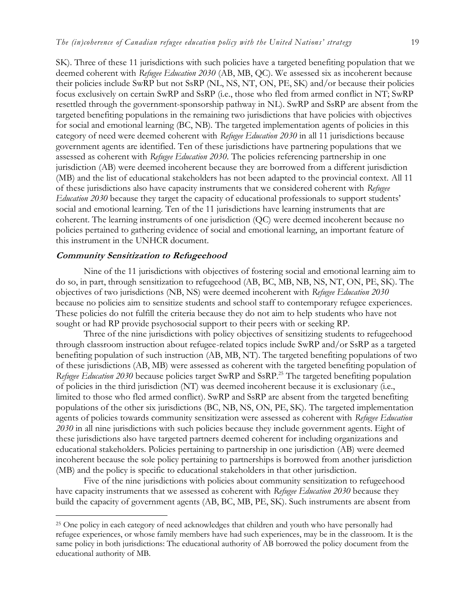SK). Three of these 11 jurisdictions with such policies have a targeted benefiting population that we deemed coherent with *Refugee Education 2030* (AB, MB, QC). We assessed six as incoherent because their policies include SwRP but not SsRP (NL, NS, NT, ON, PE, SK) and/or because their policies focus exclusively on certain SwRP and SsRP (i.e., those who fled from armed conflict in NT; SwRP resettled through the government-sponsorship pathway in NL). SwRP and SsRP are absent from the targeted benefiting populations in the remaining two jurisdictions that have policies with objectives for social and emotional learning (BC, NB). The targeted implementation agents of policies in this category of need were deemed coherent with *Refugee Education 2030* in all 11 jurisdictions because government agents are identified. Ten of these jurisdictions have partnering populations that we assessed as coherent with *Refugee Education 2030*. The policies referencing partnership in one jurisdiction (AB) were deemed incoherent because they are borrowed from a different jurisdiction (MB) and the list of educational stakeholders has not been adapted to the provincial context. All 11 of these jurisdictions also have capacity instruments that we considered coherent with *Refugee Education 2030* because they target the capacity of educational professionals to support students' social and emotional learning. Ten of the 11 jurisdictions have learning instruments that are coherent. The learning instruments of one jurisdiction (QC) were deemed incoherent because no policies pertained to gathering evidence of social and emotional learning, an important feature of this instrument in the UNHCR document.

## **Community Sensitization to Refugeehood**

 $\overline{a}$ 

Nine of the 11 jurisdictions with objectives of fostering social and emotional learning aim to do so, in part, through sensitization to refugeehood (AB, BC, MB, NB, NS, NT, ON, PE, SK). The objectives of two jurisdictions (NB, NS) were deemed incoherent with *Refugee Education 2030* because no policies aim to sensitize students and school staff to contemporary refugee experiences. These policies do not fulfill the criteria because they do not aim to help students who have not sought or had RP provide psychosocial support to their peers with or seeking RP.

Three of the nine jurisdictions with policy objectives of sensitizing students to refugeehood through classroom instruction about refugee-related topics include SwRP and/or SsRP as a targeted benefiting population of such instruction (AB, MB, NT). The targeted benefiting populations of two of these jurisdictions (AB, MB) were assessed as coherent with the targeted benefiting population of *Refugee Education 2030* because policies target SwRP and SsRP.<sup>25</sup> The targeted benefiting population of policies in the third jurisdiction (NT) was deemed incoherent because it is exclusionary (i.e., limited to those who fled armed conflict). SwRP and SsRP are absent from the targeted benefiting populations of the other six jurisdictions (BC, NB, NS, ON, PE, SK). The targeted implementation agents of policies towards community sensitization were assessed as coherent with *Refugee Education 2030* in all nine jurisdictions with such policies because they include government agents. Eight of these jurisdictions also have targeted partners deemed coherent for including organizations and educational stakeholders. Policies pertaining to partnership in one jurisdiction (AB) were deemed incoherent because the sole policy pertaining to partnerships is borrowed from another jurisdiction (MB) and the policy is specific to educational stakeholders in that other jurisdiction.

Five of the nine jurisdictions with policies about community sensitization to refugeehood have capacity instruments that we assessed as coherent with *Refugee Education 2030* because they build the capacity of government agents (AB, BC, MB, PE, SK). Such instruments are absent from

<sup>&</sup>lt;sup>25</sup> One policy in each category of need acknowledges that children and youth who have personally had refugee experiences, or whose family members have had such experiences, may be in the classroom. It is the same policy in both jurisdictions: The educational authority of AB borrowed the policy document from the educational authority of MB.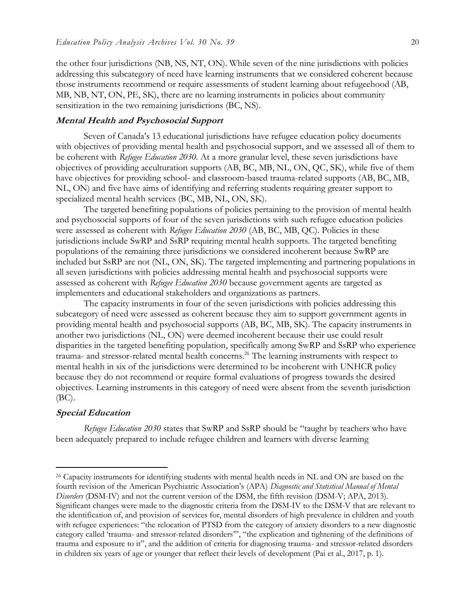the other four jurisdictions (NB, NS, NT, ON). While seven of the nine jurisdictions with policies addressing this subcategory of need have learning instruments that we considered coherent because those instruments recommend or require assessments of student learning about refugeehood (AB, MB, NB, NT, ON, PE, SK), there are no learning instruments in policies about community sensitization in the two remaining jurisdictions (BC, NS).

#### **Mental Health and Psychosocial Support**

Seven of Canada's 13 educational jurisdictions have refugee education policy documents with objectives of providing mental health and psychosocial support, and we assessed all of them to be coherent with *Refugee Education 2030*. At a more granular level, these seven jurisdictions have objectives of providing acculturation supports (AB, BC, MB, NL, ON, QC, SK), while five of them have objectives for providing school- and classroom-based trauma-related supports (AB, BC, MB, NL, ON) and five have aims of identifying and referring students requiring greater support to specialized mental health services (BC, MB, NL, ON, SK).

The targeted benefiting populations of policies pertaining to the provision of mental health and psychosocial supports of four of the seven jurisdictions with such refugee education policies were assessed as coherent with *Refugee Education 2030* (AB, BC, MB, QC). Policies in these jurisdictions include SwRP and SsRP requiring mental health supports. The targeted benefiting populations of the remaining three jurisdictions we considered incoherent because SwRP are included but SsRP are not (NL, ON, SK). The targeted implementing and partnering populations in all seven jurisdictions with policies addressing mental health and psychosocial supports were assessed as coherent with *Refugee Education 2030* because government agents are targeted as implementers and educational stakeholders and organizations as partners.

The capacity instruments in four of the seven jurisdictions with policies addressing this subcategory of need were assessed as coherent because they aim to support government agents in providing mental health and psychosocial supports (AB, BC, MB, SK). The capacity instruments in another two jurisdictions (NL, ON) were deemed incoherent because their use could result disparities in the targeted benefiting population, specifically among SwRP and SsRP who experience trauma- and stressor-related mental health concerns.<sup>26</sup> The learning instruments with respect to mental health in six of the jurisdictions were determined to be incoherent with UNHCR policy because they do not recommend or require formal evaluations of progress towards the desired objectives. Learning instruments in this category of need were absent from the seventh jurisdiction (BC).

#### **Special Education**

 $\overline{a}$ 

*Refugee Education 2030* states that SwRP and SsRP should be "taught by teachers who have been adequately prepared to include refugee children and learners with diverse learning

<sup>26</sup> Capacity instruments for identifying students with mental health needs in NL and ON are based on the fourth revision of the American Psychiatric Association's (APA) *Diagnostic and Statistical Manual of Mental Disorders* (DSM-IV) and not the current version of the DSM, the fifth revision (DSM-V; APA, 2013). Significant changes were made to the diagnostic criteria from the DSM-IV to the DSM-V that are relevant to the identification of, and provision of services for, mental disorders of high prevalence in children and youth with refugee experiences: "the relocation of PTSD from the category of anxiety disorders to a new diagnostic category called 'trauma- and stressor-related disorders'", "the explication and tightening of the definitions of trauma and exposure to it", and the addition of criteria for diagnosing trauma- and stressor-related disorders in children six years of age or younger that reflect their levels of development (Pai et al., 2017, p. 1).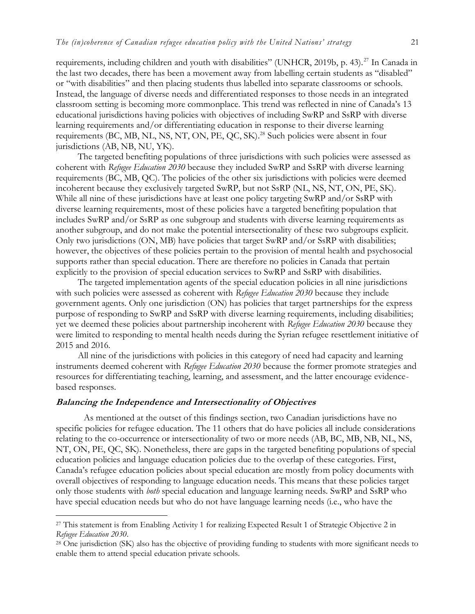requirements, including children and youth with disabilities" (UNHCR, 2019b, p. 43).<sup>27</sup> In Canada in the last two decades, there has been a movement away from labelling certain students as "disabled" or "with disabilities" and then placing students thus labelled into separate classrooms or schools. Instead, the language of diverse needs and differentiated responses to those needs in an integrated classroom setting is becoming more commonplace. This trend was reflected in nine of Canada's 13 educational jurisdictions having policies with objectives of including SwRP and SsRP with diverse learning requirements and/or differentiating education in response to their diverse learning requirements (BC, MB, NL, NS, NT, ON, PE, QC, SK).<sup>28</sup> Such policies were absent in four jurisdictions (AB, NB, NU, YK).

The targeted benefiting populations of three jurisdictions with such policies were assessed as coherent with *Refugee Education 2030* because they included SwRP and SsRP with diverse learning requirements (BC, MB, QC). The policies of the other six jurisdictions with policies were deemed incoherent because they exclusively targeted SwRP, but not SsRP (NL, NS, NT, ON, PE, SK). While all nine of these jurisdictions have at least one policy targeting SwRP and/or SsRP with diverse learning requirements, most of these policies have a targeted benefiting population that includes SwRP and/or SsRP as one subgroup and students with diverse learning requirements as another subgroup, and do not make the potential intersectionality of these two subgroups explicit. Only two jurisdictions (ON, MB) have policies that target SwRP and/or SsRP with disabilities; however, the objectives of these policies pertain to the provision of mental health and psychosocial supports rather than special education. There are therefore no policies in Canada that pertain explicitly to the provision of special education services to SwRP and SsRP with disabilities.

The targeted implementation agents of the special education policies in all nine jurisdictions with such policies were assessed as coherent with *Refugee Education 2030* because they include government agents. Only one jurisdiction (ON) has policies that target partnerships for the express purpose of responding to SwRP and SsRP with diverse learning requirements, including disabilities; yet we deemed these policies about partnership incoherent with *Refugee Education 2030* because they were limited to responding to mental health needs during the Syrian refugee resettlement initiative of 2015 and 2016.

All nine of the jurisdictions with policies in this category of need had capacity and learning instruments deemed coherent with *Refugee Education 2030* because the former promote strategies and resources for differentiating teaching, learning, and assessment, and the latter encourage evidencebased responses.

#### **Balancing the Independence and Intersectionality of Objectives**

 $\overline{a}$ 

As mentioned at the outset of this findings section, two Canadian jurisdictions have no specific policies for refugee education. The 11 others that do have policies all include considerations relating to the co-occurrence or intersectionality of two or more needs (AB, BC, MB, NB, NL, NS, NT, ON, PE, QC, SK). Nonetheless, there are gaps in the targeted benefiting populations of special education policies and language education policies due to the overlap of these categories. First, Canada's refugee education policies about special education are mostly from policy documents with overall objectives of responding to language education needs. This means that these policies target only those students with *both* special education and language learning needs. SwRP and SsRP who have special education needs but who do not have language learning needs (i.e., who have the

<sup>&</sup>lt;sup>27</sup> This statement is from Enabling Activity 1 for realizing Expected Result 1 of Strategic Objective 2 in *Refugee Education 2030*.

<sup>&</sup>lt;sup>28</sup> One jurisdiction (SK) also has the objective of providing funding to students with more significant needs to enable them to attend special education private schools.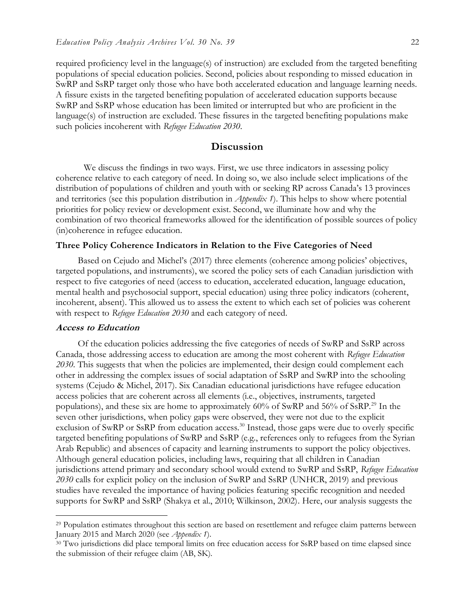required proficiency level in the language(s) of instruction) are excluded from the targeted benefiting populations of special education policies. Second, policies about responding to missed education in SwRP and SsRP target only those who have both accelerated education and language learning needs. A fissure exists in the targeted benefiting population of accelerated education supports because SwRP and SsRP whose education has been limited or interrupted but who are proficient in the language(s) of instruction are excluded. These fissures in the targeted benefiting populations make such policies incoherent with *Refugee Education 2030*.

#### **Discussion**

We discuss the findings in two ways. First, we use three indicators in assessing policy coherence relative to each category of need. In doing so, we also include select implications of the distribution of populations of children and youth with or seeking RP across Canada's 13 provinces and territories (see this population distribution in *Appendix 1*). This helps to show where potential priorities for policy review or development exist. Second, we illuminate how and why the combination of two theorical frameworks allowed for the identification of possible sources of policy (in)coherence in refugee education.

#### **Three Policy Coherence Indicators in Relation to the Five Categories of Need**

Based on Cejudo and Michel's (2017) three elements (coherence among policies' objectives, targeted populations, and instruments), we scored the policy sets of each Canadian jurisdiction with respect to five categories of need (access to education, accelerated education, language education, mental health and psychosocial support, special education) using three policy indicators (coherent, incoherent, absent). This allowed us to assess the extent to which each set of policies was coherent with respect to *Refugee Education 2030* and each category of need.

#### **Access to Education**

 $\overline{a}$ 

Of the education policies addressing the five categories of needs of SwRP and SsRP across Canada, those addressing access to education are among the most coherent with *Refugee Education 2030*. This suggests that when the policies are implemented, their design could complement each other in addressing the complex issues of social adaptation of SsRP and SwRP into the schooling systems (Cejudo & Michel, 2017). Six Canadian educational jurisdictions have refugee education access policies that are coherent across all elements (i.e., objectives, instruments, targeted populations), and these six are home to approximately  $60\%$  of SwRP and  $56\%$  of SsRP.<sup>29</sup> In the seven other jurisdictions, when policy gaps were observed, they were not due to the explicit exclusion of SwRP or SsRP from education access.<sup>30</sup> Instead, those gaps were due to overly specific targeted benefiting populations of SwRP and SsRP (e.g., references only to refugees from the Syrian Arab Republic) and absences of capacity and learning instruments to support the policy objectives. Although general education policies, including laws, requiring that all children in Canadian jurisdictions attend primary and secondary school would extend to SwRP and SsRP, *Refugee Education 2030* calls for explicit policy on the inclusion of SwRP and SsRP (UNHCR, 2019) and previous studies have revealed the importance of having policies featuring specific recognition and needed supports for SwRP and SsRP (Shakya et al., 2010; Wilkinson, 2002). Here, our analysis suggests the

<sup>29</sup> Population estimates throughout this section are based on resettlement and refugee claim patterns between January 2015 and March 2020 (see *Appendix 1*).

<sup>&</sup>lt;sup>30</sup> Two jurisdictions did place temporal limits on free education access for SsRP based on time elapsed since the submission of their refugee claim (AB, SK).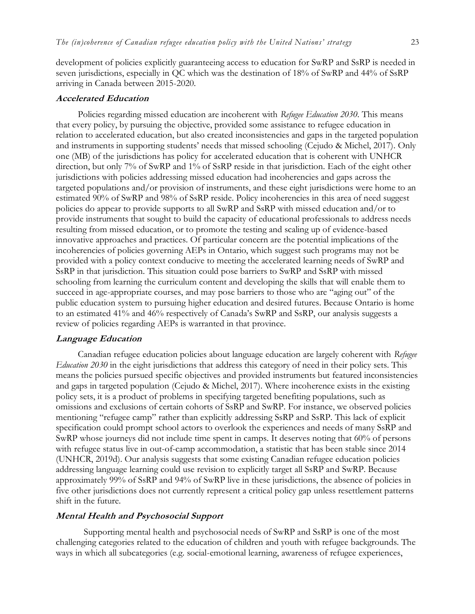development of policies explicitly guaranteeing access to education for SwRP and SsRP is needed in seven jurisdictions, especially in QC which was the destination of 18% of SwRP and 44% of SsRP arriving in Canada between 2015-2020.

#### **Accelerated Education**

Policies regarding missed education are incoherent with *Refugee Education 2030*. This means that every policy, by pursuing the objective, provided some assistance to refugee education in relation to accelerated education, but also created inconsistencies and gaps in the targeted population and instruments in supporting students' needs that missed schooling (Cejudo & Michel, 2017). Only one (MB) of the jurisdictions has policy for accelerated education that is coherent with UNHCR direction, but only 7% of SwRP and 1% of SsRP reside in that jurisdiction. Each of the eight other jurisdictions with policies addressing missed education had incoherencies and gaps across the targeted populations and/or provision of instruments, and these eight jurisdictions were home to an estimated 90% of SwRP and 98% of SsRP reside. Policy incoherencies in this area of need suggest policies do appear to provide supports to all SwRP and SsRP with missed education and/or to provide instruments that sought to build the capacity of educational professionals to address needs resulting from missed education, or to promote the testing and scaling up of evidence-based innovative approaches and practices. Of particular concern are the potential implications of the incoherencies of policies governing AEPs in Ontario, which suggest such programs may not be provided with a policy context conducive to meeting the accelerated learning needs of SwRP and SsRP in that jurisdiction. This situation could pose barriers to SwRP and SsRP with missed schooling from learning the curriculum content and developing the skills that will enable them to succeed in age-appropriate courses, and may pose barriers to those who are "aging out" of the public education system to pursuing higher education and desired futures. Because Ontario is home to an estimated 41% and 46% respectively of Canada's SwRP and SsRP, our analysis suggests a review of policies regarding AEPs is warranted in that province.

#### **Language Education**

Canadian refugee education policies about language education are largely coherent with *Refugee Education 2030* in the eight jurisdictions that address this category of need in their policy sets. This means the policies pursued specific objectives and provided instruments but featured inconsistencies and gaps in targeted population (Cejudo & Michel, 2017). Where incoherence exists in the existing policy sets, it is a product of problems in specifying targeted benefiting populations, such as omissions and exclusions of certain cohorts of SsRP and SwRP. For instance, we observed policies mentioning "refugee camp" rather than explicitly addressing SsRP and SsRP. This lack of explicit specification could prompt school actors to overlook the experiences and needs of many SsRP and SwRP whose journeys did not include time spent in camps. It deserves noting that 60% of persons with refugee status live in out-of-camp accommodation, a statistic that has been stable since 2014 (UNHCR, 2019d). Our analysis suggests that some existing Canadian refugee education policies addressing language learning could use revision to explicitly target all SsRP and SwRP. Because approximately 99% of SsRP and 94% of SwRP live in these jurisdictions, the absence of policies in five other jurisdictions does not currently represent a critical policy gap unless resettlement patterns shift in the future.

#### **Mental Health and Psychosocial Support**

Supporting mental health and psychosocial needs of SwRP and SsRP is one of the most challenging categories related to the education of children and youth with refugee backgrounds. The ways in which all subcategories (e.g. social-emotional learning, awareness of refugee experiences,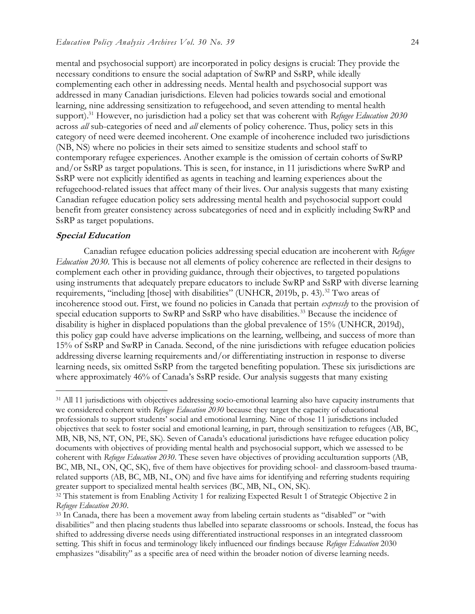mental and psychosocial support) are incorporated in policy designs is crucial: They provide the necessary conditions to ensure the social adaptation of SwRP and SsRP, while ideally complementing each other in addressing needs. Mental health and psychosocial support was addressed in many Canadian jurisdictions. Eleven had policies towards social and emotional learning, nine addressing sensitization to refugeehood, and seven attending to mental health support).<sup>31</sup> However, no jurisdiction had a policy set that was coherent with *Refugee Education 2030* across *all* sub-categories of need and *all* elements of policy coherence. Thus, policy sets in this category of need were deemed incoherent. One example of incoherence included two jurisdictions (NB, NS) where no policies in their sets aimed to sensitize students and school staff to contemporary refugee experiences. Another example is the omission of certain cohorts of SwRP and/or SsRP as target populations. This is seen, for instance, in 11 jurisdictions where SwRP and SsRP were not explicitly identified as agents in teaching and learning experiences about the refugeehood-related issues that affect many of their lives. Our analysis suggests that many existing Canadian refugee education policy sets addressing mental health and psychosocial support could benefit from greater consistency across subcategories of need and in explicitly including SwRP and SsRP as target populations.

#### **Special Education**

 $\overline{a}$ 

Canadian refugee education policies addressing special education are incoherent with *Refugee Education 2030*. This is because not all elements of policy coherence are reflected in their designs to complement each other in providing guidance, through their objectives, to targeted populations using instruments that adequately prepare educators to include SwRP and SsRP with diverse learning requirements, "including [those] with disabilities" (UNHCR, 2019b, p. 43).<sup>32</sup> Two areas of incoherence stood out. First, we found no policies in Canada that pertain *expressly* to the provision of special education supports to SwRP and SsRP who have disabilities.<sup>33</sup> Because the incidence of disability is higher in displaced populations than the global prevalence of 15% (UNHCR, 2019d), this policy gap could have adverse implications on the learning, wellbeing, and success of more than 15% of SsRP and SwRP in Canada. Second, of the nine jurisdictions with refugee education policies addressing diverse learning requirements and/or differentiating instruction in response to diverse learning needs, six omitted SsRP from the targeted benefiting population. These six jurisdictions are where approximately 46% of Canada's SsRP reside. Our analysis suggests that many existing

<sup>&</sup>lt;sup>31</sup> All 11 jurisdictions with objectives addressing socio-emotional learning also have capacity instruments that we considered coherent with *Refugee Education 2030* because they target the capacity of educational professionals to support students' social and emotional learning. Nine of those 11 jurisdictions included objectives that seek to foster social and emotional learning, in part, through sensitization to refugees (AB, BC, MB, NB, NS, NT, ON, PE, SK). Seven of Canada's educational jurisdictions have refugee education policy documents with objectives of providing mental health and psychosocial support, which we assessed to be coherent with *Refugee Education 2030*. These seven have objectives of providing acculturation supports (AB, BC, MB, NL, ON, QC, SK), five of them have objectives for providing school- and classroom-based traumarelated supports (AB, BC, MB, NL, ON) and five have aims for identifying and referring students requiring greater support to specialized mental health services (BC, MB, NL, ON, SK).

<sup>32</sup> This statement is from Enabling Activity 1 for realizing Expected Result 1 of Strategic Objective 2 in *Refugee Education 2030*.

<sup>33</sup> n Canada, there has been a movement away from labeling certain students as "disabled" or "with disabilities" and then placing students thus labelled into separate classrooms or schools. Instead, the focus has shifted to addressing diverse needs using differentiated instructional responses in an integrated classroom setting. This shift in focus and terminology likely influenced our findings because *Refugee Education* 2030 emphasizes "disability" as a specific area of need within the broader notion of diverse learning needs.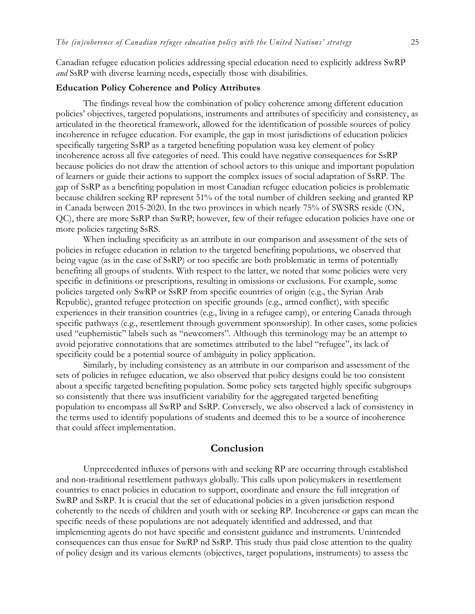Canadian refugee education policies addressing special education need to explicitly address SwRP *and* SsRP with diverse learning needs, especially those with disabilities.

#### **Education Policy Coherence and Policy Attributes**

The findings reveal how the combination of policy coherence among different education policies' objectives, targeted populations, instruments and attributes of specificity and consistency, as articulated in the theoretical framework, allowed for the identification of possible sources of policy incoherence in refugee education. For example, the gap in most jurisdictions of education policies specifically targeting SsRP as a targeted benefiting population wasa key element of policy incoherence across all five categories of need. This could have negative consequences for SsRP because policies do not draw the attention of school actors to this unique and important population of learners or guide their actions to support the complex issues of social adaptation of SsRP. The gap of SsRP as a benefiting population in most Canadian refugee education policies is problematic because children seeking RP represent 51% of the total number of children seeking and granted RP in Canada between 2015-2020. In the two provinces in which nearly 75% of SWSRS reside (ON, QC), there are more SsRP than SwRP; however, few of their refugee education policies have one or more policies targeting SsRS.

When including specificity as an attribute in our comparison and assessment of the sets of policies in refugee education in relation to the targeted benefiting populations, we observed that being vague (as in the case of SsRP) or too specific are both problematic in terms of potentially benefiting all groups of students. With respect to the latter, we noted that some policies were very specific in definitions or prescriptions, resulting in omissions or exclusions. For example, some policies targeted only SwRP or SsRP from specific countries of origin (e.g., the Syrian Arab Republic), granted refugee protection on specific grounds (e.g., armed conflict), with specific experiences in their transition countries (e.g., living in a refugee camp), or entering Canada through specific pathways (e.g., resettlement through government sponsorship). In other cases, some policies used "euphemistic" labels such as "newcomers". Although this terminology may be an attempt to avoid pejorative connotations that are sometimes attributed to the label "refugee", its lack of specificity could be a potential source of ambiguity in policy application.

Similarly, by including consistency as an attribute in our comparison and assessment of the sets of policies in refugee education, we also observed that policy designs could be too consistent about a specific targeted benefiting population. Some policy sets targeted highly specific subgroups so consistently that there was insufficient variability for the aggregated targeted benefiting population to encompass all SwRP and SsRP. Conversely, we also observed a lack of consistency in the terms used to identify populations of students and deemed this to be a source of incoherence that could affect implementation.

#### **Conclusion**

Unprecedented influxes of persons with and seeking RP are occurring through established and non-traditional resettlement pathways globally. This calls upon policymakers in resettlement countries to enact policies in education to support, coordinate and ensure the full integration of SwRP and SsRP. It is crucial that the set of educational policies in a given jurisdiction respond coherently to the needs of children and youth with or seeking RP. Incoherence or gaps can mean the specific needs of these populations are not adequately identified and addressed, and that implementing agents do not have specific and consistent guidance and instruments. Unintended consequences can thus ensue for SwRP nd SsRP. This study thus paid close attention to the quality of policy design and its various elements (objectives, target populations, instruments) to assess the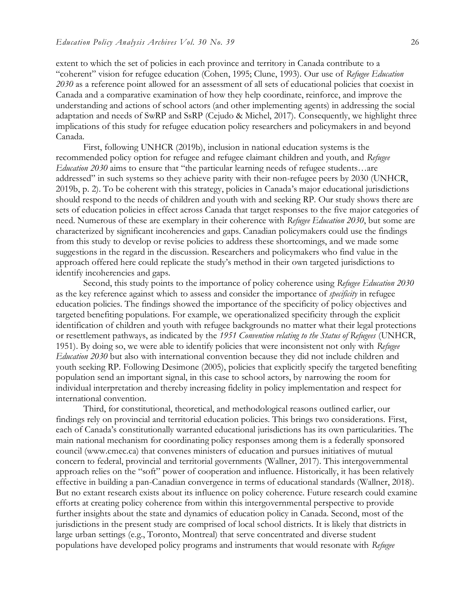extent to which the set of policies in each province and territory in Canada contribute to a "coherent" vision for refugee education (Cohen, 1995; Clune, 1993). Our use of *Refugee Education 2030* as a reference point allowed for an assessment of all sets of educational policies that coexist in Canada and a comparative examination of how they help coordinate, reinforce, and improve the understanding and actions of school actors (and other implementing agents) in addressing the social adaptation and needs of SwRP and SsRP (Cejudo & Michel, 2017). Consequently, we highlight three implications of this study for refugee education policy researchers and policymakers in and beyond Canada.

First, following UNHCR (2019b), inclusion in national education systems is the recommended policy option for refugee and refugee claimant children and youth, and *Refugee Education 2030* aims to ensure that "the particular learning needs of refugee students…are addressed" in such systems so they achieve parity with their non-refugee peers by 2030 (UNHCR, 2019b, p. 2). To be coherent with this strategy, policies in Canada's major educational jurisdictions should respond to the needs of children and youth with and seeking RP. Our study shows there are sets of education policies in effect across Canada that target responses to the five major categories of need. Numerous of these are exemplary in their coherence with *Refugee Education 2030*, but some are characterized by significant incoherencies and gaps. Canadian policymakers could use the findings from this study to develop or revise policies to address these shortcomings, and we made some suggestions in the regard in the discussion. Researchers and policymakers who find value in the approach offered here could replicate the study's method in their own targeted jurisdictions to identify incoherencies and gaps.

Second, this study points to the importance of policy coherence using *Refugee Education 2030* as the key reference against which to assess and consider the importance of *specificity* in refugee education policies. The findings showed the importance of the specificity of policy objectives and targeted benefiting populations. For example, we operationalized specificity through the explicit identification of children and youth with refugee backgrounds no matter what their legal protections or resettlement pathways, as indicated by the *1951 Convention relating to the Status of Refugees* (UNHCR, 1951). By doing so, we were able to identify policies that were inconsistent not only with *Refugee Education 2030* but also with international convention because they did not include children and youth seeking RP. Following Desimone (2005), policies that explicitly specify the targeted benefiting population send an important signal, in this case to school actors, by narrowing the room for individual interpretation and thereby increasing fidelity in policy implementation and respect for international convention.

Third, for constitutional, theoretical, and methodological reasons outlined earlier, our findings rely on provincial and territorial education policies. This brings two considerations. First, each of Canada's constitutionally warranted educational jurisdictions has its own particularities. The main national mechanism for coordinating policy responses among them is a federally sponsored council (www.cmec.ca) that convenes ministers of education and pursues initiatives of mutual concern to federal, provincial and territorial governments (Wallner, 2017). This intergovernmental approach relies on the "soft" power of cooperation and influence. Historically, it has been relatively effective in building a pan-Canadian convergence in terms of educational standards (Wallner, 2018). But no extant research exists about its influence on policy coherence. Future research could examine efforts at creating policy coherence from within this intergovernmental perspective to provide further insights about the state and dynamics of education policy in Canada. Second, most of the jurisdictions in the present study are comprised of local school districts. It is likely that districts in large urban settings (e.g., Toronto, Montreal) that serve concentrated and diverse student populations have developed policy programs and instruments that would resonate with *Refugee*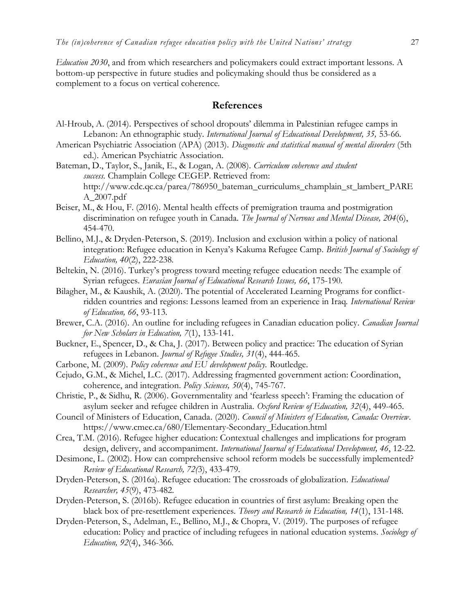*Education 2030*, and from which researchers and policymakers could extract important lessons. A bottom-up perspective in future studies and policymaking should thus be considered as a complement to a focus on vertical coherence.

#### **References**

- Al-Hroub, A. (2014). Perspectives of school dropouts' dilemma in Palestinian refugee camps in Lebanon: An ethnographic study. *International Journal of Educational Development, 35,* 53-66.
- American Psychiatric Association (APA) (2013). *Diagnostic and statistical manual of mental disorders* (5th ed.). American Psychiatric Association.
- Bateman, D., Taylor, S., Janik, E., & Logan, A. (2008). *Curriculum coherence and student success.* Champlain College CEGEP. Retrieved from: http://www.cdc.qc.ca/parea/786950\_bateman\_curriculums\_champlain\_st\_lambert\_PARE A\_2007.pdf
- Beiser, M., & Hou, F. (2016). Mental health effects of premigration trauma and postmigration discrimination on refugee youth in Canada. *The Journal of Nervous and Mental Disease, 204*(6), 454-470.
- Bellino, M.J., & Dryden-Peterson, S. (2019). Inclusion and exclusion within a policy of national integration: Refugee education in Kenya's Kakuma Refugee Camp. *British Journal of Sociology of Education, 40*(2), 222-238.
- Beltekin, N. (2016). Turkey's progress toward meeting refugee education needs: The example of Syrian refugees. *Eurasian Journal of Educational Research Issues, 66*, 175-190.
- Bilagher, M., & Kaushik, A. (2020). The potential of Accelerated Learning Programs for conflictridden countries and regions: Lessons learned from an experience in Iraq. *International Review of Education, 66*, 93-113.
- Brewer, C.A. (2016). An outline for including refugees in Canadian education policy. *Canadian Journal for New Scholars in Education, 7*(1), 133-141.
- Buckner, E., Spencer, D., & Cha, J. (2017). Between policy and practice: The education of Syrian refugees in Lebanon. *Journal of Refugee Studies, 31*(4), 444-465.
- Carbone, M. (2009). *Policy coherence and EU development policy.* Routledge.
- Cejudo, G.M., & Michel, L.C. (2017). Addressing fragmented government action: Coordination, coherence, and integration. *Policy Sciences, 50*(4), 745-767.
- Christie, P., & Sidhu, R. (2006). Governmentality and 'fearless speech' Framing the education of asylum seeker and refugee children in Australia. *Oxford Review of Education, 32*(4), 449-465.
- Council of Ministers of Education, Canada. (2020). *Council of Ministers of Education, Canada: Overview*. https://www.cmec.ca/680/Elementary-Secondary\_Education.html
- Crea, T.M. (2016). Refugee higher education: Contextual challenges and implications for program design, delivery, and accompaniment. *International Journal of Educational Development, 46*, 12-22.
- Desimone, L. (2002). How can comprehensive school reform models be successfully implemented? *Review of Educational Research, 72(*3), 433-479.
- Dryden-Peterson, S. (2016a). Refugee education: The crossroads of globalization. *Educational Researcher, 45*(9), 473-482.
- Dryden-Peterson, S. (2016b). Refugee education in countries of first asylum: Breaking open the black box of pre-resettlement experiences. *Theory and Research in Education, 14*(1), 131-148.
- Dryden-Peterson, S., Adelman, E., Bellino, M.J., & Chopra, V. (2019). The purposes of refugee education: Policy and practice of including refugees in national education systems. *Sociology of Education, 92*(4), 346-366.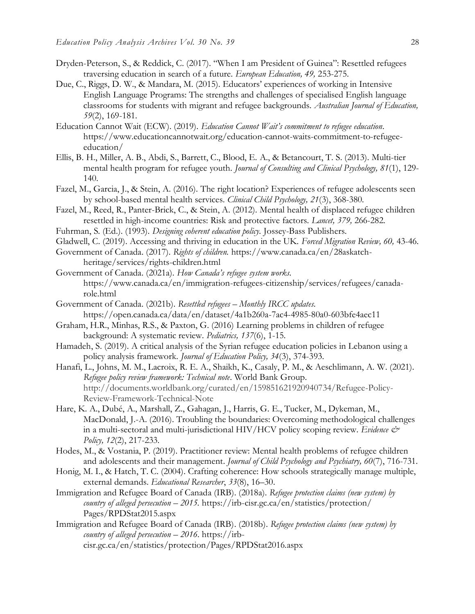- Dryden-Peterson, S., & Reddick, C. (2017). "When I am President of Guinea": Resettled refugees traversing education in search of a future. *European Education, 49,* 253-275.
- Due, C., Riggs, D. W., & Mandara, M. (2015). Educators' experiences of working in ntensive English Language Programs: The strengths and challenges of specialised English language classrooms for students with migrant and refugee backgrounds. *Australian Journal of Education, 59*(2), 169-181.
- Education Cannot Wait (ECW). (2019). *Education Cannot Wait's commitment to refugee education*. https://www.educationcannotwait.org/education-cannot-waits-commitment-to-refugeeeducation/
- Ellis, B. H., Miller, A. B., Abdi, S., Barrett, C., Blood, E. A., & Betancourt, T. S. (2013). Multi-tier mental health program for refugee youth. *Journal of Consulting and Clinical Psychology, 81*(1), 129- 140.
- Fazel, M., Garcia, J., & Stein, A. (2016). The right location? Experiences of refugee adolescents seen by school-based mental health services. *Clinical Child Psychology, 21*(3), 368-380.
- Fazel, M., Reed, R., Panter-Brick, C., & Stein, A. (2012). Mental health of displaced refugee children resettled in high-income countries: Risk and protective factors. *Lancet, 379,* 266-282.
- Fuhrman, S. (Ed.). (1993). *Designing coherent education policy.* Jossey-Bass Publishers.
- Gladwell, C. (2019). Accessing and thriving in education in the UK. *Forced Migration Review, 60,* 43-46.
- Government of Canada. (2017). *Rights of children.* https://www.canada.ca/en/28askatchheritage/services/rights-children.html
- Government of Canada. (2021a). *How Canada's refugee system works.* https://www.canada.ca/en/immigration-refugees-citizenship/services/refugees/canadarole.html
- Government of Canada. (2021b). *Resettled refugees – Monthly IRCC updates.* https://open.canada.ca/data/en/dataset/4a1b260a-7ac4-4985-80a0-603bfe4aec11
- Graham, H.R., Minhas, R.S., & Paxton, G. (2016) Learning problems in children of refugee background: A systematic review. *Pediatrics, 137*(6), 1-15.
- Hamadeh, S. (2019). A critical analysis of the Syrian refugee education policies in Lebanon using a policy analysis framework. *Journal of Education Policy, 34*(3), 374-393.
- Hanafi, L., Johns, M. M., Lacroix, R. E. A., Shaikh, K., Casaly, P. M., & Aeschlimann, A. W. (2021). *Refugee policy review framework: Technical note*. World Bank Group. http://documents.worldbank.org/curated/en/159851621920940734/Refugee-Policy-Review-Framework-Technical-Note
- Hare, K. A., Dubé, A., Marshall, Z., Gahagan, J., Harris, G. E., Tucker, M., Dykeman, M., MacDonald, J.-A. (2016). Troubling the boundaries: Overcoming methodological challenges in a multi-sectoral and multi-jurisdictional HIV/HCV policy scoping review. *Evidence* & *Policy, 12*(2), 217-233.
- Hodes, M., & Vostania, P. (2019). Practitioner review: Mental health problems of refugee children and adolescents and their management. *Journal of Child Psychology and Psychiatry, 60*(7), 716-731.
- Honig, M. I., & Hatch, T. C. (2004). Crafting coherence: How schools strategically manage multiple, external demands. *Educational Researcher*, *33*(8), 16–30.
- Immigration and Refugee Board of Canada (IRB). (2018a). *Refugee protection claims (new system) by country of alleged persecution – 2015.* https://irb-cisr.gc.ca/en/statistics/protection/ Pages/RPDStat2015.aspx
- Immigration and Refugee Board of Canada (IRB). (2018b). *Refugee protection claims (new system) by country of alleged persecution – 2016*. https://irbcisr.gc.ca/en/statistics/protection/Pages/RPDStat2016.aspx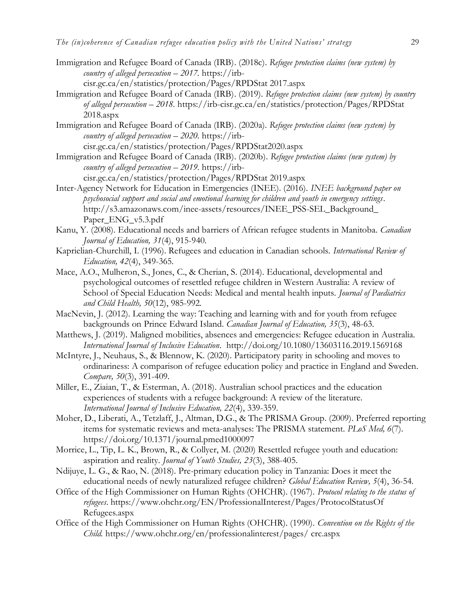- Immigration and Refugee Board of Canada (IRB). (2018c). *Refugee protection claims (new system) by country of alleged persecution – 2017.* https://irbcisr.gc.ca/en/statistics/protection/Pages/RPDStat 2017.aspx
- Immigration and Refugee Board of Canada (IRB). (2019). *Refugee protection claims (new system) by country of alleged persecution – 2018*. https://irb-cisr.gc.ca/en/statistics/protection/Pages/RPDStat 2018.aspx
- Immigration and Refugee Board of Canada (IRB). (2020a). *Refugee protection claims (new system) by country of alleged persecution – 2020*. https://irbcisr.gc.ca/en/statistics/protection/Pages/RPDStat2020.aspx
- Immigration and Refugee Board of Canada (IRB). (2020b). *Refugee protection claims (new system) by country of alleged persecution – 2019*. https://irbcisr.gc.ca/en/statistics/protection/Pages/RPDStat 2019.aspx
- Inter-Agency Network for Education in Emergencies (INEE). (2016). *INEE background paper on psychosocial support and social and emotional learning for children and youth in emergency settings*.
	- http://s3.amazonaws.com/inee-assets/resources/INEE\_PSS-SEL\_Background\_ Paper\_ENG\_v5.3.pdf
- Kanu, Y. (2008). Educational needs and barriers of African refugee students in Manitoba. *Canadian Journal of Education, 31*(4), 915-940.
- Kaprielian-Churchill, I. (1996). Refugees and education in Canadian schools. *International Review of Education, 42*(4), 349-365.
- Mace, A.O., Mulheron, S., Jones, C., & Cherian, S. (2014). Educational, developmental and psychological outcomes of resettled refugee children in Western Australia: A review of School of Special Education Needs: Medical and mental health inputs. *Journal of Paediatrics and Child Health, 50*(12), 985-992.
- MacNevin, J. (2012). Learning the way: Teaching and learning with and for youth from refugee backgrounds on Prince Edward Island. *Canadian Journal of Education, 35*(3), 48-63.
- Matthews, J. (2019). Maligned mobilities, absences and emergencies: Refugee education in Australia. *International Journal of Inclusive Education*. http://doi.org/10.1080/13603116.2019.1569168
- McIntyre, J., Neuhaus, S., & Blennow, K. (2020). Participatory parity in schooling and moves to ordinariness: A comparison of refugee education policy and practice in England and Sweden. *Compare, 50*(3), 391-409.
- Miller, E., Ziaian, T., & Esterman, A. (2018). Australian school practices and the education experiences of students with a refugee background: A review of the literature. *International Journal of Inclusive Education, 22*(4), 339-359.
- Moher, D., Liberati, A., Tetzlaff, J., Altman, D.G., & The PRISMA Group. (2009). Preferred reporting items for systematic reviews and meta-analyses: The PRISMA statement. *PLoS Med, 6*(7). https://doi.org/10.1371/journal.pmed1000097
- Morrice, L., Tip, L. K., Brown, R., & Collyer, M. (2020) Resettled refugee youth and education: aspiration and reality. *Journal of Youth Studies, 23*(3), 388-405.
- Ndijuye, L. G., & Rao, N. (2018). Pre-primary education policy in Tanzania: Does it meet the educational needs of newly naturalized refugee children? *Global Education Review, 5*(4), 36-54.
- Office of the High Commissioner on Human Rights (OHCHR). (1967). *Protocol relating to the status of refugees*. https://www.ohchr.org/EN/ProfessionalInterest/Pages/ProtocolStatusOf Refugees.aspx
- Office of the High Commissioner on Human Rights (OHCHR). (1990). *Convention on the Rights of the Child.* <https://www.ohchr.org/en/professionalinterest/pages/> crc.aspx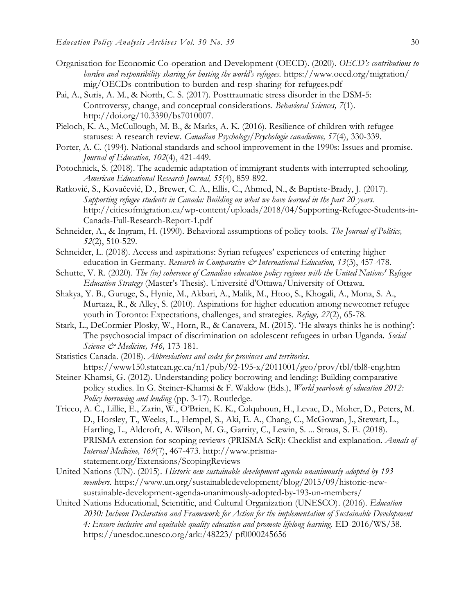- Organisation for Economic Co-operation and Development (OECD). (2020). *OECD's contributions to burden and responsibility sharing for hosting the world's refugees.* https://www.oecd.org/migration/ mig/OECDs-contribution-to-burden-and-resp-sharing-for-refugees.pdf
- Pai, A., Suris, A. M., & North, C. S. (2017). Posttraumatic stress disorder in the DSM-5: Controversy, change, and conceptual considerations. *Behavioral Sciences, 7*(1). http://doi.org/10.3390/bs7010007.
- Pieloch, K. A., McCullough, M. B., & Marks, A. K. (2016). Resilience of children with refugee statuses: A research review. *Canadian Psychology/Psychologie canadienne, 57*(4), 330-339.
- Porter, A. C. (1994). National standards and school improvement in the 1990s: Issues and promise. *Journal of Education, 102*(4), 421-449.
- Potochnick, S. (2018). The academic adaptation of immigrant students with interrupted schooling. *American Educational Research Journal, 55*(4), 859-892.
- Ratković, S., Kovačević, D., Brewer, C. A., Ellis, C., Ahmed, N., & Baptiste-Brady, J. (2017). *Supporting refugee students in Canada: Building on what we have learned in the past 20 years.* http://citiesofmigration.ca/wp-content/uploads/2018/04/Supporting-Refugee-Students-in-Canada-Full-Research-Report-1.pdf
- Schneider, A., & Ingram, H. (1990). Behavioral assumptions of policy tools. *The Journal of Politics, 52*(2), 510-529.
- Schneider, L. (2018). Access and aspirations: Syrian refugees' experiences of entering higher education in Germany. *Research in Comparative & International Education*, 13(3), 457-478.
- Schutte, V. R. (2020). *The (in) coherence of Canadian education policy regimes with the United Nations' Refugee Education Strategy* (Master's Thesis). Université d'Ottawa/University of Ottawa.
- Shakya, Y. B., Guruge, S., Hynie, M., Akbari, A., Malik, M., Htoo, S., Khogali, A., Mona, S. A., Murtaza, R., & Alley, S. (2010). Aspirations for higher education among newcomer refugee youth in Toronto: Expectations, challenges, and strategies. *Refuge, 27*(2), 65-78.
- Stark, L., DeCormier Plosky, W., Horn, R., & Canavera, M. (2015). 'He always thinks he is nothing': The psychosocial impact of discrimination on adolescent refugees in urban Uganda. *Social Science & Medicine, 146,* 173-181.
- Statistics Canada. (2018). *Abbreviations and codes for provinces and territories*. https://www150.statcan.gc.ca/n1/pub/92-195-x/2011001/geo/prov/tbl/tbl8-eng.htm
- Steiner-Khamsi, G. (2012). Understanding policy borrowing and lending: Building comparative policy studies. In G. Steiner-Khamsi & F. Waldow (Eds.), *World yearbook of education 2012: Policy borrowing and lending* (pp. 3-17). Routledge.
- Tricco, A. C., Lillie, E., Zarin, W., O'Brien, K. K., Colquhoun, H., Levac, D., Moher, D., Peters, M. D., Horsley, T., Weeks, L., Hempel, S., Aki, E. A., Chang, C., McGowan, J., Stewart, L., Hartling, L., Aldcroft, A. Wilson, M. G., Garrity, C., Lewin, S. ... Straus, S. E. (2018). PRISMA extension for scoping reviews (PRISMA-ScR): Checklist and explanation. *Annals of Internal Medicine, 169*(7), 467-473. http://www.prismastatement.org/Extensions/ScopingReviews
- United Nations (UN). (2015). *Historic new sustainable development agenda unanimously adopted by 193 members.* https://www.un.org/sustainabledevelopment/blog/2015/09/historic-newsustainable-development-agenda-unanimously-adopted-by-193-un-members/
- United Nations Educational, Scientific, and Cultural Organization (UNESCO). (2016). *Education 2030: Incheon Declaration and Framework for Action for the implementation of Sustainable Development 4: Ensure inclusive and equitable quality education and promote lifelong learning.* ED-2016/WS/38. https://unesdoc.unesco.org/ark:/48223/ pf0000245656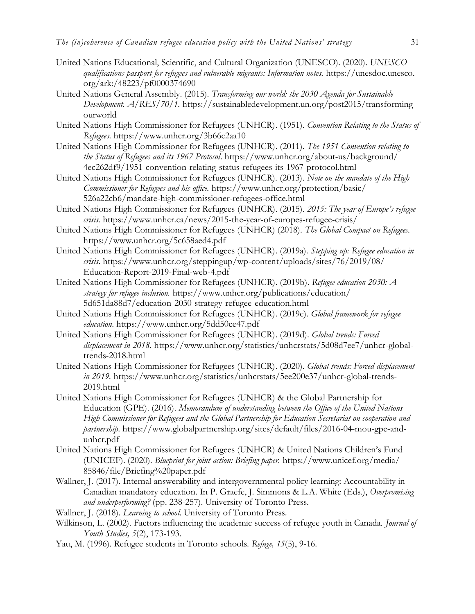- United Nations Educational, Scientific, and Cultural Organization (UNESCO). (2020). *UNESCO qualifications passport for refugees and vulnerable migrants: Information notes.* https://unesdoc.unesco. org/ark:/48223/pf0000374690
- United Nations General Assembly. (2015). *Transforming our world: the 2030 Agenda for Sustainable Development. A/RES/70/1.* https://sustainabledevelopment.un.org/post2015/transforming ourworld
- United Nations High Commissioner for Refugees (UNHCR). (1951). *Convention Relating to the Status of Refugees.* https://www.unhcr.org/3b66c2aa10
- United Nations High Commissioner for Refugees (UNHCR). (2011). *The 1951 Convention relating to the Status of Refugees and its 1967 Protocol*. https://www.unhcr.org/about-us/background/ 4ec262df9/1951-convention-relating-status-refugees-its-1967-protocol.html
- United Nations High Commissioner for Refugees (UNHCR). (2013). *Note on the mandate of the High Commissioner for Refugees and his office.* https://www.unhcr.org/protection/basic/ 526a22cb6/mandate-high-commissioner-refugees-office.html
- United Nations High Commissioner for Refugees (UNHCR). (2015). *2015: The year of Europe's refugee crisis.* https://www.unhcr.ca/news/2015-the-year-of-europes-refugee-crisis/
- United Nations High Commissioner for Refugees (UNHCR) (2018). *The Global Compact on Refugees.*  https://www.unhcr.org/5c658aed4.pdf
- United Nations High Commissioner for Refugees (UNHCR). (2019a). *Stepping up: Refugee education in crisis*. https://www.unhcr.org/steppingup/wp-content/uploads/sites/76/2019/08/ Education-Report-2019-Final-web-4.pdf
- United Nations High Commissioner for Refugees (UNHCR). (2019b). *Refugee education 2030: A strategy for refugee inclusion.* https://www.unhcr.org/publications/education/ 5d651da88d7/education-2030-strategy-refugee-education.html
- United Nations High Commissioner for Refugees (UNHCR). (2019c). *Global framework for refugee education*. https://www.unhcr.org/5dd50ce47.pdf
- United Nations High Commissioner for Refugees (UNHCR). (2019d). *Global trends: Forced displacement in 2018.* https://www.unhcr.org/statistics/unhcrstats/5d08d7ee7/unhcr-globaltrends-2018.html
- United Nations High Commissioner for Refugees (UNHCR). (2020). *Global trends: Forced displacement in 2019.* https://www.unhcr.org/statistics/unhcrstats/5ee200e37/unhcr-global-trends-2019.html
- United Nations High Commissioner for Refugees (UNHCR) & the Global Partnership for Education (GPE). (2016). *Memorandum of understanding between the Office of the United Nations High Commissioner for Refugees and the Global Partnership for Education Secretariat on cooperation and partnership*. https://www.globalpartnership.org/sites/default/files/2016-04-mou-gpe-andunhcr.pdf
- United Nations High Commissioner for Refugees (UNHCR) & United Nations Children's Fund (UNICEF). (2020). *Blueprint for joint action: Briefing paper.* https://www.unicef.org/media/ 85846/file/Briefing%20paper.pdf
- Wallner, J. (2017). Internal answerability and intergovernmental policy learning: Accountability in Canadian mandatory education. In P. Graefe, J. Simmons & L.A. White (Eds.), *Overpromising and underperforming?* (pp. 238-257). University of Toronto Press.
- Wallner, J. (2018). *Learning to school*. University of Toronto Press.
- Wilkinson, L. (2002). Factors influencing the academic success of refugee youth in Canada. *Journal of Youth Studies, 5*(2), 173-193.
- Yau, M. (1996). Refugee students in Toronto schools. *Refuge, 15*(5), 9-16.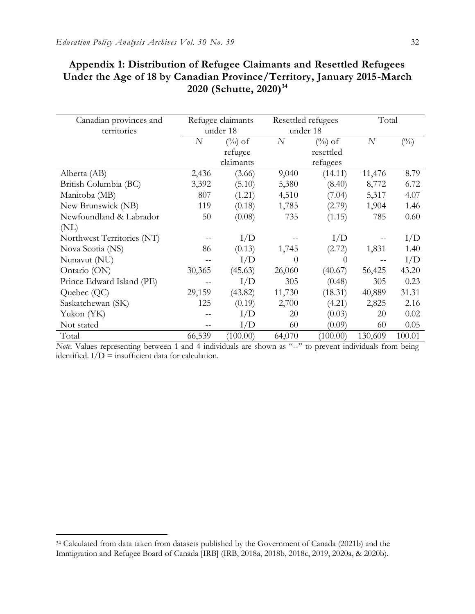| Canadian provinces and<br>territories |                | Refugee claimants<br>under 18 |          | Resettled refugees<br>under 18 |                | Total         |  |
|---------------------------------------|----------------|-------------------------------|----------|--------------------------------|----------------|---------------|--|
|                                       | $\overline{N}$ | $(\%)$ of                     | $\cal N$ | $(\%)$ of                      | $\overline{N}$ | $(^{0}/_{0})$ |  |
|                                       |                | refugee                       |          | resettled                      |                |               |  |
|                                       |                | claimants                     |          | refugees                       |                |               |  |
| Alberta (AB)                          | 2,436          | (3.66)                        | 9,040    | (14.11)                        | 11,476         | 8.79          |  |
| British Columbia (BC)                 | 3,392          | (5.10)                        | 5,380    | (8.40)                         | 8,772          | 6.72          |  |
| Manitoba (MB)                         | 807            | (1.21)                        | 4,510    | (7.04)                         | 5,317          | 4.07          |  |
| New Brunswick (NB)                    | 119            | (0.18)                        | 1,785    | (2.79)                         | 1,904          | 1.46          |  |
| Newfoundland & Labrador               | 50             | (0.08)                        | 735      | (1.15)                         | 785            | 0.60          |  |
| (NL)                                  |                |                               |          |                                |                |               |  |
| Northwest Territories (NT)            |                | I/D                           |          | I/D                            |                | I/D           |  |
| Nova Scotia (NS)                      | 86             | (0.13)                        | 1,745    | (2.72)                         | 1,831          | 1.40          |  |
| Nunavut (NU)                          |                | I/D                           | $\theta$ | $\Omega$                       |                | I/D           |  |
| Ontario (ON)                          | 30,365         | (45.63)                       | 26,060   | (40.67)                        | 56,425         | 43.20         |  |
| Prince Edward Island (PE)             |                | I/D                           | 305      | (0.48)                         | 305            | 0.23          |  |
| Quebec (QC)                           | 29,159         | (43.82)                       | 11,730   | (18.31)                        | 40,889         | 31.31         |  |
| Saskatchewan (SK)                     | 125            | (0.19)                        | 2,700    | (4.21)                         | 2,825          | 2.16          |  |
| Yukon (YK)                            |                | I/D                           | 20       | (0.03)                         | 20             | 0.02          |  |
| Not stated                            |                | I/D                           | 60       | (0.09)                         | 60             | 0.05          |  |
| Total                                 | 66,539         | (100.00)                      | 64,070   | (100.00)                       | 130,609        | 100.01        |  |

## **Appendix 1: Distribution of Refugee Claimants and Resettled Refugees Under the Age of 18 by Canadian Province/Territory, January 2015-March 2020 (Schutte, 2020)<sup>34</sup>**

*Note*. Values representing between 1 and 4 individuals are shown as "--" to prevent individuals from being identified.  $I/D =$  insufficient data for calculation.

 $\overline{a}$ 

<sup>34</sup> Calculated from data taken from datasets published by the Government of Canada (2021b) and the Immigration and Refugee Board of Canada [IRB] (IRB, 2018a, 2018b, 2018c, 2019, 2020a, & 2020b).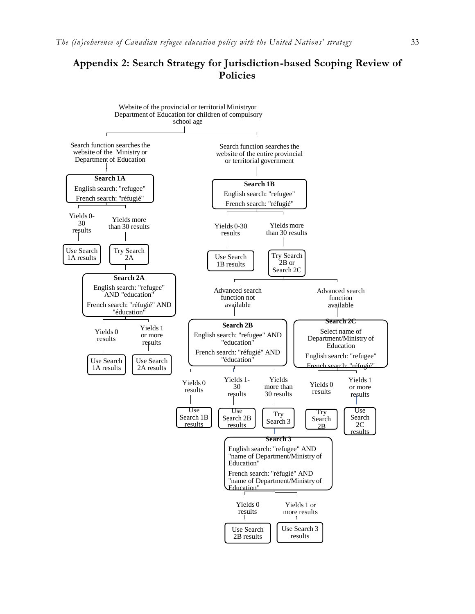## **Appendix 2: Search Strategy for Jurisdiction-based Scoping Review of Policies**

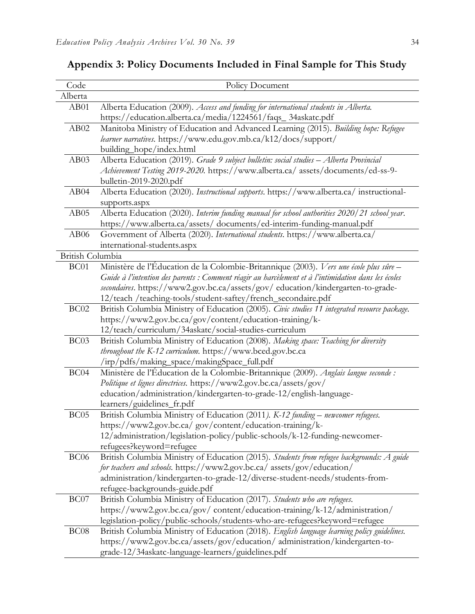| Code             | Policy Document                                                                                     |
|------------------|-----------------------------------------------------------------------------------------------------|
| Alberta          |                                                                                                     |
| AB01             | Alberta Education (2009). Access and funding for international students in Alberta.                 |
| AB02             | https://education.alberta.ca/media/1224561/faqs_34askatc.pdf                                        |
|                  | Manitoba Ministry of Education and Advanced Learning (2015). Building hope: Refugee                 |
|                  | learner narratives. https://www.edu.gov.mb.ca/k12/docs/support/<br>building_hope/index.html         |
| AB03             | Alberta Education (2019). Grade 9 subject bulletin: social studies - Alberta Provincial             |
|                  | Achievement Testing 2019-2020. https://www.alberta.ca/ assets/documents/ed-ss-9-                    |
|                  | bulletin-2019-2020.pdf                                                                              |
| AB04             | Alberta Education (2020). Instructional supports. https://www.alberta.ca/instructional-             |
|                  | supports.aspx                                                                                       |
| AB05             | Alberta Education (2020). Interim funding manual for school authorities 2020/21 school year.        |
|                  | https://www.alberta.ca/assets/ documents/ed-interim-funding-manual.pdf                              |
| AB <sub>06</sub> | Government of Alberta (2020). International students. https://www.alberta.ca/                       |
|                  | international-students.aspx                                                                         |
| British Columbia |                                                                                                     |
| BC01             | Ministère de l'Éducation de la Colombie-Britannique (2003). Vers une école plus sûre -              |
|                  | Guide à l'intention des parents : Comment réagir au harcèlement et à l'intimidation dans les écoles |
|                  | secondaires. https://www2.gov.bc.ca/assets/gov/education/kindergarten-to-grade-                     |
|                  | 12/teach /teaching-tools/student-saftey/french_secondaire.pdf                                       |
| BC02             | British Columbia Ministry of Education (2005). Civic studies 11 integrated resource package.        |
|                  | https://www2.gov.bc.ca/gov/content/education-training/k-                                            |
|                  | 12/teach/curriculum/34askatc/social-studies-curriculum                                              |
| BC03             | British Columbia Ministry of Education (2008). Making space: Teaching for diversity                 |
|                  | throughout the K-12 curriculum. https://www.bced.gov.bc.ca                                          |
|                  | /irp/pdfs/making_space/makingSpace_full.pdf                                                         |
| BC <sub>04</sub> | Ministère de l'Éducation de la Colombie-Britannique (2009). Anglais langue seconde :                |
|                  | Politique et lignes directrices. https://www2.gov.bc.ca/assets/gov/                                 |
|                  | education/administration/kindergarten-to-grade-12/english-language-                                 |
|                  | learners/guidelines_fr.pdf                                                                          |
| BC <sub>05</sub> | British Columbia Ministry of Education (2011). K-12 funding - newcomer refugees.                    |
|                  | https://www2.gov.bc.ca/ gov/content/education-training/k-                                           |
|                  | 12/administration/legislation-policy/public-schools/k-12-funding-newcomer-                          |
|                  | refugees?keyword=refugee                                                                            |
| BC <sub>06</sub> | British Columbia Ministry of Education (2015). Students from refugee backgrounds: A guide           |
|                  | for teachers and schools. https://www2.gov.bc.ca/ assets/gov/education/                             |
|                  | administration/kindergarten-to-grade-12/diverse-student-needs/students-from-                        |
|                  | refugee-backgrounds-guide.pdf                                                                       |
| BC07             | British Columbia Ministry of Education (2017). Students who are refugees.                           |
|                  | https://www2.gov.bc.ca/gov/content/education-training/k-12/administration/                          |
|                  | legislation-policy/public-schools/students-who-are-refugees?keyword=refugee                         |
| BC <sub>08</sub> | British Columbia Ministry of Education (2018). English language learning policy guidelines.         |
|                  | https://www2.gov.bc.ca/assets/gov/education/administration/kindergarten-to-                         |
|                  | grade-12/34askatc-language-learners/guidelines.pdf                                                  |

## **Appendix 3: Policy Documents Included in Final Sample for This Study**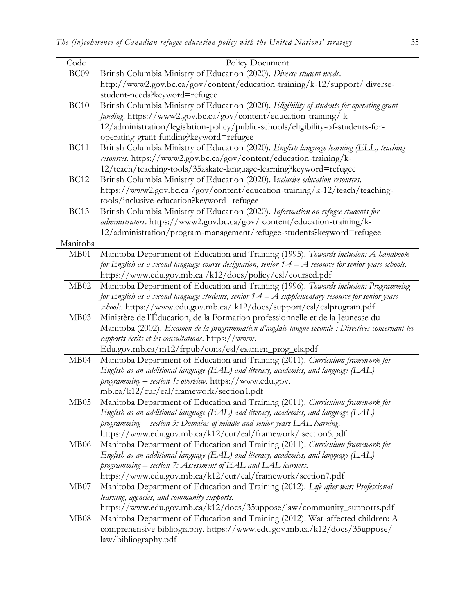| Code             | Policy Document                                                                                        |
|------------------|--------------------------------------------------------------------------------------------------------|
| BC09             | British Columbia Ministry of Education (2020). Diverse student needs.                                  |
|                  | http://www2.gov.bc.ca/gov/content/education-training/k-12/support/ diverse-                            |
|                  | student-needs?keyword=refugee                                                                          |
| <b>BC10</b>      | British Columbia Ministry of Education (2020). Eligibility of students for operating grant             |
|                  | funding. https://www2.gov.bc.ca/gov/content/education-training/ k-                                     |
|                  | 12/administration/legislation-policy/public-schools/eligibility-of-students-for-                       |
|                  | operating-grant-funding?keyword=refugee                                                                |
| <b>BC11</b>      | British Columbia Ministry of Education (2020). English language learning (ELL) teaching                |
|                  | resources. https://www2.gov.bc.ca/gov/content/education-training/k-                                    |
|                  | 12/teach/teaching-tools/35askatc-language-learning?keyword=refugee                                     |
| <b>BC12</b>      | British Columbia Ministry of Education (2020). Inclusive education resources.                          |
|                  | https://www2.gov.bc.ca/gov/content/education-training/k-12/teach/teaching-                             |
|                  | tools/inclusive-education?keyword=refugee                                                              |
| <b>BC13</b>      | British Columbia Ministry of Education (2020). Information on refugee students for                     |
|                  | administrators. https://www2.gov.bc.ca/gov/ content/education-training/k-                              |
|                  | 12/administration/program-management/refugee-students?keyword=refugee                                  |
| Manitoba         |                                                                                                        |
| MB01             | Manitoba Department of Education and Training (1995). Towards inclusion: A handbook                    |
|                  | for English as a second language course designation, senior $1-4-A$ resource for senior years schools. |
|                  | https://www.edu.gov.mb.ca /k12/docs/policy/esl/coursed.pdf                                             |
| MB02             | Manitoba Department of Education and Training (1996). Towards inclusion: Programming                   |
|                  | for English as a second language students, senior $1-4-A$ supplementary resource for senior years      |
|                  | schools. https://www.edu.gov.mb.ca/ k12/docs/support/esl/eslprogram.pdf                                |
| MB03             | Ministère de l'Éducation, de la Formation professionnelle et de la Jeunesse du                         |
|                  | Manitoba (2002). Examen de la programmation d'anglais langue seconde : Directives concernant les       |
|                  | rapports écrits et les consultations. https://www.                                                     |
|                  | Edu.gov.mb.ca/m12/frpub/cons/esl/examen_prog_els.pdf                                                   |
| MB04             | Manitoba Department of Education and Training (2011). Curriculum framework for                         |
|                  | English as an additional language (EAL) and literacy, academics, and language (LAL)                    |
|                  | programming - section 1: overview. https://www.edu.gov.                                                |
|                  | mb.ca/k12/cur/eal/framework/section1.pdf                                                               |
| MB05             | Manitoba Department of Education and Training (2011). Curriculum framework for                         |
|                  | English as an additional language (EAL) and literacy, academics, and language (LAL)                    |
|                  | programming – section 5: Domains of middle and senior years LAL learning.                              |
|                  | https://www.edu.gov.mb.ca/k12/cur/eal/framework/ section5.pdf                                          |
| MB <sub>06</sub> | Manitoba Department of Education and Training (2011). Curriculum framework for                         |
|                  | English as an additional language (EAL) and literacy, academics, and language (LAL)                    |
|                  | programming – section 7: Assessment of EAL and LAL learners.                                           |
|                  | https://www.edu.gov.mb.ca/k12/cur/eal/framework/section7.pdf                                           |
| MB07             | Manitoba Department of Education and Training (2012). Life after war: Professional                     |
|                  | learning, agencies, and community supports.                                                            |
|                  | https://www.edu.gov.mb.ca/k12/docs/35uppose/law/community_supports.pdf                                 |
| MB08             | Manitoba Department of Education and Training (2012). War-affected children: A                         |
|                  | comprehensive bibliography. https://www.edu.gov.mb.ca/k12/docs/35uppose/                               |
|                  | law/bibliography.pdf                                                                                   |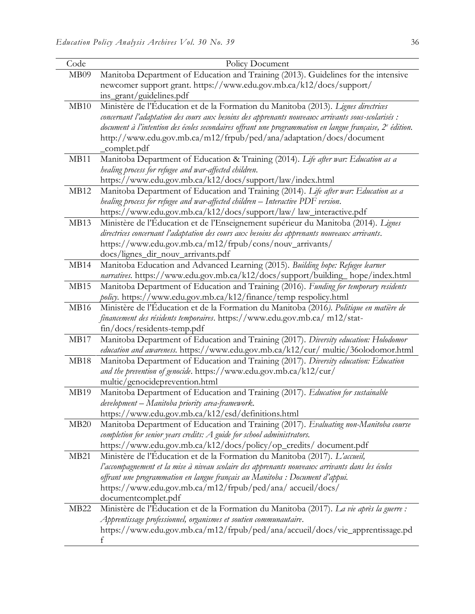| Code        | Policy Document                                                                                                                                                                                                                                                                                                                                                                               |
|-------------|-----------------------------------------------------------------------------------------------------------------------------------------------------------------------------------------------------------------------------------------------------------------------------------------------------------------------------------------------------------------------------------------------|
| MB09        | Manitoba Department of Education and Training (2013). Guidelines for the intensive<br>newcomer support grant. https://www.edu.gov.mb.ca/k12/docs/support/<br>ins_grant/guidelines.pdf                                                                                                                                                                                                         |
| MB10        | Ministère de l'Éducation et de la Formation du Manitoba (2013). Lignes directrices<br>concernant l'adaptation des cours aux besoins des apprenants nouveaux arrivants sous-scolarisés :<br>document à l'intention des écoles secondaires offrant une programmation en langue française, $2^e$ édition.<br>http://www.edu.gov.mb.ca/m12/frpub/ped/ana/adaptation/docs/document<br>_complet.pdf |
| MB11        | Manitoba Department of Education & Training (2014). Life after war: Education as a<br>healing process for refugee and war-affected children.<br>https://www.edu.gov.mb.ca/k12/docs/support/law/index.html                                                                                                                                                                                     |
| MB12        | Manitoba Department of Education and Training (2014). Life after war: Education as a<br>healing process for refugee and war-affected children - Interactive PDF version.<br>https://www.edu.gov.mb.ca/k12/docs/support/law/ law_interactive.pdf                                                                                                                                               |
| MB13        | Ministère de l'Éducation et de l'Enseignement supérieur du Manitoba (2014). Lignes<br>directrices concernant l'adaptation des cours aux besoins des apprenants nouveaux arrivants.<br>https://www.edu.gov.mb.ca/m12/frpub/cons/nouv_arrivants/<br>docs/lignes_dir_nouv_arrivants.pdf                                                                                                          |
| MB14        | Manitoba Education and Advanced Learning (2015). Building hope: Refugee learner<br>narratives. https://www.edu.gov.mb.ca/k12/docs/support/building_hope/index.html                                                                                                                                                                                                                            |
| MB15        | Manitoba Department of Education and Training (2016). Funding for temporary residents<br>policy. https://www.edu.gov.mb.ca/k12/finance/temp respolicy.html                                                                                                                                                                                                                                    |
| MB16        | Ministère de l'Éducation et de la Formation du Manitoba (2016). Politique en matière de<br>financement des résidents temporaires. https://www.edu.gov.mb.ca/ m12/stat-<br>$fin/docs/residents-temp.pdf$                                                                                                                                                                                       |
| MB17        | Manitoba Department of Education and Training (2017). Diversity education: Holodomor<br>education and awareness. https://www.edu.gov.mb.ca/k12/cur/ multic/36olodomor.html                                                                                                                                                                                                                    |
| MB18        | Manitoba Department of Education and Training (2017). Diversity education: Education<br>and the prevention of genocide. https://www.edu.gov.mb.ca/k12/cur/<br>multic/genocideprevention.html                                                                                                                                                                                                  |
| MB19        | Manitoba Department of Education and Training (2017). Education for sustainable<br>development – Manitoba priority area-framework.<br>https://www.edu.gov.mb.ca/k12/esd/definitions.html                                                                                                                                                                                                      |
| MB20        | Manitoba Department of Education and Training (2017). Evaluating non-Manitoba course<br>completion for senior years credits: A guide for school administrators.<br>https://www.edu.gov.mb.ca/k12/docs/policy/op_credits/ document.pdf                                                                                                                                                         |
| <b>MB21</b> | Ministère de l'Éducation et de la Formation du Manitoba (2017). L'accueil,<br>l'accompagnement et la mise à niveau scolaire des apprenants nouveaux arrivants dans les écoles<br>offrant une programmation en langue français au Manitoba : Document d'appui.<br>https://www.edu.gov.mb.ca/m12/frpub/ped/ana/accueil/docs/<br>documentcomplet.pdf                                             |
| <b>MB22</b> | Ministère de l'Éducation et de la Formation du Manitoba (2017). La vie après la guerre :<br>Apprentissage professionnel, organismes et soutien communautaire.<br>https://www.edu.gov.mb.ca/m12/frpub/ped/ana/accueil/docs/vie_apprentissage.pd<br>f                                                                                                                                           |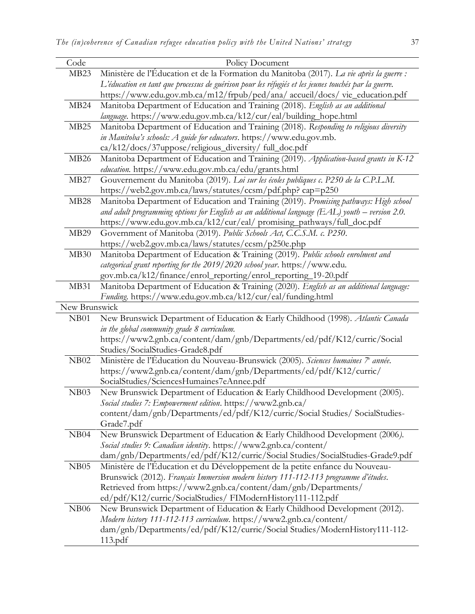| Code             | Policy Document                                                                                      |
|------------------|------------------------------------------------------------------------------------------------------|
| MB <sub>23</sub> | Ministère de l'Éducation et de la Formation du Manitoba (2017). La vie après la guerre :             |
|                  | L'éducation en tant que processus de guérison pour les réfugiés et les jeunes touchés par la guerre. |
|                  | https://www.edu.gov.mb.ca/m12/frpub/ped/ana/ accueil/docs/ vie_education.pdf                         |
| MB <sub>24</sub> | Manitoba Department of Education and Training (2018). English as an additional                       |
|                  | language. https://www.edu.gov.mb.ca/k12/cur/eal/building_hope.html                                   |
| MB25             | Manitoba Department of Education and Training (2018). Responding to religious diversity              |
|                  | in Manitoba's schools: A guide for educators. https://www.edu.gov.mb.                                |
|                  | ca/k12/docs/37uppose/religious_diversity/ full_doc.pdf                                               |
| MB <sub>26</sub> | Manitoba Department of Education and Training (2019). Application-based grants in K-12               |
|                  | education. https://www.edu.gov.mb.ca/edu/grants.html                                                 |
| MB27             | Gouvernement du Manitoba (2019). Loi sur les écoles publiques c. P250 de la C.P.L.M.                 |
|                  | https://web2.gov.mb.ca/laws/statutes/ccsm/pdf.php?cap=p250                                           |
| MB <sub>28</sub> | Manitoba Department of Education and Training (2019). Promising pathways: High school                |
|                  | and adult programming options for English as an additional language (EAL) youth $-$ version 2.0.     |
|                  | https://www.edu.gov.mb.ca/k12/cur/eal/ promising_pathways/full_doc.pdf                               |
| <b>MB29</b>      | Government of Manitoba (2019). Public Schools Act, C.C.S.M. c. P250.                                 |
|                  | https://web2.gov.mb.ca/laws/statutes/ccsm/p250e.php                                                  |
| MB30             | Manitoba Department of Education & Training (2019). Public schools enrolment and                     |
|                  | categorical grant reporting for the 2019/2020 school year. https://www.edu.                          |
|                  | gov.mb.ca/k12/finance/enrol_reporting/enrol_reporting_19-20.pdf                                      |
| MB31             | Manitoba Department of Education & Training (2020). English as an additional language:               |
|                  | Funding. https://www.edu.gov.mb.ca/k12/cur/eal/funding.html                                          |
| New Brunswick    |                                                                                                      |
| NB01             | New Brunswick Department of Education & Early Childhood (1998). Atlantic Canada                      |
|                  | in the global community grade 8 curriculum.                                                          |
|                  | https://www2.gnb.ca/content/dam/gnb/Departments/ed/pdf/K12/curric/Social                             |
|                  | Studies/SocialStudies-Grade8.pdf                                                                     |
| NB02             | Ministère de l'Éducation du Nouveau-Brunswick (2005). Sciences humaines 7 <sup>e</sup> année.        |
|                  | https://www2.gnb.ca/content/dam/gnb/Departments/ed/pdf/K12/curric/                                   |
|                  | SocialStudies/SciencesHumaines7eAnnee.pdf                                                            |
| NB03             | New Brunswick Department of Education & Early Childhood Development (2005).                          |
|                  | Social studies 7: Empowerment edition. https://www2.gnb.ca/                                          |
|                  | content/dam/gnb/Departments/ed/pdf/K12/curric/Social Studies/ SocialStudies-                         |
|                  | Grade7.pdf                                                                                           |
| NB04             | New Brunswick Department of Education & Early Childhood Development (2006).                          |
|                  |                                                                                                      |
|                  | Social studies 9: Canadian identity. https://www2.gnb.ca/content/                                    |
|                  | dam/gnb/Departments/ed/pdf/K12/curric/Social Studies/SocialStudies-Grade9.pdf                        |
| NB05             | Ministère de l'Éducation et du Développement de la petite enfance du Nouveau-                        |
|                  | Brunswick (2012). Français Immersion modern history 111-112-113 programme d'études.                  |
|                  | Retrieved from https://www2.gnb.ca/content/dam/gnb/Departments/                                      |
|                  | ed/pdf/K12/curric/SocialStudies/ FIModernHistory111-112.pdf                                          |
| <b>NB06</b>      | New Brunswick Department of Education & Early Childhood Development (2012).                          |
|                  | Modern history 111-112-113 curriculum. https://www2.gnb.ca/content/                                  |
|                  | dam/gnb/Departments/ed/pdf/K12/curric/Social Studies/ModernHistory111-112-                           |
|                  | 113.pdf                                                                                              |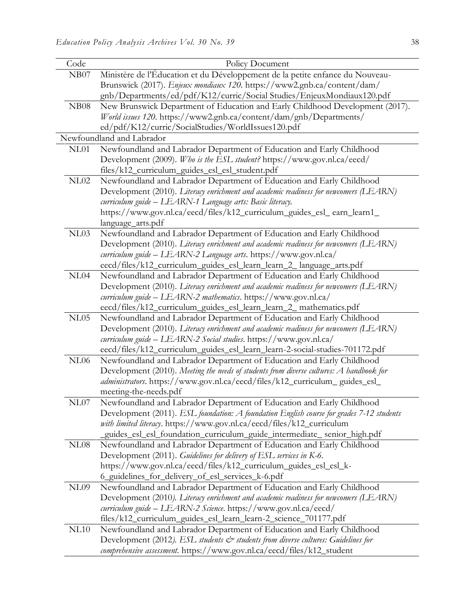| Code        | Policy Document                                                                                                                                                                                                                                                                                                             |
|-------------|-----------------------------------------------------------------------------------------------------------------------------------------------------------------------------------------------------------------------------------------------------------------------------------------------------------------------------|
| NB07        | Ministère de l'Éducation et du Développement de la petite enfance du Nouveau-<br>Brunswick (2017). Enjeux mondiaux 120. https://www2.gnb.ca/content/dam/<br>gnb/Departments/ed/pdf/K12/curric/Social Studies/EnjeuxMondiaux120.pdf                                                                                          |
| <b>NB08</b> | New Brunswick Department of Education and Early Childhood Development (2017).<br>World issues 120. https://www2.gnb.ca/content/dam/gnb/Departments/<br>ed/pdf/K12/curric/SocialStudies/WorldIssues120.pdf                                                                                                                   |
|             | Newfoundland and Labrador                                                                                                                                                                                                                                                                                                   |
| NL01        | Newfoundland and Labrador Department of Education and Early Childhood<br>Development (2009). Who is the ESL student? https://www.gov.nl.ca/eecd/<br>files/k12_curriculum_guides_esl_esl_student.pdf                                                                                                                         |
| NL02        | Newfoundland and Labrador Department of Education and Early Childhood<br>Development (2010). Literacy enrichment and academic readiness for newcomers (LEARN)<br>curriculum guide - LEARN-1 Language arts: Basic literacy.<br>https://www.gov.nl.ca/eecd/files/k12_curriculum_guides_esl_ earn_learn1_<br>language_arts.pdf |
| NL03        | Newfoundland and Labrador Department of Education and Early Childhood<br>Development (2010). Literacy enrichment and academic readiness for newcomers (LEARN)<br>curriculum guide - LEARN-2 Language arts. https://www.gov.nl.ca/<br>eecd/files/k12_curriculum_guides_esl_learn_learn_2_ language_arts.pdf                  |
| NL04        | Newfoundland and Labrador Department of Education and Early Childhood<br>Development (2010). Literacy enrichment and academic readiness for newcomers (LEARN)<br>curriculum guide - LEARN-2 mathematics. https://www.gov.nl.ca/<br>eecd/files/k12_curriculum_guides_esl_learn_learn_2_ mathematics.pdf                      |
| NL05        | Newfoundland and Labrador Department of Education and Early Childhood<br>Development (2010). Literacy enrichment and academic readiness for newcomers (LEARN)<br>curriculum guide - LEARN-2 Social studies. https://www.gov.nl.ca/<br>eecd/files/k12_curriculum_guides_esl_learn_learn-2-social-studies-701172.pdf          |
| $\rm NLO6$  | Newfoundland and Labrador Department of Education and Early Childhood<br>Development (2010). Meeting the needs of students from diverse cultures: A handbook for<br>administrators. https://www.gov.nl.ca/eecd/files/k12_curriculum_guides_esl_<br>meeting-the-needs.pdf                                                    |
| NL07        | Newfoundland and Labrador Department of Education and Early Childhood<br>Development (2011). ESL foundation: A foundation English course for grades 7-12 students<br>with limited literacy. https://www.gov.nl.ca/eecd/files/k12_curriculum<br>_guides_esl_esl_foundation_curriculum_guide_intermediate_ senior_high.pdf    |
| NL08        | Newfoundland and Labrador Department of Education and Early Childhood<br>Development (2011). Guidelines for delivery of ESL services in K-6.<br>https://www.gov.nl.ca/eecd/files/k12_curriculum_guides_esl_esl_k-<br>6_guidelines_for_delivery_of_esl_services_k-6.pdf                                                      |
| NL09        | Newfoundland and Labrador Department of Education and Early Childhood<br>Development (2010). Literacy enrichment and academic readiness for newcomers (LEARN)<br>curriculum guide - LEARN-2 Science. https://www.gov.nl.ca/eecd/<br>files/k12_curriculum_guides_esl_learn_learn-2_science_701177.pdf                        |
| NL10        | Newfoundland and Labrador Department of Education and Early Childhood<br>Development (2012). ESL students $\mathcal{C}^*$ students from diverse cultures: Guidelines for<br>comprehensive assessment. https://www.gov.nl.ca/eecd/files/k12_student                                                                          |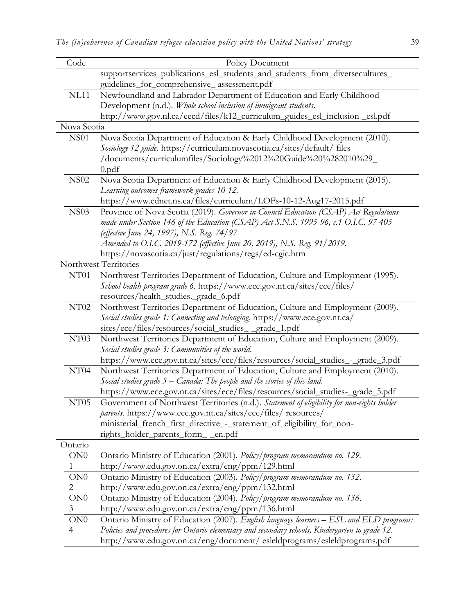| Code             | Policy Document                                                                                 |
|------------------|-------------------------------------------------------------------------------------------------|
|                  | supportservices_publications_esl_students_and_students_from_diversecultures_                    |
|                  | guidelines_for_comprehensive_assessment.pdf                                                     |
| <b>NL11</b>      | Newfoundland and Labrador Department of Education and Early Childhood                           |
|                  | Development (n.d.). Whole school inclusion of immigrant students.                               |
|                  | http://www.gov.nl.ca/eecd/files/k12_curriculum_guides_esl_inclusion _esl.pdf                    |
| Nova Scotia      |                                                                                                 |
| <b>NS01</b>      | Nova Scotia Department of Education & Early Childhood Development (2010).                       |
|                  | Sociology 12 guide. https://curriculum.novascotia.ca/sites/default/ files                       |
|                  | /documents/curriculumfiles/Sociology%2012%20Guide%20%282010%29_                                 |
|                  | $0$ .pdf                                                                                        |
| <b>NS02</b>      | Nova Scotia Department of Education & Early Childhood Development (2015).                       |
|                  | Learning outcomes framework grades 10-12.                                                       |
|                  | https://www.ednet.ns.ca/files/curriculum/LOFs-10-12-Aug17-2015.pdf                              |
| <b>NS03</b>      | Province of Nova Scotia (2019). Governor in Council Education (CSAP) Act Regulations            |
|                  | made under Section 146 of the Education (CSAP) Act S.N.S. 1995-96, c.1 O.I.C. 97-405            |
|                  | (effective June 24, 1997), N.S. Reg. 74/97                                                      |
|                  | Amended to O.I.C. 2019-172 (effective June 20, 2019), N.S. Reg. 91/2019.                        |
|                  | https://novascotia.ca/just/regulations/regs/ed-cgic.htm                                         |
|                  | Northwest Territories                                                                           |
| NT01             | Northwest Territories Department of Education, Culture and Employment (1995).                   |
|                  | School health program grade 6. https://www.ece.gov.nt.ca/sites/ece/files/                       |
|                  | resources/health_studies._grade_6.pdf                                                           |
| NT <sub>02</sub> | Northwest Territories Department of Education, Culture and Employment (2009).                   |
|                  | Social studies grade 1: Connecting and belonging. https://www.ece.gov.nt.ca/                    |
|                  | sites/ece/files/resources/social_studies_-_grade_1.pdf                                          |
| NT03             | Northwest Territories Department of Education, Culture and Employment (2009).                   |
|                  | Social studies grade 3: Communities of the world.                                               |
|                  | https://www.ece.gov.nt.ca/sites/ece/files/resources/social_studies_-_grade_3.pdf                |
| NT04             | Northwest Territories Department of Education, Culture and Employment (2010).                   |
|                  | Social studies grade 5 – Canada: The people and the stories of this land.                       |
|                  | https://www.ece.gov.nt.ca/sites/ece/files/resources/social_studies-_grade_5.pdf                 |
| NT <sub>05</sub> | Government of Northwest Territories (n.d.). Statement of eligibility for non-rights holder      |
|                  | parents. https://www.ece.gov.nt.ca/sites/ece/files/ resources/                                  |
|                  | ministerial_french_first_directive_-_statement_of_eligibility_for_non-                          |
|                  | rights_holder_parents_form_-_en.pdf                                                             |
| Ontario          |                                                                                                 |
| ON0              | Ontario Ministry of Education (2001). Policy/program memorandum no. 129.                        |
| 1                | http://www.edu.gov.on.ca/extra/eng/ppm/129.html                                                 |
| ON0              | Ontario Ministry of Education (2003). Policy/program memorandum no. 132.                        |
| $\overline{c}$   | http://www.edu.gov.on.ca/extra/eng/ppm/132.html                                                 |
| $\rm ON0$        | Ontario Ministry of Education (2004). Policy/program memorandum no. 136.                        |
| 3                | http://www.edu.gov.on.ca/extra/eng/ppm/136.html                                                 |
| ON0              | Ontario Ministry of Education (2007). English language learners - ESL and ELD programs:         |
| $\overline{4}$   | Policies and procedures for Ontario elementary and secondary schools, Kindergarten to grade 12. |
|                  | http://www.edu.gov.on.ca/eng/document/esleldprograms/esleldprograms.pdf                         |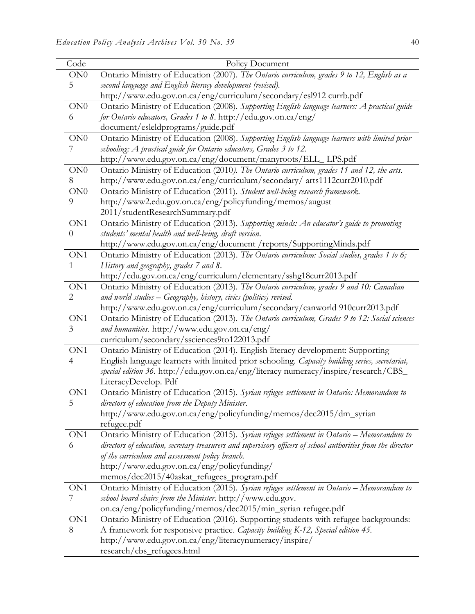| Code            | Policy Document                                                                                               |
|-----------------|---------------------------------------------------------------------------------------------------------------|
| ON0             | Ontario Ministry of Education (2007). The Ontario curriculum, grades 9 to 12, English as a                    |
| 5               | second language and English literacy development (revised).                                                   |
|                 | http://www.edu.gov.on.ca/eng/curriculum/secondary/esl912 currb.pdf                                            |
| ON0             | Ontario Ministry of Education (2008). Supporting English language learners: A practical guide                 |
| 6               | for Ontario educators, Grades 1 to 8. http://edu.gov.on.ca/eng/                                               |
|                 | document/esleldprograms/guide.pdf                                                                             |
| ON0             | Ontario Ministry of Education (2008). Supporting English language learners with limited prior                 |
| 7               | schooling: A practical guide for Ontario educators, Grades 3 to 12.                                           |
|                 | http://www.edu.gov.on.ca/eng/document/manyroots/ELL_LPS.pdf                                                   |
| $\rm ON0$       | Ontario Ministry of Education (2010). The Ontario curriculum, grades 11 and 12, the arts.                     |
| 8               | http://www.edu.gov.on.ca/eng/curriculum/secondary/ arts1112curr2010.pdf                                       |
| ON <sub>0</sub> | Ontario Ministry of Education (2011). Student well-being research framework.                                  |
| 9               | http://www2.edu.gov.on.ca/eng/policyfunding/memos/august                                                      |
|                 | 2011/studentResearchSummary.pdf                                                                               |
| ON1             | Ontario Ministry of Education (2013). Supporting minds: An educator's guide to promoting                      |
| $\overline{0}$  | students' mental health and well-being, draft version.                                                        |
|                 | http://www.edu.gov.on.ca/eng/document /reports/SupportingMinds.pdf                                            |
| ON1             | Ontario Ministry of Education (2013). The Ontario curriculum: Social studies, grades 1 to 6;                  |
| 1               | History and geography, grades 7 and 8.<br>http://edu.gov.on.ca/eng/curriculum/elementary/sshg18curr2013.pdf   |
| ON1             | Ontario Ministry of Education (2013). The Ontario curriculum, grades 9 and 10: Canadian                       |
| $\overline{2}$  | and world studies - Geography, history, civics (politics) revised.                                            |
|                 | http://www.edu.gov.on.ca/eng/curriculum/secondary/canworld 910curr2013.pdf                                    |
| ON1             | Ontario Ministry of Education (2013). The Ontario curriculum, Grades 9 to 12: Social sciences                 |
| 3               | and humanities. http://www.edu.gov.on.ca/eng/                                                                 |
|                 | curriculum/secondary/ssciences9to122013.pdf                                                                   |
| ON1             | Ontario Ministry of Education (2014). English literacy development: Supporting                                |
| 4               | English language learners with limited prior schooling. Capacity building series, secretariat,                |
|                 | special edition 36. http://edu.gov.on.ca/eng/literacy numeracy/inspire/research/CBS_                          |
|                 | LiteracyDevelop. Pdf                                                                                          |
| ON1             | Ontario Ministry of Education (2015). Syrian refugee settlement in Ontario: Memorandum to                     |
| 5               | directors of education from the Deputy Minister.                                                              |
|                 | http://www.edu.gov.on.ca/eng/policyfunding/memos/dec2015/dm_syrian                                            |
|                 | refugee.pdf                                                                                                   |
| ON1             | Ontario Ministry of Education (2015). Syrian refugee settlement in Ontario - Memorandum to                    |
| 6               | directors of education, secretary-treasurers and supervisory officers of school authorities from the director |
|                 | of the curriculum and assessment policy branch.                                                               |
|                 | http://www.edu.gov.on.ca/eng/policyfunding/                                                                   |
|                 | memos/dec2015/40askat_refugees_program.pdf                                                                    |
| ON1             | Ontario Ministry of Education (2015). Syrian refugee settlement in Ontario - Memorandum to                    |
| 7               | school board chairs from the Minister. http://www.edu.gov.                                                    |
|                 | on.ca/eng/policyfunding/memos/dec2015/min_syrian refugee.pdf                                                  |
| ON1             | Ontario Ministry of Education (2016). Supporting students with refugee backgrounds:                           |
| 8               | A framework for responsive practice. Capacity building K-12, Special edition 45.                              |
|                 | http://www.edu.gov.on.ca/eng/literacynumeracy/inspire/                                                        |
|                 | research/cbs_refugees.html                                                                                    |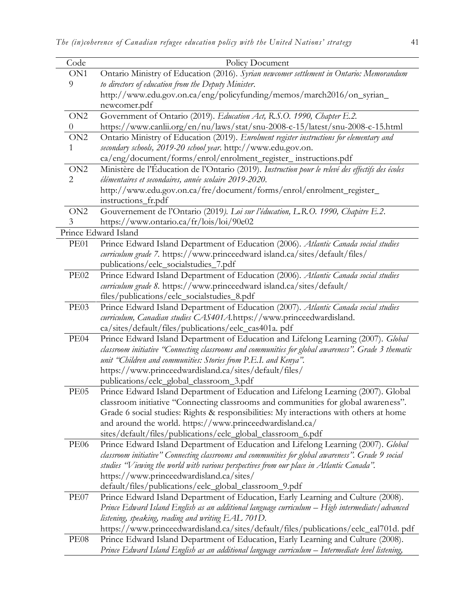| Code            | Policy Document                                                                                     |
|-----------------|-----------------------------------------------------------------------------------------------------|
| ON1             | Ontario Ministry of Education (2016). Syrian newcomer settlement in Ontario: Memorandum             |
| 9               | to directors of education from the Deputy Minister.                                                 |
|                 | http://www.edu.gov.on.ca/eng/policyfunding/memos/march2016/on_syrian_                               |
|                 | newcomer.pdf                                                                                        |
| ON <sub>2</sub> | Government of Ontario (2019). Education Act, R.S.O. 1990, Chapter E.2.                              |
| $\theta$        | https://www.canlii.org/en/nu/laws/stat/snu-2008-c-15/latest/snu-2008-c-15.html                      |
| ON <sub>2</sub> | Ontario Ministry of Education (2019). Enrolment register instructions for elementary and            |
| 1               | secondary schools, 2019-20 school year. http://www.edu.gov.on.                                      |
|                 | ca/eng/document/forms/enrol/enrolment_register_instructions.pdf                                     |
| ON <sub>2</sub> | Ministère de l'Éducation de l'Ontario (2019). Instruction pour le relevé des effectifs des écoles   |
| $\overline{2}$  | élémentaires et secondaires, année scolaire 2019-2020.                                              |
|                 | http://www.edu.gov.on.ca/fre/document/forms/enrol/enrolment_register_                               |
|                 | instructions_fr.pdf                                                                                 |
| ON <sub>2</sub> | Gouvernement de l'Ontario (2019). Loi sur l'éducation, L.R.O. 1990, Chapitre E.2.                   |
| 3               | https://www.ontario.ca/fr/lois/loi/90e02                                                            |
|                 | Prince Edward Island                                                                                |
| PE01            | Prince Edward Island Department of Education (2006). Atlantic Canada social studies                 |
|                 | curriculum grade 7. https://www.princeedward island.ca/sites/default/files/                         |
|                 | publications/eelc_socialstudies_7.pdf                                                               |
| <b>PE02</b>     | Prince Edward Island Department of Education (2006). Atlantic Canada social studies                 |
|                 | curriculum grade 8. https://www.princeedward island.ca/sites/default/                               |
|                 | files/publications/eelc_socialstudies_8.pdf                                                         |
| PE03            | Prince Edward Island Department of Education (2007). Atlantic Canada social studies                 |
|                 | curriculum, Canadian studies CAS401A.https://www.princeedwardisland.                                |
|                 | ca/sites/default/files/publications/eelc_cas401a. pdf                                               |
| PE04            | Prince Edward Island Department of Education and Lifelong Learning (2007). Global                   |
|                 | classroom initiative "Connecting classrooms and communities for global awareness". Grade 3 thematic |
|                 | unit "Children and communities: Stories from P.E.I. and Kenya".                                     |
|                 | https://www.princeedwardisland.ca/sites/default/files/                                              |
|                 | publications/eelc_global_classroom_3.pdf                                                            |
| PE05            | Prince Edward Island Department of Education and Lifelong Learning (2007). Global                   |
|                 | classroom initiative "Connecting classrooms and communities for global awareness".                  |
|                 | Grade 6 social studies: Rights & responsibilities: My interactions with others at home              |
|                 | and around the world. https://www.princeedwardisland.ca/                                            |
|                 | sites/default/files/publications/eelc_global_classroom_6.pdf                                        |
| <b>PE06</b>     | Prince Edward Island Department of Education and Lifelong Learning (2007). Global                   |
|                 | classroom initiative" Connecting classrooms and communities for global awareness". Grade 9 social   |
|                 | studies "Viewing the world with various perspectives from our place in Atlantic Canada".            |
|                 | https://www.princeedwardisland.ca/sites/<br>default/files/publications/eelc_global_classroom_9.pdf  |
| PE07            | Prince Edward Island Department of Education, Early Learning and Culture (2008).                    |
|                 | Prince Edward Island English as an additional language curriculum – High intermediate/advanced      |
|                 | listening, speaking, reading and writing EAL 701D.                                                  |
|                 | https://www.princeedwardisland.ca/sites/default/files/publications/eelc_eal701d.pdf                 |
| PE08            | Prince Edward Island Department of Education, Early Learning and Culture (2008).                    |
|                 | Prince Edward Island English as an additional language curriculum - Intermediate level listening,   |
|                 |                                                                                                     |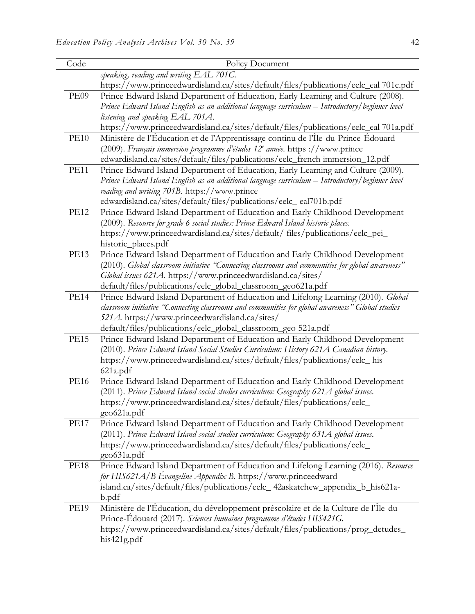| Code        | Policy Document                                                                                  |
|-------------|--------------------------------------------------------------------------------------------------|
|             | speaking, reading and writing EAL 701C.                                                          |
|             | https://www.princeedwardisland.ca/sites/default/files/publications/eelc_eal 701c.pdf             |
| PE09        | Prince Edward Island Department of Education, Early Learning and Culture (2008).                 |
|             | Prince Edward Island English as an additional language curriculum - Introductory/beginner level  |
|             | listening and speaking EAL 701A.                                                                 |
|             | https://www.princeedwardisland.ca/sites/default/files/publications/eelc_eal 701a.pdf             |
| <b>PE10</b> | Ministère de l'Éducation et de l'Apprentissage continu de l'Île-du-Prince-Édouard                |
|             | (2009). Français immersion programme d'études 12 <sup>e</sup> année. https ://www.prince         |
|             | edwardisland.ca/sites/default/files/publications/eelc_french immersion_12.pdf                    |
| <b>PE11</b> | Prince Edward Island Department of Education, Early Learning and Culture (2009).                 |
|             | Prince Edward Island English as an additional language curriculum - Introductory/beginner level  |
|             | reading and writing 701B. https://www.prince                                                     |
|             | edwardisland.ca/sites/default/files/publications/eelc_eal701b.pdf                                |
| <b>PE12</b> | Prince Edward Island Department of Education and Early Childhood Development                     |
|             | (2009). Resource for grade 6 social studies: Prince Edward Island historic places.               |
|             | https://www.princeedwardisland.ca/sites/default/ files/publications/eelc_pei_                    |
|             | historic_places.pdf                                                                              |
| <b>PE13</b> | Prince Edward Island Department of Education and Early Childhood Development                     |
|             | (2010). Global classroom initiative "Connecting classrooms and communities for global awareness" |
|             | Global issues 621A. https://www.princeedwardisland.ca/sites/                                     |
|             | default/files/publications/eelc_global_classroom_geo621a.pdf                                     |
| <b>PE14</b> | Prince Edward Island Department of Education and Lifelong Learning (2010). Global                |
|             | classroom initiative "Connecting classrooms and communities for global awareness" Global studies |
|             | 521A. https://www.princeedwardisland.ca/sites/                                                   |
|             | default/files/publications/eelc_global_classroom_geo 521a.pdf                                    |
| <b>PE15</b> | Prince Edward Island Department of Education and Early Childhood Development                     |
|             | (2010). Prince Edward Island Social Studies Curriculum: History 621A Canadian history.           |
|             | https://www.princeedwardisland.ca/sites/default/files/publications/eelc_his                      |
|             | 621a.pdf                                                                                         |
| <b>PE16</b> | Prince Edward Island Department of Education and Early Childhood Development                     |
|             | (2011). Prince Edward Island social studies curriculum: Geography 621A global issues.            |
|             | https://www.princeedwardisland.ca/sites/default/files/publications/eelc_                         |
|             | geo621a.pdf                                                                                      |
| <b>PE17</b> | Prince Edward Island Department of Education and Early Childhood Development                     |
|             | (2011). Prince Edward Island social studies curriculum: Geography 631A global issues.            |
|             | https://www.princeedwardisland.ca/sites/default/files/publications/eelc_                         |
|             | geo631a.pdf                                                                                      |
| <b>PE18</b> | Prince Edward Island Department of Education and Lifelong Learning (2016). Resource              |
|             | for HIS621A/B Évangeline Appendix B. https://www.princeedward                                    |
|             | island.ca/sites/default/files/publications/eelc_42askatchew_appendix_b_his621a-                  |
|             | b.pdf                                                                                            |
| <b>PE19</b> | Ministère de l'Éducation, du développement préscolaire et de la Culture de l'Île-du-             |
|             | Prince-Édouard (2017). Sciences humaines programme d'études HIS421G.                             |
|             | https://www.princeedwardisland.ca/sites/default/files/publications/prog_detudes_                 |
|             | his421g.pdf                                                                                      |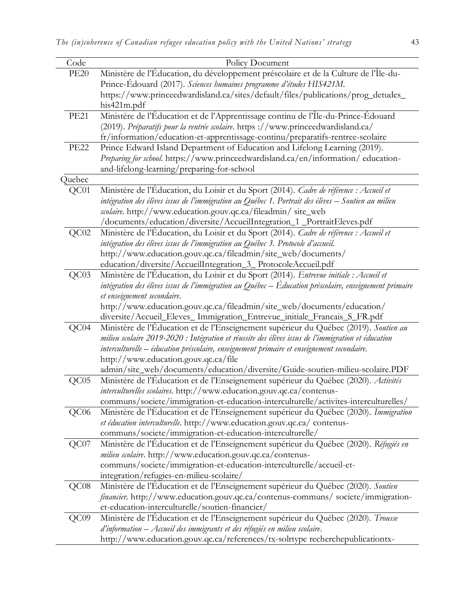| Code             | Policy Document                                                                                        |
|------------------|--------------------------------------------------------------------------------------------------------|
| <b>PE20</b>      | Ministère de l'Éducation, du développement préscolaire et de la Culture de l'Île-du-                   |
|                  | Prince-Édouard (2017). Sciences humaines programme d'études HIS421M.                                   |
|                  | https://www.princeedwardisland.ca/sites/default/files/publications/prog_detudes_                       |
|                  | his421m.pdf                                                                                            |
| <b>PE21</b>      | Ministère de l'Éducation et de l'Apprentissage continu de l'Île-du-Prince-Édouard                      |
|                  | (2019). Préparatifs pour la rentrée scolaire. https ://www.princeedwardisland.ca/                      |
|                  | fr/information/education-et-apprentissage-continu/preparatifs-rentree-scolaire                         |
| <b>PE22</b>      | Prince Edward Island Department of Education and Lifelong Learning (2019).                             |
|                  | Preparing for school. https://www.princeedwardisland.ca/en/information/education-                      |
|                  | and-lifelong-learning/preparing-for-school                                                             |
| Quebec           |                                                                                                        |
| QC01             | Ministère de l'Éducation, du Loisir et du Sport (2014). Cadre de référence : Accueil et                |
|                  | intégration des élèves issus de l'immigration au Québec 1. Portrait des élèves – Soutien au milieu     |
|                  | scolaire. http://www.education.gouv.qc.ca/fileadmin/ site_web                                          |
|                  | /documents/education/diversite/AccueilIntegration_1 _PortraitEleves.pdf                                |
| QC02             | Ministère de l'Éducation, du Loisir et du Sport (2014). Cadre de référence : Accueil et                |
|                  | intégration des élèves issus de l'immigration au Québec 3. Protocole d'accueil.                        |
|                  | http://www.education.gouv.qc.ca/fileadmin/site_web/documents/                                          |
|                  | education/diversite/AccueilIntegration_3_ProtocoleAccueil.pdf                                          |
| QC03             | Ministère de l'Éducation, du Loisir et du Sport (2014). Entrevue initiale : Accueil et                 |
|                  | intégration des élèves issus de l'immigration au Québec – Éducation préscolaire, enseignement primaire |
|                  | et enseignement secondaire.<br>http://www.education.gouv.qc.ca/fileadmin/site_web/documents/education/ |
|                  | diversite/Accueil_Eleves_Immigration_Entrevue_initiale_Francais_S_FR.pdf                               |
| QC04             | Ministère de l'Éducation et de l'Enseignement supérieur du Québec (2019). Soutien au                   |
|                  | milieu scolaire 2019-2020 : Intégration et réussite des élèves issus de l'immigration et éducation     |
|                  | interculturelle – éducation préscolaire, enseignement primaire et enseignement secondaire.             |
|                  | http://www.education.gouv.qc.ca/file                                                                   |
|                  | admin/site_web/documents/education/diversite/Guide-soutien-milieu-scolaire.PDF                         |
| QC05             | Ministère de l'Éducation et de l'Enseignement supérieur du Québec (2020). Activités                    |
|                  | interculturelles scolaires. http://www.education.gouv.qc.ca/contenus-                                  |
|                  | communs/societe/immigration-et-education-interculturelle/activites-interculturelles/                   |
| QC <sub>06</sub> | Ministère de l'Éducation et de l'Enseignement supérieur du Québec (2020). Immigration                  |
|                  | et éducation interculturelle. http://www.education.gouv.qc.ca/ contenus-                               |
|                  | communs/societe/immigration-et-education-interculturelle/                                              |
| QC07             | Ministère de l'Éducation et de l'Enseignement supérieur du Québec (2020). Réfugiés en                  |
|                  | milieu scolaire. http://www.education.gouv.qc.ca/contenus-                                             |
|                  | communs/societe/immigration-et-education-interculturelle/accueil-et-                                   |
|                  | integration/refugies-en-milieu-scolaire/                                                               |
| QC08             | Ministère de l'Éducation et de l'Enseignement supérieur du Québec (2020). Soutien                      |
|                  | <i>financier</i> . http://www.education.gouv.qc.ca/contenus-communs/ societe/immigration-              |
|                  | et-education-interculturelle/soutien-financier/                                                        |
| QC09             | Ministère de l'Education et de l'Enseignement supérieur du Québec (2020). Trousse                      |
|                  | d'information – Accueil des immigrants et des réfugiés en milieu scolaire.                             |
|                  | http://www.education.gouv.qc.ca/references/tx-solrtype recherchepublicationtx-                         |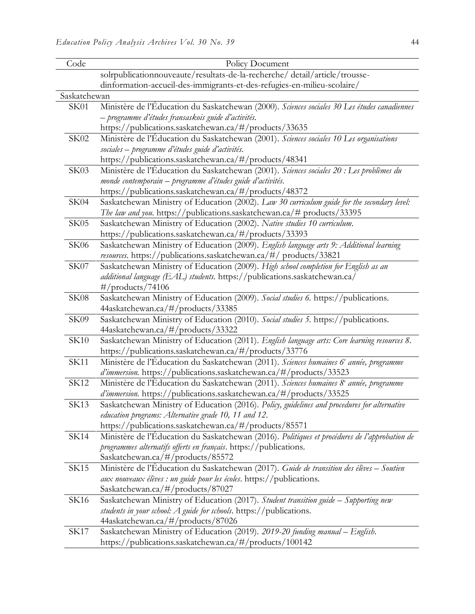| Code         | Policy Document                                                                                    |
|--------------|----------------------------------------------------------------------------------------------------|
|              | solrpublicationnouveaute/resultats-de-la-recherche/detail/article/trousse-                         |
|              | dinformation-accueil-des-immigrants-et-des-refugies-en-milieu-scolaire/                            |
| Saskatchewan |                                                                                                    |
| <b>SK01</b>  | Ministère de l'Éducation du Saskatchewan (2000). Sciences sociales 30 Les études canadiennes       |
|              | – programme d'études fransaskois guide d'activités.                                                |
|              | https://publications.saskatchewan.ca/#/products/33635                                              |
| SK02         | Ministère de l'Éducation du Saskatchewan (2001). Sciences sociales 10 Les organisations            |
|              | sociales - programme d'études guide d'activités.                                                   |
|              | https://publications.saskatchewan.ca/#/products/48341                                              |
| SK03         | Ministère de l'Éducation du Saskatchewan (2001). Sciences sociales 20 : Les problèmes du           |
|              | monde contemporain - programme d'études guide d'activités.                                         |
|              | https://publications.saskatchewan.ca/#/products/48372                                              |
| SK04         | Saskatchewan Ministry of Education (2002). Law 30 curriculum guide for the secondary level:        |
|              | The law and you. https://publications.saskatchewan.ca/# products/33395                             |
| SK05         | Saskatchewan Ministry of Education (2002). Native studies 10 curriculum.                           |
|              | https://publications.saskatchewan.ca/#/products/33393                                              |
| <b>SK06</b>  | Saskatchewan Ministry of Education (2009). English language arts 9: Additional learning            |
|              | resources. https://publications.saskatchewan.ca/#/ products/33821                                  |
| SK07         | Saskatchewan Ministry of Education (2009). High school completion for English as an                |
|              | additional language (EAL) students. https://publications.saskatchewan.ca/                          |
|              | $\#/$ products/74106                                                                               |
| <b>SK08</b>  | Saskatchewan Ministry of Education (2009). Social studies 6. https://publications.                 |
|              | 44askatchewan.ca/#/products/33385                                                                  |
| SK09         | Saskatchewan Ministry of Education (2010). Social studies 5. https://publications.                 |
|              | 44askatchewan.ca/#/products/33322                                                                  |
| <b>SK10</b>  | Saskatchewan Ministry of Education (2011). English language arts: Core learning resources 8.       |
|              | https://publications.saskatchewan.ca/#/products/33776                                              |
| <b>SK11</b>  | Ministère de l'Éducation du Saskatchewan (2011). Sciences humaines 6 <sup>e</sup> année, programme |
|              | d'immersion. https://publications.saskatchewan.ca/#/products/33523                                 |
| <b>SK12</b>  | Ministère de l'Éducation du Saskatchewan (2011). Sciences humaines 8 <sup>e</sup> année, programme |
|              | d'immersion. https://publications.saskatchewan.ca/#/products/33525                                 |
| SK13         | Saskatchewan Ministry of Education (2016). Policy, guidelines and procedures for alternative       |
|              | education programs: Alternative grade 10, 11 and 12.                                               |
|              | https://publications.saskatchewan.ca/#/products/85571                                              |
| <b>SK14</b>  | Ministère de l'Éducation du Saskatchewan (2016). Politiques et procédures de l'approbation de      |
|              | programmes alternatifs offerts en français. https://publications.                                  |
|              | Saskatchewan.ca/#/products/85572                                                                   |
| <b>SK15</b>  | Ministère de l'Éducation du Saskatchewan (2017). Guide de transition des élèves - Soutien          |
|              | aux nouveaux élèves : un guide pour les écoles. https://publications.                              |
|              | Saskatchewan.ca/#/products/87027                                                                   |
| SK16         | Saskatchewan Ministry of Education (2017). Student transition guide - Supporting new               |
|              | students in your school: A guide for schools. https://publications.                                |
|              | 44askatchewan.ca/#/products/87026                                                                  |
| <b>SK17</b>  | Saskatchewan Ministry of Education (2019). 2019-20 funding manual - English.                       |
|              | https://publications.saskatchewan.ca/#/products/100142                                             |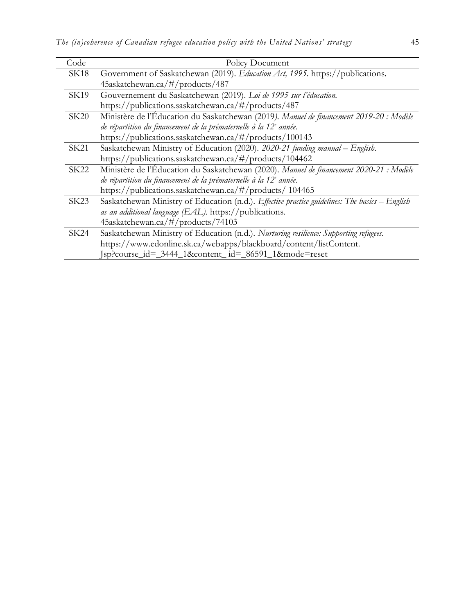| Code        | Policy Document                                                                                |  |  |  |  |
|-------------|------------------------------------------------------------------------------------------------|--|--|--|--|
| <b>SK18</b> | Government of Saskatchewan (2019). Education Act, 1995. https://publications.                  |  |  |  |  |
|             | 45askatchewan.ca/#/products/487                                                                |  |  |  |  |
| SK19        | Gouvernement du Saskatchewan (2019). Loi de 1995 sur l'éducation.                              |  |  |  |  |
|             | https://publications.saskatchewan.ca/#/products/487                                            |  |  |  |  |
| SK20        | Ministère de l'Éducation du Saskatchewan (2019). Manuel de financement 2019-20 : Modèle        |  |  |  |  |
|             | de répartition du financement de la prématernelle à la 12 <sup>e</sup> année.                  |  |  |  |  |
|             | https://publications.saskatchewan.ca/#/products/100143                                         |  |  |  |  |
| SK21        | Saskatchewan Ministry of Education (2020). 2020-21 funding manual - English.                   |  |  |  |  |
|             | https://publications.saskatchewan.ca/#/products/104462                                         |  |  |  |  |
| <b>SK22</b> | Ministère de l'Éducation du Saskatchewan (2020). Manuel de financement 2020-21 : Modèle        |  |  |  |  |
|             | de répartition du financement de la prématernelle à la 12 <sup>e</sup> année.                  |  |  |  |  |
|             | https://publications.saskatchewan.ca/#/products/ 104465                                        |  |  |  |  |
| SK23        | Saskatchewan Ministry of Education (n.d.). Effective practice guidelines: The basics - English |  |  |  |  |
|             | as an additional language (EAL). https://publications.                                         |  |  |  |  |
|             | 45askatchewan.ca/#/products/74103                                                              |  |  |  |  |
| SK24        | Saskatchewan Ministry of Education (n.d.). Nurturing resilience: Supporting refugees.          |  |  |  |  |
|             | https://www.edonline.sk.ca/webapps/blackboard/content/listContent.                             |  |  |  |  |
|             | Jsp?course_id=_3444_1&content_id=_86591_1&mode=reset                                           |  |  |  |  |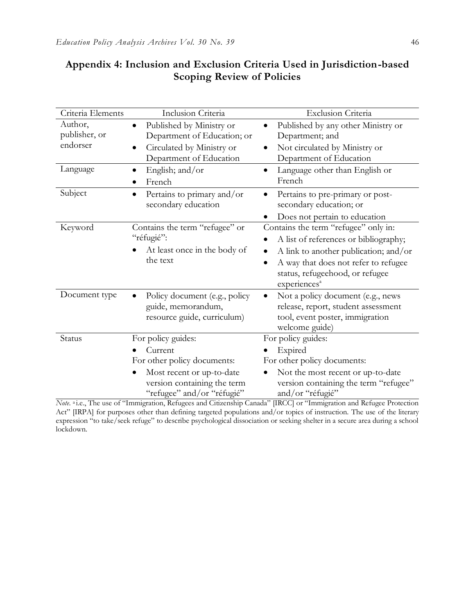| Criteria Elements | Inclusion Criteria                       | Exclusion Criteria                                 |
|-------------------|------------------------------------------|----------------------------------------------------|
| Author,           | Published by Ministry or<br>$\bullet$    | Published by any other Ministry or<br>$\bullet$    |
| publisher, or     | Department of Education; or              | Department; and                                    |
| endorser          | Circulated by Ministry or                | Not circulated by Ministry or                      |
|                   | Department of Education                  | Department of Education                            |
| Language          | English; and/or<br>$\bullet$             | Language other than English or<br>$\bullet$        |
|                   | French                                   | French                                             |
| Subject           | Pertains to primary and/or<br>$\bullet$  | Pertains to pre-primary or post-<br>٠              |
|                   | secondary education                      | secondary education; or                            |
|                   |                                          | Does not pertain to education                      |
| Keyword           | Contains the term "refugee" or           | Contains the term "refugee" only in:               |
|                   | "réfugié":                               | A list of references or bibliography;              |
|                   | At least once in the body of<br>the text | A link to another publication; and/or<br>$\bullet$ |
|                   |                                          | A way that does not refer to refugee<br>$\bullet$  |
|                   |                                          | status, refugeehood, or refugee                    |
|                   |                                          | experiences <sup>a</sup>                           |
| Document type     | Policy document (e.g., policy            | Not a policy document (e.g., news                  |
|                   | guide, memorandum,                       | release, report, student assessment                |
|                   | resource guide, curriculum)              | tool, event poster, immigration                    |
|                   |                                          | welcome guide)                                     |
| Status            | For policy guides:                       | For policy guides:                                 |
|                   | Current                                  | Expired                                            |
|                   | For other policy documents:              | For other policy documents:                        |
|                   | Most recent or up-to-date<br>$\bullet$   | Not the most recent or up-to-date                  |
|                   | version containing the term              | version containing the term "refugee"              |
|                   | "refugee" and/or "réfugié"               | and/or "réfugié"                                   |

## **Appendix 4: Inclusion and Exclusion Criteria Used in Jurisdiction-based Scoping Review of Policies**

*Note*. <sup>a</sup> i.e., The use of "Immigration, Refugees and Citizenship Canada" [IRCC] or "Immigration and Refugee Protection Act" [IRPA] for purposes other than defining targeted populations and/or topics of instruction. The use of the literary expression "to take/seek refuge" to describe psychological dissociation or seeking shelter in a secure area during a school lockdown.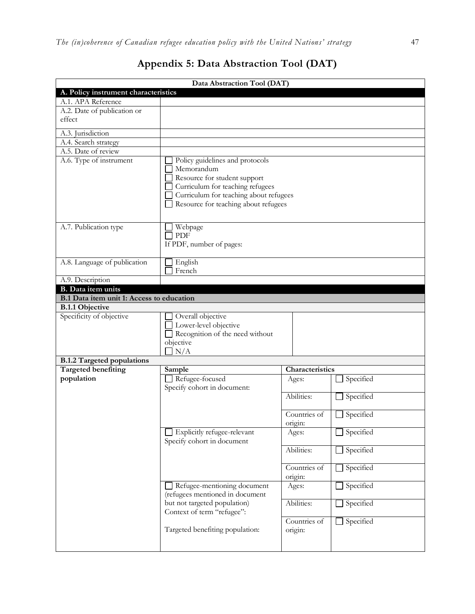| Data Abstraction Tool (DAT)                                                   |                                        |                 |           |  |  |
|-------------------------------------------------------------------------------|----------------------------------------|-----------------|-----------|--|--|
| A. Policy instrument characteristics                                          |                                        |                 |           |  |  |
| A.1. APA Reference                                                            |                                        |                 |           |  |  |
| A.2. Date of publication or                                                   |                                        |                 |           |  |  |
| effect                                                                        |                                        |                 |           |  |  |
| A.3. Jurisdiction                                                             |                                        |                 |           |  |  |
| A.4. Search strategy                                                          |                                        |                 |           |  |  |
| A.5. Date of review                                                           |                                        |                 |           |  |  |
| A.6. Type of instrument                                                       | Policy guidelines and protocols        |                 |           |  |  |
|                                                                               | Memorandum                             |                 |           |  |  |
|                                                                               | Resource for student support           |                 |           |  |  |
|                                                                               | Curriculum for teaching refugees       |                 |           |  |  |
|                                                                               | Curriculum for teaching about refugees |                 |           |  |  |
|                                                                               | Resource for teaching about refugees   |                 |           |  |  |
|                                                                               |                                        |                 |           |  |  |
|                                                                               |                                        |                 |           |  |  |
| A.7. Publication type                                                         | Webpage<br>PDF                         |                 |           |  |  |
|                                                                               |                                        |                 |           |  |  |
|                                                                               | If PDF, number of pages:               |                 |           |  |  |
| A.8. Language of publication                                                  | English                                |                 |           |  |  |
|                                                                               | French                                 |                 |           |  |  |
| A.9. Description                                                              |                                        |                 |           |  |  |
| B. Data item units                                                            |                                        |                 |           |  |  |
| B.1 Data item unit 1: Access to education                                     |                                        |                 |           |  |  |
| <b>B.1.1 Objective</b>                                                        |                                        |                 |           |  |  |
| Specificity of objective                                                      | Overall objective                      |                 |           |  |  |
|                                                                               | Lower-level objective                  |                 |           |  |  |
|                                                                               | Recognition of the need without        |                 |           |  |  |
|                                                                               | objective                              |                 |           |  |  |
|                                                                               | N/A                                    |                 |           |  |  |
| <b>B.1.2 Targeted populations</b>                                             |                                        |                 |           |  |  |
| <b>Targeted benefiting</b>                                                    | Sample                                 | Characteristics |           |  |  |
| population                                                                    | Refugee-focused                        | Ages:           | Specified |  |  |
|                                                                               | Specify cohort in document:            |                 |           |  |  |
|                                                                               |                                        | Abilities:      | Specified |  |  |
|                                                                               |                                        |                 |           |  |  |
|                                                                               |                                        | Countries of    | Specified |  |  |
|                                                                               | Explicitly refugee-relevant            | origin:         | Specified |  |  |
|                                                                               | Specify cohort in document             | Ages:           |           |  |  |
|                                                                               |                                        | Abilities:      | Specified |  |  |
|                                                                               |                                        |                 |           |  |  |
|                                                                               |                                        | Countries of    | Specified |  |  |
|                                                                               |                                        | origin:         |           |  |  |
| Specified<br>Refugee-mentioning document<br>Ages:                             |                                        |                 |           |  |  |
| (refugees mentioned in document<br>Abilities:<br>but not targeted population) |                                        |                 |           |  |  |
|                                                                               |                                        |                 | Specified |  |  |
| Context of term "refugee":                                                    |                                        |                 |           |  |  |
|                                                                               |                                        | Countries of    | Specified |  |  |
|                                                                               | Targeted benefiting population:        | origin:         |           |  |  |
|                                                                               |                                        |                 |           |  |  |
|                                                                               |                                        |                 |           |  |  |

## **Appendix 5: Data Abstraction Tool (DAT)**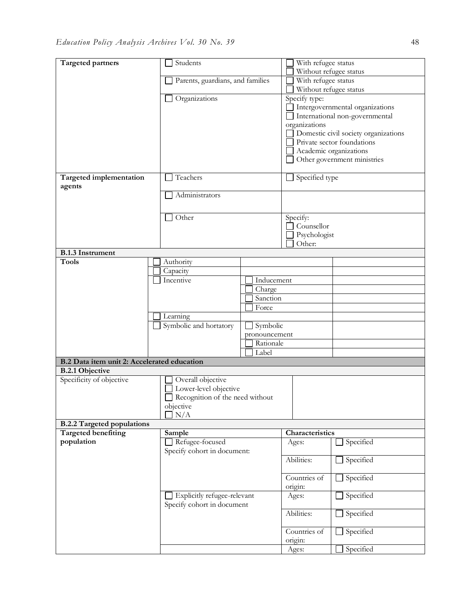| <b>Targeted partners</b>                    |                                 | Students                         |                 | With refugee status                  |  |
|---------------------------------------------|---------------------------------|----------------------------------|-----------------|--------------------------------------|--|
|                                             |                                 |                                  |                 | Without refugee status               |  |
|                                             |                                 | Parents, guardians, and families |                 | With refugee status                  |  |
|                                             |                                 |                                  |                 | Without refugee status               |  |
|                                             | Organizations                   |                                  | Specify type:   | Intergovernmental organizations      |  |
|                                             |                                 |                                  |                 | International non-governmental       |  |
|                                             |                                 |                                  | organizations   |                                      |  |
|                                             |                                 |                                  |                 | Domestic civil society organizations |  |
|                                             |                                 |                                  |                 | Private sector foundations           |  |
|                                             |                                 |                                  |                 | Academic organizations               |  |
|                                             |                                 |                                  |                 | Other government ministries          |  |
|                                             |                                 |                                  |                 |                                      |  |
| Targeted implementation                     | Teachers                        |                                  | Specified type  |                                      |  |
| agents                                      |                                 |                                  |                 |                                      |  |
|                                             | Administrators                  |                                  |                 |                                      |  |
|                                             |                                 |                                  |                 |                                      |  |
|                                             | Other                           |                                  | Specify:        |                                      |  |
|                                             |                                 |                                  | Counsellor      |                                      |  |
|                                             |                                 |                                  | Psychologist    |                                      |  |
|                                             |                                 |                                  | Other:          |                                      |  |
| <b>B.1.3 Instrument</b>                     |                                 |                                  |                 |                                      |  |
| <b>Tools</b>                                | Authority                       |                                  |                 |                                      |  |
|                                             | Capacity                        |                                  |                 |                                      |  |
|                                             | Incentive                       | Inducement                       |                 |                                      |  |
|                                             |                                 | Charge                           |                 |                                      |  |
|                                             |                                 | Sanction                         |                 |                                      |  |
|                                             |                                 | Force                            |                 |                                      |  |
|                                             | Learning                        |                                  |                 |                                      |  |
|                                             | Symbolic and hortatory          | Symbolic                         |                 |                                      |  |
|                                             |                                 | pronouncement<br>Rationale       |                 |                                      |  |
|                                             |                                 | Label                            |                 |                                      |  |
| B.2 Data item unit 2: Accelerated education |                                 |                                  |                 |                                      |  |
| <b>B.2.1 Objective</b>                      |                                 |                                  |                 |                                      |  |
| Specificity of objective                    | Overall objective               |                                  |                 |                                      |  |
|                                             | Lower-level objective           |                                  |                 |                                      |  |
|                                             | Recognition of the need without |                                  |                 |                                      |  |
|                                             | objective                       |                                  |                 |                                      |  |
|                                             | N/A                             |                                  |                 |                                      |  |
| <b>B.2.2 Targeted populations</b>           |                                 |                                  |                 |                                      |  |
| <b>Targeted benefiting</b>                  | Sample                          |                                  | Characteristics |                                      |  |
| population                                  | Refugee-focused                 |                                  | Ages:           | Specified                            |  |
|                                             | Specify cohort in document:     |                                  |                 |                                      |  |
|                                             |                                 |                                  | Abilities:      | Specified                            |  |
|                                             |                                 |                                  | Countries of    |                                      |  |
|                                             |                                 |                                  |                 | $\Box$ Specified                     |  |
|                                             | Explicitly refugee-relevant     |                                  | origin:         | Specified                            |  |
|                                             | Specify cohort in document      |                                  | Ages:           |                                      |  |
|                                             |                                 |                                  | Abilities:      | Specified                            |  |
|                                             |                                 |                                  |                 |                                      |  |
|                                             |                                 |                                  | Countries of    | Specified                            |  |
|                                             |                                 |                                  | origin:         |                                      |  |
|                                             |                                 |                                  | Ages:           | Specified                            |  |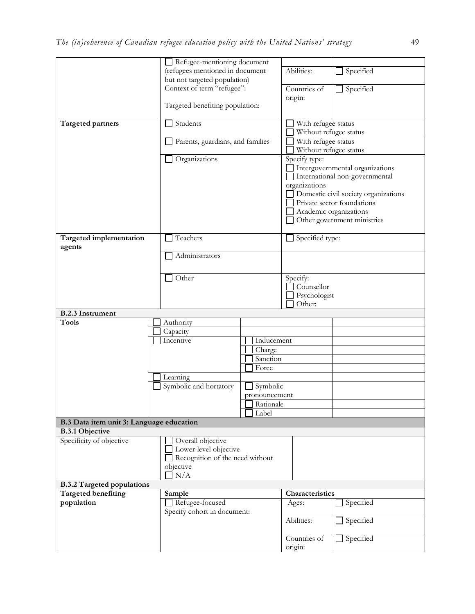|                                          | Refugee-mentioning document      |                              |                         |                                      |  |
|------------------------------------------|----------------------------------|------------------------------|-------------------------|--------------------------------------|--|
|                                          | (refugees mentioned in document  |                              | Abilities:              | $\Box$ Specified                     |  |
|                                          |                                  | but not targeted population) |                         |                                      |  |
|                                          | Context of term "refugee":       |                              | Countries of            | Specified                            |  |
|                                          |                                  |                              | origin:                 |                                      |  |
|                                          | Targeted benefiting population:  |                              |                         |                                      |  |
|                                          |                                  |                              |                         |                                      |  |
| Targeted partners                        | Students                         |                              | With refugee status     |                                      |  |
|                                          |                                  |                              | Without refugee status  |                                      |  |
|                                          | Parents, guardians, and families |                              | With refugee status     |                                      |  |
|                                          |                                  |                              |                         | Without refugee status               |  |
|                                          | Organizations                    |                              | Specify type:           |                                      |  |
|                                          |                                  |                              |                         | Intergovernmental organizations      |  |
|                                          |                                  |                              |                         | International non-governmental       |  |
|                                          |                                  |                              | organizations           |                                      |  |
|                                          |                                  |                              |                         | Domestic civil society organizations |  |
|                                          |                                  |                              |                         | Private sector foundations           |  |
|                                          |                                  |                              |                         | Academic organizations               |  |
|                                          |                                  |                              |                         | Other government ministries          |  |
|                                          |                                  |                              |                         |                                      |  |
| Targeted implementation                  | Teachers                         |                              | Specified type:         |                                      |  |
| agents                                   |                                  |                              |                         |                                      |  |
|                                          | Administrators                   |                              |                         |                                      |  |
|                                          |                                  |                              |                         |                                      |  |
|                                          |                                  | Other                        |                         | Specify:                             |  |
|                                          |                                  |                              |                         | Counsellor                           |  |
|                                          |                                  |                              | Psychologist            |                                      |  |
|                                          |                                  |                              |                         |                                      |  |
| <b>B.2.3</b> Instrument                  |                                  |                              |                         |                                      |  |
| <b>Tools</b>                             | Authority                        |                              |                         |                                      |  |
|                                          | Capacity                         |                              |                         |                                      |  |
|                                          | Incentive                        | Inducement                   |                         |                                      |  |
|                                          |                                  | Charge                       |                         |                                      |  |
|                                          |                                  | Sanction                     |                         |                                      |  |
|                                          |                                  | Force                        |                         |                                      |  |
|                                          | Learning                         |                              |                         |                                      |  |
|                                          | Symbolic and hortatory           | Symbolic                     |                         |                                      |  |
|                                          |                                  | pronouncement                |                         |                                      |  |
|                                          |                                  | Rationale                    |                         |                                      |  |
|                                          |                                  | Label                        |                         |                                      |  |
| B.3 Data item unit 3: Language education |                                  |                              |                         |                                      |  |
| <b>B.3.1 Objective</b>                   |                                  |                              |                         |                                      |  |
| Specificity of objective                 | Overall objective                |                              |                         |                                      |  |
|                                          | Lower-level objective            |                              |                         |                                      |  |
|                                          | Recognition of the need without  |                              |                         |                                      |  |
|                                          | objective                        |                              |                         |                                      |  |
|                                          | N/A                              |                              |                         |                                      |  |
| <b>B.3.2 Targeted populations</b>        |                                  |                              |                         |                                      |  |
|                                          |                                  |                              |                         |                                      |  |
| <b>Targeted benefiting</b>               | Sample                           |                              | Characteristics         |                                      |  |
| population                               | Refugee-focused                  |                              | Ages:                   | Specified                            |  |
|                                          | Specify cohort in document:      |                              |                         |                                      |  |
|                                          |                                  |                              | Abilities:              | Specified                            |  |
|                                          |                                  |                              |                         |                                      |  |
|                                          |                                  |                              | Countries of<br>origin: | Specified                            |  |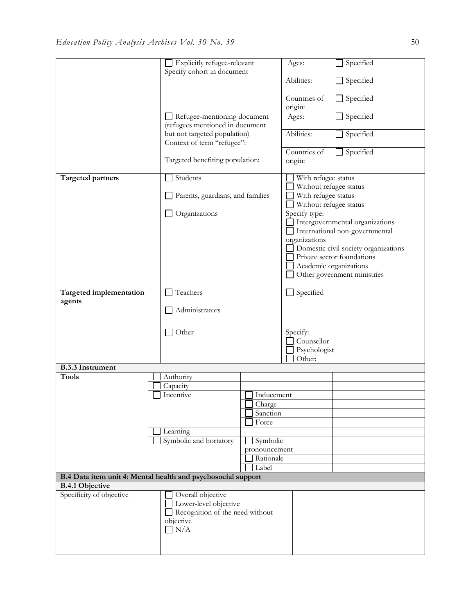|                                   | Explicitly refugee-relevant                                                                              |                            | Ages:                                                              | Specified                       |  |
|-----------------------------------|----------------------------------------------------------------------------------------------------------|----------------------------|--------------------------------------------------------------------|---------------------------------|--|
|                                   | Specify cohort in document                                                                               |                            | Abilities:                                                         | Specified                       |  |
|                                   |                                                                                                          |                            | Countries of<br>origin:                                            | Specified                       |  |
|                                   | Refugee-mentioning document<br>(refugees mentioned in document                                           |                            | Ages:                                                              | Specified                       |  |
|                                   | but not targeted population)<br>Context of term "refugee":                                               |                            | Abilities:                                                         | $\Box$ Specified                |  |
|                                   | Targeted benefiting population:                                                                          |                            | Countries of<br>origin:                                            | Specified                       |  |
| Targeted partners                 | Students                                                                                                 |                            | With refugee status<br>Without refugee status                      |                                 |  |
|                                   | Parents, guardians, and families                                                                         |                            | With refugee status                                                | Without refugee status          |  |
|                                   | Organizations                                                                                            |                            | Specify type:                                                      | Intergovernmental organizations |  |
|                                   |                                                                                                          |                            | organizations                                                      | International non-governmental  |  |
|                                   |                                                                                                          |                            | Domestic civil society organizations<br>Private sector foundations |                                 |  |
|                                   |                                                                                                          |                            |                                                                    | Academic organizations          |  |
|                                   |                                                                                                          |                            |                                                                    | Other government ministries     |  |
| Targeted implementation<br>agents | Teachers                                                                                                 |                            | Specified                                                          |                                 |  |
|                                   |                                                                                                          | Administrators             |                                                                    |                                 |  |
|                                   | Other                                                                                                    |                            | Specify:<br>Counsellor                                             |                                 |  |
|                                   |                                                                                                          |                            | Psychologist<br>Other:                                             |                                 |  |
| <b>B.3.3</b> Instrument           |                                                                                                          |                            |                                                                    |                                 |  |
| <b>Tools</b>                      | Authority                                                                                                |                            |                                                                    |                                 |  |
|                                   | Capacity                                                                                                 |                            |                                                                    |                                 |  |
|                                   | Incentive                                                                                                | Inducement<br>Charge       |                                                                    |                                 |  |
|                                   |                                                                                                          | Sanction                   |                                                                    |                                 |  |
|                                   |                                                                                                          | Force                      |                                                                    |                                 |  |
|                                   | Learning                                                                                                 |                            |                                                                    |                                 |  |
|                                   | Symbolic and hortatory                                                                                   | Symbolic                   |                                                                    |                                 |  |
|                                   |                                                                                                          | pronouncement<br>Rationale |                                                                    |                                 |  |
|                                   |                                                                                                          | Label                      |                                                                    |                                 |  |
|                                   | B.4 Data item unit 4: Mental health and psychosocial support                                             |                            |                                                                    |                                 |  |
| <b>B.4.1 Objective</b>            |                                                                                                          |                            |                                                                    |                                 |  |
| Specificity of objective          | Overall objective<br>Lower-level objective<br>Recognition of the need without<br>objective<br>$\Box$ N/A |                            |                                                                    |                                 |  |
|                                   |                                                                                                          |                            |                                                                    |                                 |  |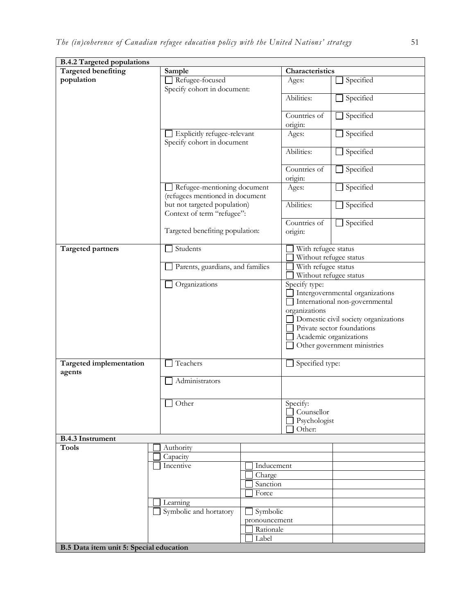| <b>B.4.2 Targeted populations</b>       |                                                                |                                 |                                                                                                                                                                                                                                    |           |
|-----------------------------------------|----------------------------------------------------------------|---------------------------------|------------------------------------------------------------------------------------------------------------------------------------------------------------------------------------------------------------------------------------|-----------|
| <b>Targeted benefiting</b>              | Sample                                                         |                                 | Characteristics                                                                                                                                                                                                                    |           |
| population                              | Refugee-focused<br>Specify cohort in document:                 |                                 | Ages:                                                                                                                                                                                                                              | Specified |
|                                         |                                                                |                                 | Abilities:                                                                                                                                                                                                                         | Specified |
|                                         |                                                                |                                 | Countries of<br>origin:                                                                                                                                                                                                            | Specified |
|                                         | Specify cohort in document                                     | Explicitly refugee-relevant     |                                                                                                                                                                                                                                    | Specified |
|                                         |                                                                |                                 | Abilities:                                                                                                                                                                                                                         | Specified |
|                                         |                                                                |                                 |                                                                                                                                                                                                                                    | Specified |
|                                         | Refugee-mentioning document<br>(refugees mentioned in document |                                 | origin:<br>Ages:                                                                                                                                                                                                                   | Specified |
|                                         | but not targeted population)<br>Context of term "refugee":     |                                 | Abilities:                                                                                                                                                                                                                         | Specified |
|                                         |                                                                | Targeted benefiting population: |                                                                                                                                                                                                                                    | Specified |
| <b>Targeted partners</b>                | Students                                                       |                                 | With refugee status<br>Without refugee status                                                                                                                                                                                      |           |
|                                         | Parents, guardians, and families                               |                                 | With refugee status<br>Without refugee status                                                                                                                                                                                      |           |
|                                         | Organizations                                                  |                                 | Specify type:<br>Intergovernmental organizations<br>International non-governmental<br>organizations<br>Domestic civil society organizations<br>Private sector foundations<br>Academic organizations<br>Other government ministries |           |
| Targeted implementation<br>agents       | Teachers                                                       |                                 | Specified type:                                                                                                                                                                                                                    |           |
|                                         | Administrators                                                 |                                 |                                                                                                                                                                                                                                    |           |
| Other                                   |                                                                |                                 | Specify:<br>Counsellor<br>Psychologist<br>Other:                                                                                                                                                                                   |           |
| <b>B.4.3 Instrument</b>                 |                                                                |                                 |                                                                                                                                                                                                                                    |           |
| <b>Tools</b>                            | Authority                                                      |                                 |                                                                                                                                                                                                                                    |           |
|                                         | Capacity                                                       |                                 |                                                                                                                                                                                                                                    |           |
|                                         | Incentive                                                      | Inducement                      |                                                                                                                                                                                                                                    |           |
| Charge                                  |                                                                |                                 |                                                                                                                                                                                                                                    |           |
|                                         |                                                                | Sanction                        |                                                                                                                                                                                                                                    |           |
|                                         |                                                                | Force                           |                                                                                                                                                                                                                                    |           |
|                                         | Learning                                                       |                                 |                                                                                                                                                                                                                                    |           |
|                                         | Symbolic and hortatory                                         | Symbolic                        |                                                                                                                                                                                                                                    |           |
|                                         |                                                                | pronouncement<br>Rationale      |                                                                                                                                                                                                                                    |           |
|                                         |                                                                | Label                           |                                                                                                                                                                                                                                    |           |
| B.5 Data item unit 5: Special education |                                                                |                                 |                                                                                                                                                                                                                                    |           |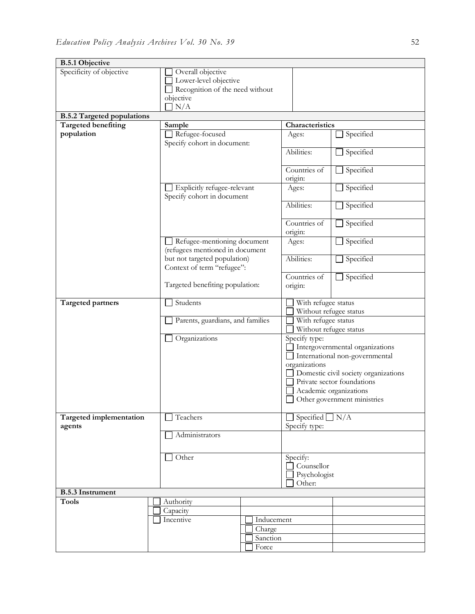| <b>B.5.1 Objective</b>            |                                                                |                             |                                      |  |
|-----------------------------------|----------------------------------------------------------------|-----------------------------|--------------------------------------|--|
| Specificity of objective          | Overall objective                                              |                             |                                      |  |
|                                   | Lower-level objective                                          |                             |                                      |  |
|                                   | Recognition of the need without                                |                             |                                      |  |
|                                   | objective                                                      |                             |                                      |  |
|                                   | N/A                                                            |                             |                                      |  |
| <b>B.5.2 Targeted populations</b> |                                                                |                             |                                      |  |
| <b>Targeted benefiting</b>        | Sample                                                         | Characteristics             |                                      |  |
| population                        | Refugee-focused                                                | Ages:                       | Specified                            |  |
|                                   | Specify cohort in document:                                    |                             |                                      |  |
|                                   |                                                                | Abilities:                  | Specified                            |  |
|                                   |                                                                |                             |                                      |  |
|                                   |                                                                | Countries of                | Specified<br>⊔                       |  |
|                                   |                                                                | origin:                     |                                      |  |
|                                   | Explicitly refugee-relevant                                    | Ages:                       | Specified<br>$\Box$                  |  |
|                                   | Specify cohort in document                                     |                             |                                      |  |
|                                   |                                                                | Abilities:                  | Specified<br>$\Box$                  |  |
|                                   |                                                                |                             |                                      |  |
|                                   |                                                                | Countries of                | $\Box$ Specified                     |  |
|                                   |                                                                | origin:                     |                                      |  |
|                                   | Refugee-mentioning document<br>(refugees mentioned in document | Ages:                       | $\Box$ Specified                     |  |
|                                   | but not targeted population)                                   | Abilities:                  | Specified                            |  |
|                                   | Context of term "refugee":                                     |                             |                                      |  |
|                                   |                                                                | Countries of                | Specified<br>$\Box$                  |  |
|                                   | Targeted benefiting population:                                | origin:                     |                                      |  |
|                                   |                                                                |                             |                                      |  |
| Targeted partners                 | Students                                                       | With refugee status         |                                      |  |
|                                   |                                                                |                             | Without refugee status               |  |
|                                   | Parents, guardians, and families                               | With refugee status         |                                      |  |
|                                   |                                                                |                             | Without refugee status               |  |
|                                   | Organizations                                                  | Specify type:               |                                      |  |
|                                   |                                                                |                             | Intergovernmental organizations      |  |
|                                   |                                                                | organizations               | International non-governmental       |  |
|                                   |                                                                |                             | Domestic civil society organizations |  |
|                                   |                                                                |                             | Private sector foundations           |  |
|                                   |                                                                |                             | Academic organizations               |  |
|                                   |                                                                |                             | Other government ministries          |  |
|                                   |                                                                |                             |                                      |  |
| <b>Targeted implementation</b>    | Teachers                                                       | $\Box$ Specified $\Box$ N/A |                                      |  |
| agents                            |                                                                | Specify type:               |                                      |  |
|                                   | Administrators                                                 |                             |                                      |  |
|                                   |                                                                |                             |                                      |  |
|                                   | Other                                                          | Specify:                    |                                      |  |
|                                   |                                                                |                             | Counsellor                           |  |
|                                   |                                                                |                             | Psychologist                         |  |
|                                   |                                                                | Other:                      |                                      |  |
| <b>B.5.3</b> Instrument           |                                                                |                             |                                      |  |
| <b>Tools</b>                      | Authority                                                      |                             |                                      |  |
|                                   | Capacity                                                       |                             |                                      |  |
|                                   | Incentive                                                      | Inducement                  |                                      |  |
|                                   |                                                                | Charge                      |                                      |  |
|                                   |                                                                | Sanction                    |                                      |  |
|                                   |                                                                | Force                       |                                      |  |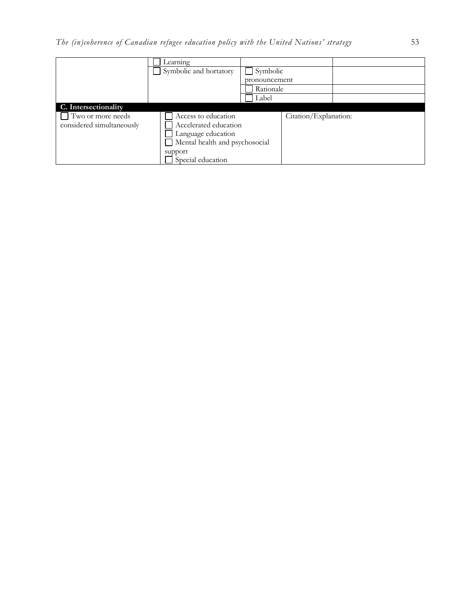|                           | Learning               |                                |                       |  |
|---------------------------|------------------------|--------------------------------|-----------------------|--|
|                           | Symbolic and hortatory | $\Box$ Symbolic                |                       |  |
|                           |                        | pronouncement                  |                       |  |
|                           |                        | Rationale                      |                       |  |
|                           |                        | Label                          |                       |  |
| C. Intersectionality      |                        |                                |                       |  |
| Two or more needs         | Access to education    |                                | Citation/Explanation: |  |
| considered simultaneously | Accelerated education  |                                |                       |  |
|                           | Language education     |                                |                       |  |
|                           |                        | Mental health and psychosocial |                       |  |
|                           | support                |                                |                       |  |
|                           | Special education      |                                |                       |  |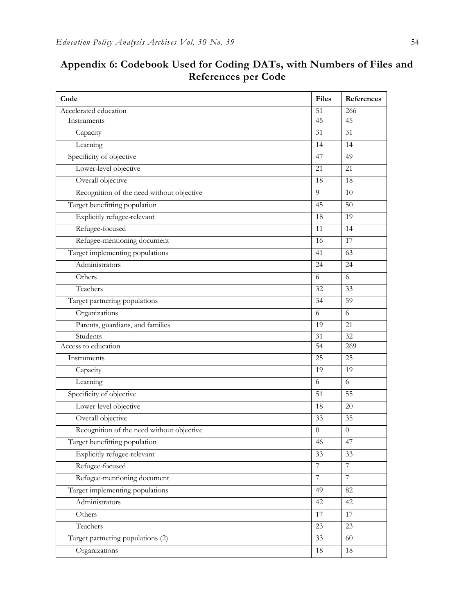| Code                                      | <b>Files</b>    | References      |
|-------------------------------------------|-----------------|-----------------|
| Accelerated education                     | $\overline{51}$ | 266             |
| Instruments                               | 45              | 45              |
| Capacity                                  | 31              | 31              |
| Learning                                  | 14              | 14              |
| Specificity of objective                  | 47              | 49              |
| Lower-level objective                     | 21              | 21              |
| Overall objective                         | 18              | 18              |
| Recognition of the need without objective | 9               | 10              |
| Target benefitting population             | 45              | 50              |
| Explicitly refugee-relevant               | 18              | 19              |
| Refugee-focused                           | 11              | 14              |
| Refugee-mentioning document               | 16              | 17              |
| Target implementing populations           | 41              | 63              |
| Administrators                            | 24              | 24              |
| Others                                    | 6               | 6               |
| Teachers                                  | 32              | 33              |
| Target partnering populations             | 34              | 59              |
| Organizations                             | 6               | 6               |
| Parents, guardians, and families          | 19              | 21              |
| Students                                  | 31              | 32              |
| Access to education                       | 54              | 269             |
| Instruments                               | 25              | 25              |
| Capacity                                  | 19              | 19              |
| Learning                                  | 6               | 6               |
| Specificity of objective                  | 51              | 55              |
| Lower-level objective                     | 18              | 20              |
| Overall objective                         | 33              | 35              |
| Recognition of the need without objective | $\Omega$        | $\theta$        |
| Target benefitting population             | 46              | 47              |
| Explicitly refugee-relevant               | 33              | 33              |
| Refugee-focused                           | $\overline{7}$  | $7\overline{ }$ |
| Refugee-mentioning document               | $7\phantom{.}$  | $7\phantom{.0}$ |
| Target implementing populations           | 49              | 82              |
| Administrators                            | 42              | 42              |
| Others                                    | 17              | 17              |
| Teachers                                  | 23              | 23              |
| Target partnering populations (2)         | 33              | 60              |
| Organizations                             | 18              | 18              |

## **Appendix 6: Codebook Used for Coding DATs, with Numbers of Files and References per Code**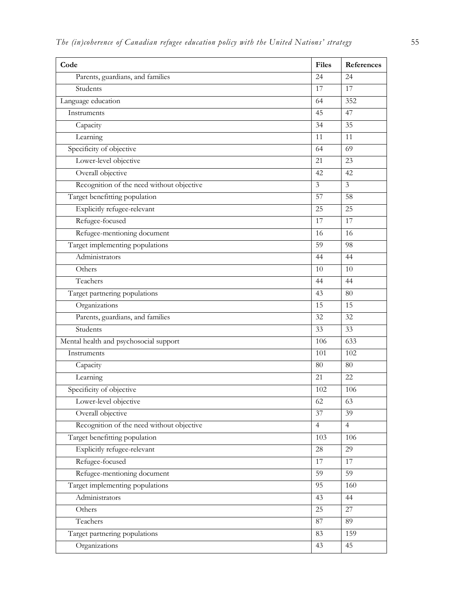| Code                                      | <b>Files</b>   | References     |
|-------------------------------------------|----------------|----------------|
| Parents, guardians, and families          | 24             | 24             |
| Students                                  | 17             | 17             |
| Language education                        | 64             | 352            |
| Instruments                               | 45             | 47             |
| Capacity                                  | 34             | 35             |
| Learning                                  | 11             | 11             |
| Specificity of objective                  | 64             | 69             |
| Lower-level objective                     | 21             | 23             |
| Overall objective                         | 42             | 42             |
| Recognition of the need without objective | $\mathfrak{Z}$ | $\mathfrak{Z}$ |
| Target benefitting population             | 57             | 58             |
| Explicitly refugee-relevant               | 25             | 25             |
| Refugee-focused                           | 17             | 17             |
| Refugee-mentioning document               | 16             | 16             |
| Target implementing populations           | 59             | 98             |
| Administrators                            | 44             | 44             |
| Others                                    | 10             | 10             |
| Teachers                                  | 44             | 44             |
| Target partnering populations             | 43             | 80             |
| Organizations                             | 15             | 15             |
| Parents, guardians, and families          | 32             | 32             |
| Students                                  | 33             | 33             |
| Mental health and psychosocial support    | 106            | 633            |
| Instruments                               | 101            | 102            |
| Capacity                                  | 80             | 80             |
| Learning                                  | 21             | 22             |
| Specificity of objective                  | 102            | 106            |
| Lower-level objective                     | 62             | 63             |
| Overall objective                         | 37             | 39             |
| Recognition of the need without objective | $\overline{4}$ | $\overline{4}$ |
| Target benefitting population             | 103            | 106            |
| Explicitly refugee-relevant               | 28             | 29             |
| Refugee-focused                           | 17             | 17             |
| Refugee-mentioning document               | 59             | 59             |
| Target implementing populations           | 95             | 160            |
| Administrators                            | 43             | 44             |
| Others                                    | 25             | $27\,$         |
| Teachers                                  | $87\,$         | 89             |
| Target partnering populations             | 83             | 159            |
| Organizations                             | 43             | 45             |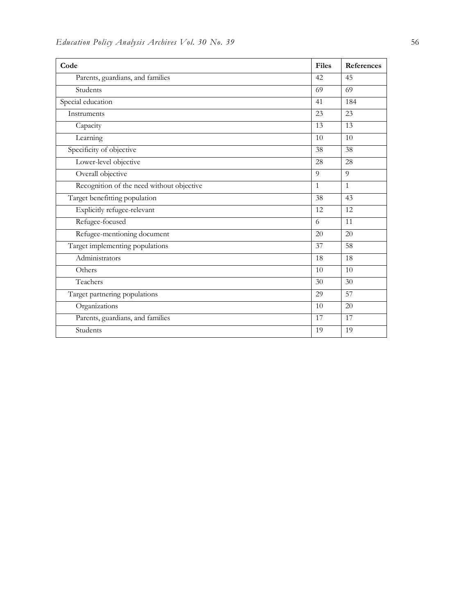| Code                                      | <b>Files</b>    | References   |
|-------------------------------------------|-----------------|--------------|
| Parents, guardians, and families          | 42              | 45           |
| Students                                  | 69              | 69           |
| Special education                         | 41              | 184          |
| Instruments                               | 23              | 23           |
| Capacity                                  | $\overline{13}$ | 13           |
| Learning                                  | 10              | 10           |
| Specificity of objective                  | 38              | 38           |
| Lower-level objective                     | 28              | 28           |
| Overall objective                         | 9               | 9            |
| Recognition of the need without objective | $\mathbf{1}$    | $\mathbf{1}$ |
| Target benefitting population             | 38              | 43           |
| Explicitly refugee-relevant               | 12              | 12           |
| Refugee-focused                           | 6               | 11           |
| Refugee-mentioning document               | 20              | 20           |
| Target implementing populations           | 37              | 58           |
| Administrators                            | 18              | 18           |
| Others                                    | 10              | 10           |
| Teachers                                  | 30              | 30           |
| Target partnering populations             | 29              | 57           |
| Organizations                             | 10              | 20           |
| Parents, guardians, and families          | 17              | 17           |
| Students                                  | 19              | 19           |
|                                           |                 |              |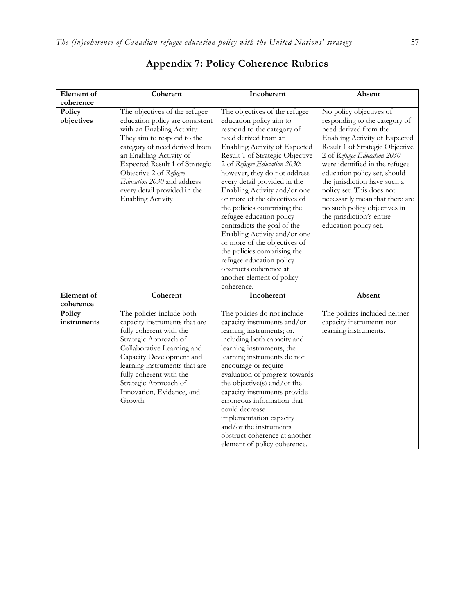| Element of            | Coherent                                                                                                                                                                                                                                                                                                                                       | Incoherent                                                                                                                                                                                                                                                                                                                                                                                                                                                                                                                                                                                                                                   | Absent                                                                                                                                                                                                                                                                                                                                                                                                                                       |
|-----------------------|------------------------------------------------------------------------------------------------------------------------------------------------------------------------------------------------------------------------------------------------------------------------------------------------------------------------------------------------|----------------------------------------------------------------------------------------------------------------------------------------------------------------------------------------------------------------------------------------------------------------------------------------------------------------------------------------------------------------------------------------------------------------------------------------------------------------------------------------------------------------------------------------------------------------------------------------------------------------------------------------------|----------------------------------------------------------------------------------------------------------------------------------------------------------------------------------------------------------------------------------------------------------------------------------------------------------------------------------------------------------------------------------------------------------------------------------------------|
| coherence             |                                                                                                                                                                                                                                                                                                                                                |                                                                                                                                                                                                                                                                                                                                                                                                                                                                                                                                                                                                                                              |                                                                                                                                                                                                                                                                                                                                                                                                                                              |
| Policy<br>objectives  | The objectives of the refugee<br>education policy are consistent<br>with an Enabling Activity:<br>They aim to respond to the<br>category of need derived from<br>an Enabling Activity of<br>Expected Result 1 of Strategic<br>Objective 2 of Refugee<br>Education 2030 and address<br>every detail provided in the<br><b>Enabling Activity</b> | The objectives of the refugee<br>education policy aim to<br>respond to the category of<br>need derived from an<br>Enabling Activity of Expected<br>Result 1 of Strategic Objective<br>2 of Refugee Education 2030;<br>however, they do not address<br>every detail provided in the<br>Enabling Activity and/or one<br>or more of the objectives of<br>the policies comprising the<br>refugee education policy<br>contradicts the goal of the<br>Enabling Activity and/or one<br>or more of the objectives of<br>the policies comprising the<br>refugee education policy<br>obstructs coherence at<br>another element of policy<br>coherence. | No policy objectives of<br>responding to the category of<br>need derived from the<br>Enabling Activity of Expected<br>Result 1 of Strategic Objective<br>2 of Refugee Education 2030<br>were identified in the refugee<br>education policy set, should<br>the jurisdiction have such a<br>policy set. This does not<br>necessarily mean that there are<br>no such policy objectives in<br>the jurisdiction's entire<br>education policy set. |
| Element of            | Coherent                                                                                                                                                                                                                                                                                                                                       | Incoherent                                                                                                                                                                                                                                                                                                                                                                                                                                                                                                                                                                                                                                   | Absent                                                                                                                                                                                                                                                                                                                                                                                                                                       |
| coherence             |                                                                                                                                                                                                                                                                                                                                                |                                                                                                                                                                                                                                                                                                                                                                                                                                                                                                                                                                                                                                              |                                                                                                                                                                                                                                                                                                                                                                                                                                              |
| Policy<br>instruments | The policies include both<br>capacity instruments that are<br>fully coherent with the<br>Strategic Approach of<br>Collaborative Learning and<br>Capacity Development and<br>learning instruments that are<br>fully coherent with the<br>Strategic Approach of<br>Innovation, Evidence, and<br>Growth.                                          | The policies do not include<br>capacity instruments and/or<br>learning instruments; or,<br>including both capacity and<br>learning instruments, the<br>learning instruments do not<br>encourage or require<br>evaluation of progress towards<br>the objective(s) and/or the<br>capacity instruments provide<br>erroneous information that<br>could decrease<br>implementation capacity<br>and/or the instruments<br>obstruct coherence at another<br>element of policy coherence.                                                                                                                                                            | The policies included neither<br>capacity instruments nor<br>learning instruments.                                                                                                                                                                                                                                                                                                                                                           |

## **Appendix 7: Policy Coherence Rubrics**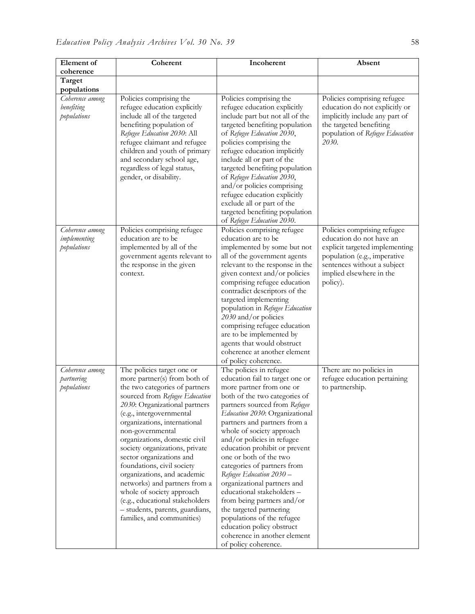| Element of                                   | Coherent                                                                                                                                                                                                                                                                                                                                                                                                                                                                                                                                                                      | Incoherent                                                                                                                                                                                                                                                                                                                                                                                                                                                                                                                                                                                                                                           | Absent                                                                                                                                                                 |
|----------------------------------------------|-------------------------------------------------------------------------------------------------------------------------------------------------------------------------------------------------------------------------------------------------------------------------------------------------------------------------------------------------------------------------------------------------------------------------------------------------------------------------------------------------------------------------------------------------------------------------------|------------------------------------------------------------------------------------------------------------------------------------------------------------------------------------------------------------------------------------------------------------------------------------------------------------------------------------------------------------------------------------------------------------------------------------------------------------------------------------------------------------------------------------------------------------------------------------------------------------------------------------------------------|------------------------------------------------------------------------------------------------------------------------------------------------------------------------|
| coherence                                    |                                                                                                                                                                                                                                                                                                                                                                                                                                                                                                                                                                               |                                                                                                                                                                                                                                                                                                                                                                                                                                                                                                                                                                                                                                                      |                                                                                                                                                                        |
| Target                                       |                                                                                                                                                                                                                                                                                                                                                                                                                                                                                                                                                                               |                                                                                                                                                                                                                                                                                                                                                                                                                                                                                                                                                                                                                                                      |                                                                                                                                                                        |
| populations                                  |                                                                                                                                                                                                                                                                                                                                                                                                                                                                                                                                                                               |                                                                                                                                                                                                                                                                                                                                                                                                                                                                                                                                                                                                                                                      |                                                                                                                                                                        |
| Coherence among<br>benefiting<br>populations | Policies comprising the<br>refugee education explicitly<br>include all of the targeted<br>benefiting population of<br>Refugee Education 2030: All<br>refugee claimant and refugee<br>children and youth of primary<br>and secondary school age,<br>regardless of legal status,<br>gender, or disability.                                                                                                                                                                                                                                                                      | Policies comprising the<br>refugee education explicitly<br>include part but not all of the<br>targeted benefiting population<br>of Refugee Education 2030,<br>policies comprising the<br>refugee education implicitly<br>include all or part of the<br>targeted benefiting population<br>of Refugee Education 2030,<br>and/or policies comprising<br>refugee education explicitly<br>exclude all or part of the<br>targeted benefiting population<br>of Refugee Education 2030.                                                                                                                                                                      | Policies comprising refugee<br>education do not explicitly or<br>implicitly include any part of<br>the targeted benefiting<br>population of Refugee Education<br>2030. |
| Coherence among                              | Policies comprising refugee                                                                                                                                                                                                                                                                                                                                                                                                                                                                                                                                                   | Policies comprising refugee                                                                                                                                                                                                                                                                                                                                                                                                                                                                                                                                                                                                                          | Policies comprising refugee                                                                                                                                            |
| implementing<br>populations                  | education are to be<br>implemented by all of the<br>government agents relevant to<br>the response in the given<br>context.                                                                                                                                                                                                                                                                                                                                                                                                                                                    | education are to be<br>implemented by some but not<br>all of the government agents<br>relevant to the response in the<br>given context and/or policies<br>comprising refugee education<br>contradict descriptors of the<br>targeted implementing<br>population in Refugee Education<br>2030 and/or policies<br>comprising refugee education<br>are to be implemented by<br>agents that would obstruct<br>coherence at another element<br>of policy coherence.                                                                                                                                                                                        | education do not have an<br>explicit targeted implementing<br>population (e.g., imperative<br>sentences without a subject<br>implied elsewhere in the<br>policy).      |
| Coherence among<br>partnering<br>populations | The policies target one or<br>more partner(s) from both of<br>the two categories of partners<br>sourced from Refugee Education<br>2030: Organizational partners<br>(e.g., intergovernmental<br>organizations, international<br>non-governmental<br>organizations, domestic civil<br>society organizations, private<br>sector organizations and<br>foundations, civil society<br>organizations, and academic<br>networks) and partners from a<br>whole of society approach<br>(e.g., educational stakeholders<br>- students, parents, guardians,<br>families, and communities) | The policies in refugee<br>education fail to target one or<br>more partner from one or<br>both of the two categories of<br>partners sourced from Refugee<br>Education 2030: Organizational<br>partners and partners from a<br>whole of society approach<br>and/or policies in refugee<br>education prohibit or prevent<br>one or both of the two<br>categories of partners from<br>Refugee Education 2030 -<br>organizational partners and<br>educational stakeholders -<br>from being partners and/or<br>the targeted partnering<br>populations of the refugee<br>education policy obstruct<br>coherence in another element<br>of policy coherence. | There are no policies in<br>refugee education pertaining<br>to partnership.                                                                                            |